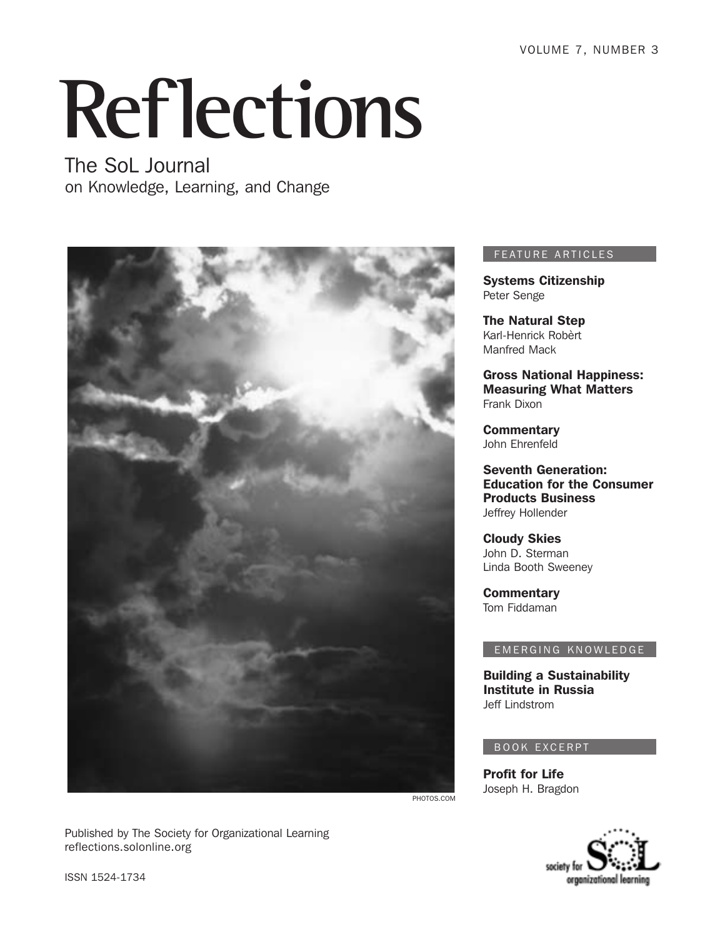# **Reflections**

The SoL Journal on Knowledge, Learning, and Change



Published by The Society for Organizational Learning reflections.solonline.org

### FEATURE ARTICLES

Systems Citizenship Peter Senge

The Natural Step Karl-Henrick Robèrt Manfred Mack

Gross National Happiness: Measuring What Matters Frank Dixon

**Commentary** John Ehrenfeld

Seventh Generation: Education for the Consumer Products Business Jeffrey Hollender

Cloudy Skies John D. Sterman Linda Booth Sweeney

**Commentary** Tom Fiddaman

### EMERGING KNOWLEDGE

Building a Sustainability Institute in Russia Jeff Lindstrom

### BOOK EXCERPT

Profit for Life Joseph H. Bragdon



ISSN 1524-1734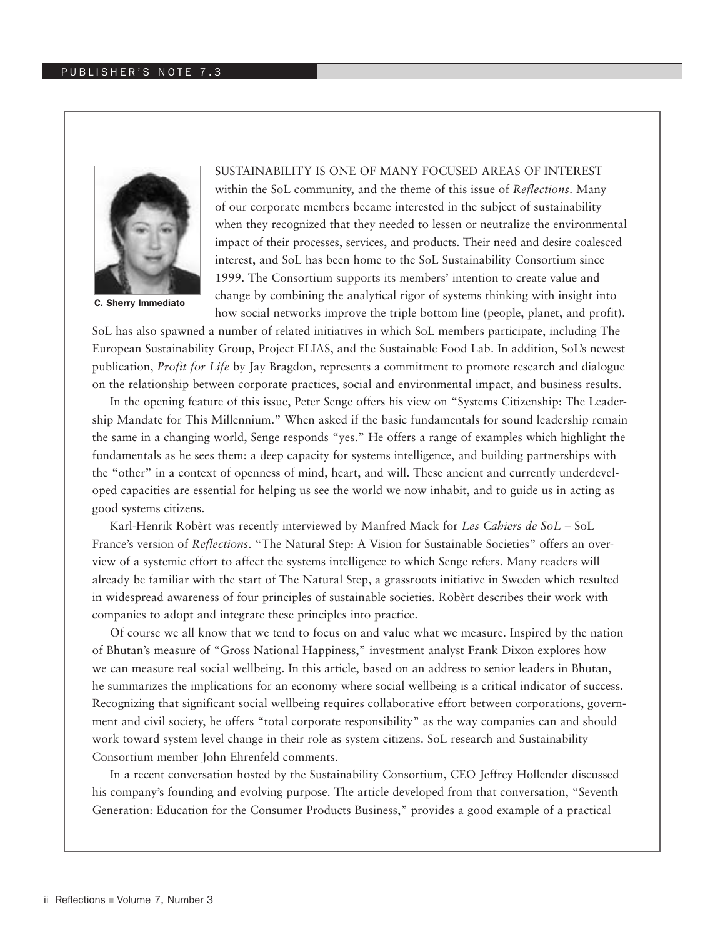

C. Sherry Immediato

### Sustainability is one of many focused areas of interest

within the SoL community, and the theme of this issue of *Reflections*. Many of our corporate members became interested in the subject of sustainability when they recognized that they needed to lessen or neutralize the environmental impact of their processes, services, and products. Their need and desire coalesced interest, and SoL has been home to the SoL Sustainability Consortium since 1999. The Consortium supports its members' intention to create value and change by combining the analytical rigor of systems thinking with insight into how social networks improve the triple bottom line (people, planet, and profit).

SoL has also spawned a number of related initiatives in which SoL members participate, including The European Sustainability Group, Project ELIAS, and the Sustainable Food Lab. In addition, SoL's newest publication, *Profit for Life* by Jay Bragdon, represents a commitment to promote research and dialogue on the relationship between corporate practices, social and environmental impact, and business results.

 In the opening feature of this issue, Peter Senge offers his view on "Systems Citizenship: The Leadership Mandate for This Millennium." When asked if the basic fundamentals for sound leadership remain the same in a changing world, Senge responds "yes." He offers a range of examples which highlight the fundamentals as he sees them: a deep capacity for systems intelligence, and building partnerships with the "other" in a context of openness of mind, heart, and will. These ancient and currently underdeveloped capacities are essential for helping us see the world we now inhabit, and to guide us in acting as good systems citizens.

 Karl-Henrik Robèrt was recently interviewed by Manfred Mack for *Les Cahiers de SoL* – SoL France's version of *Reflections*. "The Natural Step: A Vision for Sustainable Societies" offers an overview of a systemic effort to affect the systems intelligence to which Senge refers. Many readers will already be familiar with the start of The Natural Step, a grassroots initiative in Sweden which resulted in widespread awareness of four principles of sustainable societies. Robèrt describes their work with companies to adopt and integrate these principles into practice.

 Of course we all know that we tend to focus on and value what we measure. Inspired by the nation of Bhutan's measure of "Gross National Happiness," investment analyst Frank Dixon explores how we can measure real social wellbeing. In this article, based on an address to senior leaders in Bhutan, he summarizes the implications for an economy where social wellbeing is a critical indicator of success. Recognizing that significant social wellbeing requires collaborative effort between corporations, government and civil society, he offers "total corporate responsibility" as the way companies can and should work toward system level change in their role as system citizens. SoL research and Sustainability Consortium member John Ehrenfeld comments.

 In a recent conversation hosted by the Sustainability Consortium, CEO Jeffrey Hollender discussed his company's founding and evolving purpose. The article developed from that conversation, "Seventh Generation: Education for the Consumer Products Business," provides a good example of a practical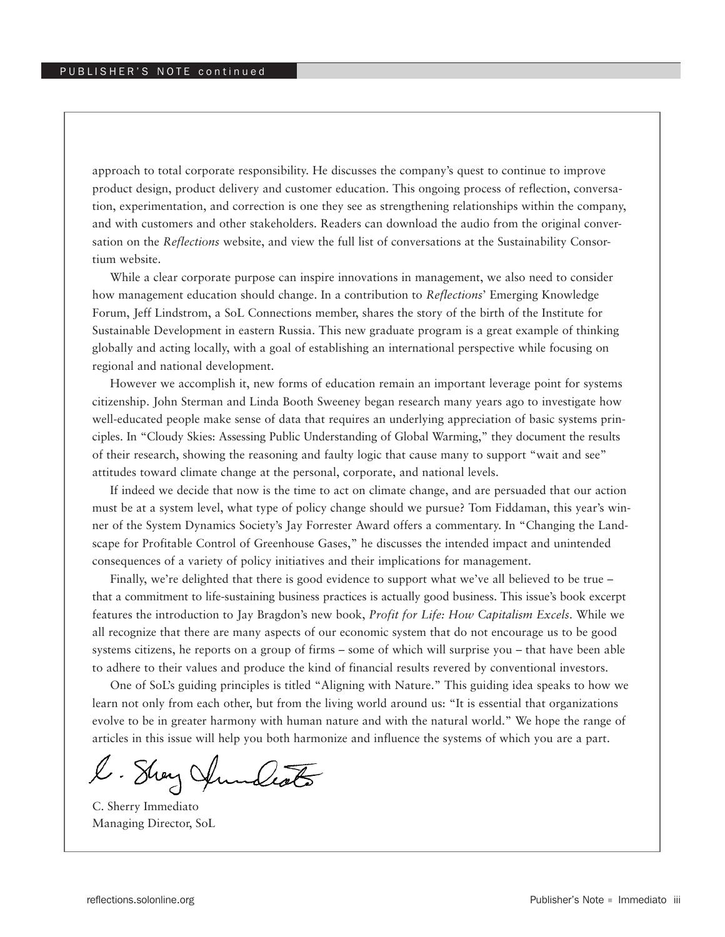approach to total corporate responsibility. He discusses the company's quest to continue to improve product design, product delivery and customer education. This ongoing process of reflection, conversation, experimentation, and correction is one they see as strengthening relationships within the company, and with customers and other stakeholders. Readers can download the audio from the original conversation on the *Reflections* website, and view the full list of conversations at the Sustainability Consortium website.

 While a clear corporate purpose can inspire innovations in management, we also need to consider how management education should change. In a contribution to *Reflections*' Emerging Knowledge Forum, Jeff Lindstrom, a SoL Connections member, shares the story of the birth of the Institute for Sustainable Development in eastern Russia. This new graduate program is a great example of thinking globally and acting locally, with a goal of establishing an international perspective while focusing on regional and national development.

 However we accomplish it, new forms of education remain an important leverage point for systems citizenship. John Sterman and Linda Booth Sweeney began research many years ago to investigate how well-educated people make sense of data that requires an underlying appreciation of basic systems principles. In "Cloudy Skies: Assessing Public Understanding of Global Warming," they document the results of their research, showing the reasoning and faulty logic that cause many to support "wait and see" attitudes toward climate change at the personal, corporate, and national levels.

 If indeed we decide that now is the time to act on climate change, and are persuaded that our action must be at a system level, what type of policy change should we pursue? Tom Fiddaman, this year's winner of the System Dynamics Society's Jay Forrester Award offers a commentary. In "Changing the Landscape for Profitable Control of Greenhouse Gases," he discusses the intended impact and unintended consequences of a variety of policy initiatives and their implications for management.

 Finally, we're delighted that there is good evidence to support what we've all believed to be true – that a commitment to life-sustaining business practices is actually good business. This issue's book excerpt features the introduction to Jay Bragdon's new book, *Profit for Life: How Capitalism Excels*. While we all recognize that there are many aspects of our economic system that do not encourage us to be good systems citizens, he reports on a group of firms – some of which will surprise you – that have been able to adhere to their values and produce the kind of financial results revered by conventional investors.

 One of SoL's guiding principles is titled "Aligning with Nature." This guiding idea speaks to how we learn not only from each other, but from the living world around us: "It is essential that organizations evolve to be in greater harmony with human nature and with the natural world." We hope the range of articles in this issue will help you both harmonize and influence the systems of which you are a part.

l. Shey Aundeats

C. Sherry Immediato Managing Director, SoL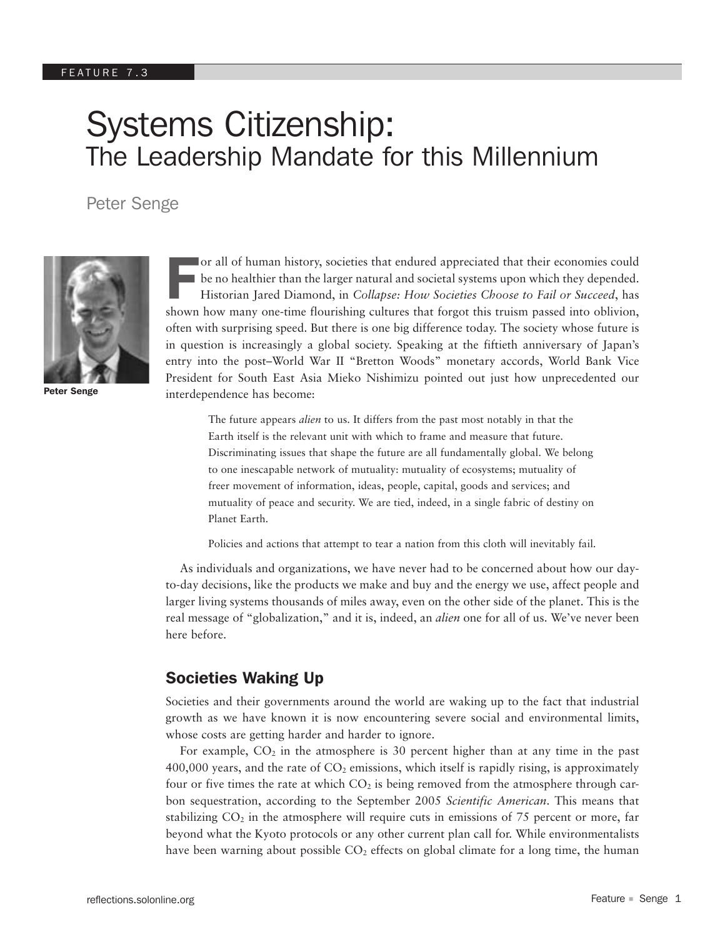### Systems Citizenship: The Leadership Mandate for this Millennium

Peter Senge



Peter Senge

F or all of human history, societies that endured appreciated that their economies could<br>be no healthier than the larger natural and societal systems upon which they depended.<br>Historian Jared Diamond, in Collapse: How Soci be no healthier than the larger natural and societal systems upon which they depended. Historian Jared Diamond, in *Collapse: How Societies Choose to Fail or Succeed*, has shown how many one-time flourishing cultures that forgot this truism passed into oblivion, often with surprising speed. But there is one big difference today. The society whose future is in question is increasingly a global society. Speaking at the fiftieth anniversary of Japan's entry into the post–World War II "Bretton Woods" monetary accords, World Bank Vice President for South East Asia Mieko Nishimizu pointed out just how unprecedented our interdependence has become:

The future appears *alien* to us. It differs from the past most notably in that the Earth itself is the relevant unit with which to frame and measure that future. Discriminating issues that shape the future are all fundamentally global. We belong to one inescapable network of mutuality: mutuality of ecosystems; mutuality of freer movement of information, ideas, people, capital, goods and services; and mutuality of peace and security. We are tied, indeed, in a single fabric of destiny on Planet Earth.

Policies and actions that attempt to tear a nation from this cloth will inevitably fail.

As individuals and organizations, we have never had to be concerned about how our dayto-day decisions, like the products we make and buy and the energy we use, affect people and larger living systems thousands of miles away, even on the other side of the planet. This is the real message of "globalization," and it is, indeed, an *alien* one for all of us. We've never been here before.

### Societies Waking Up

Societies and their governments around the world are waking up to the fact that industrial growth as we have known it is now encountering severe social and environmental limits, whose costs are getting harder and harder to ignore.

For example,  $CO<sub>2</sub>$  in the atmosphere is 30 percent higher than at any time in the past 400,000 years, and the rate of  $CO<sub>2</sub>$  emissions, which itself is rapidly rising, is approximately four or five times the rate at which  $CO<sub>2</sub>$  is being removed from the atmosphere through carbon sequestration, according to the September 2005 *Scientific American*. This means that stabilizing  $CO<sub>2</sub>$  in the atmosphere will require cuts in emissions of 75 percent or more, far beyond what the Kyoto protocols or any other current plan call for. While environmentalists have been warning about possible  $CO<sub>2</sub>$  effects on global climate for a long time, the human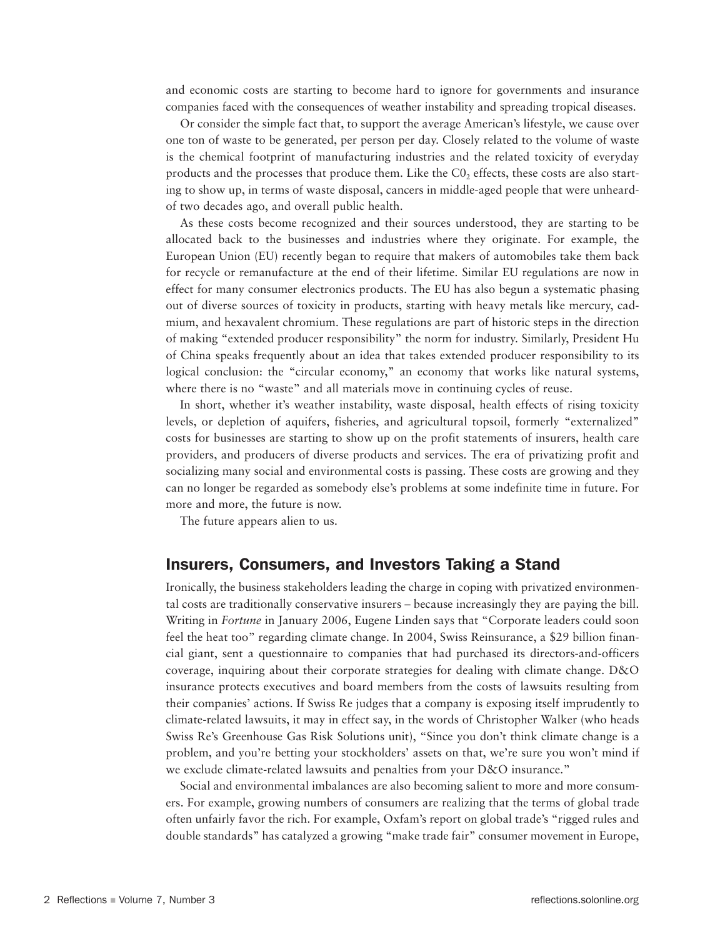and economic costs are starting to become hard to ignore for governments and insurance companies faced with the consequences of weather instability and spreading tropical diseases.

Or consider the simple fact that, to support the average American's lifestyle, we cause over one ton of waste to be generated, per person per day. Closely related to the volume of waste is the chemical footprint of manufacturing industries and the related toxicity of everyday products and the processes that produce them. Like the  $C_0$  effects, these costs are also starting to show up, in terms of waste disposal, cancers in middle-aged people that were unheardof two decades ago, and overall public health.

As these costs become recognized and their sources understood, they are starting to be allocated back to the businesses and industries where they originate. For example, the European Union (EU) recently began to require that makers of automobiles take them back for recycle or remanufacture at the end of their lifetime. Similar EU regulations are now in effect for many consumer electronics products. The EU has also begun a systematic phasing out of diverse sources of toxicity in products, starting with heavy metals like mercury, cadmium, and hexavalent chromium. These regulations are part of historic steps in the direction of making "extended producer responsibility" the norm for industry. Similarly, President Hu of China speaks frequently about an idea that takes extended producer responsibility to its logical conclusion: the "circular economy," an economy that works like natural systems, where there is no "waste" and all materials move in continuing cycles of reuse.

In short, whether it's weather instability, waste disposal, health effects of rising toxicity levels, or depletion of aquifers, fisheries, and agricultural topsoil, formerly "externalized" costs for businesses are starting to show up on the profit statements of insurers, health care providers, and producers of diverse products and services. The era of privatizing profit and socializing many social and environmental costs is passing. These costs are growing and they can no longer be regarded as somebody else's problems at some indefinite time in future. For more and more, the future is now.

The future appears alien to us.

### Insurers, Consumers, and Investors Taking a Stand

Ironically, the business stakeholders leading the charge in coping with privatized environmental costs are traditionally conservative insurers – because increasingly they are paying the bill. Writing in *Fortune* in January 2006, Eugene Linden says that "Corporate leaders could soon feel the heat too" regarding climate change. In 2004, Swiss Reinsurance, a \$29 billion financial giant, sent a questionnaire to companies that had purchased its directors-and-officers coverage, inquiring about their corporate strategies for dealing with climate change. D&O insurance protects executives and board members from the costs of lawsuits resulting from their companies' actions. If Swiss Re judges that a company is exposing itself imprudently to climate-related lawsuits, it may in effect say, in the words of Christopher Walker (who heads Swiss Re's Greenhouse Gas Risk Solutions unit), "Since you don't think climate change is a problem, and you're betting your stockholders' assets on that, we're sure you won't mind if we exclude climate-related lawsuits and penalties from your D&O insurance."

Social and environmental imbalances are also becoming salient to more and more consumers. For example, growing numbers of consumers are realizing that the terms of global trade often unfairly favor the rich. For example, Oxfam's report on global trade's "rigged rules and double standards" has catalyzed a growing "make trade fair" consumer movement in Europe,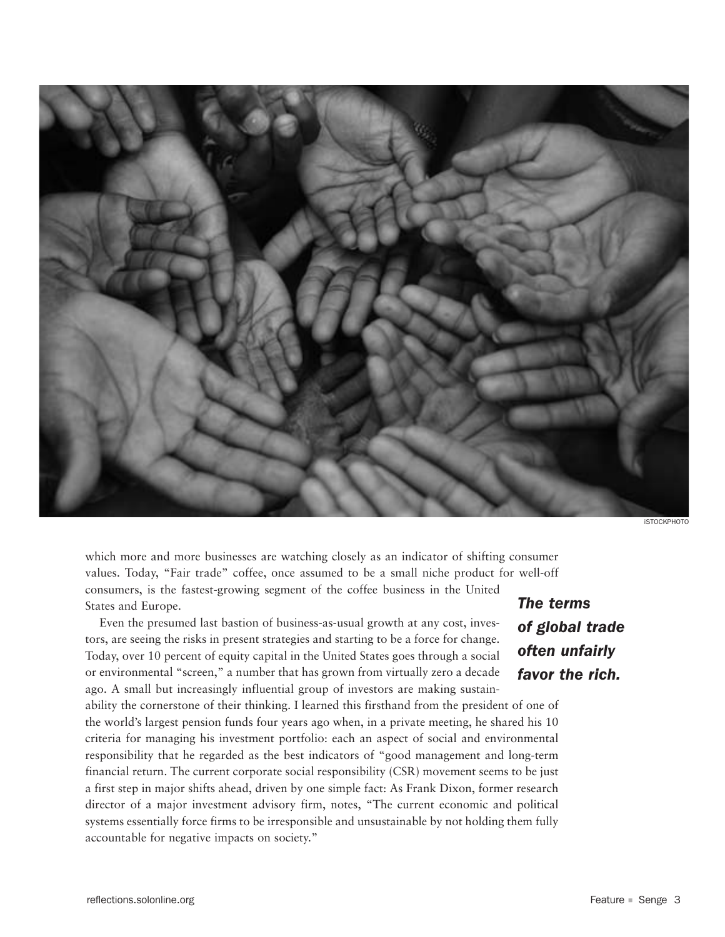

**iSTOCKPHOTO** 

which more and more businesses are watching closely as an indicator of shifting consumer values. Today, "Fair trade" coffee, once assumed to be a small niche product for well-off consumers, is the fastest-growing segment of the coffee business in the United States and Europe.

Even the presumed last bastion of business-as-usual growth at any cost, investors, are seeing the risks in present strategies and starting to be a force for change. Today, over 10 percent of equity capital in the United States goes through a social or environmental "screen," a number that has grown from virtually zero a decade ago. A small but increasingly influential group of investors are making sustainability the cornerstone of their thinking. I learned this firsthand from the president of one of the world's largest pension funds four years ago when, in a private meeting, he shared his 10 criteria for managing his investment portfolio: each an aspect of social and environmental responsibility that he regarded as the best indicators of "good management and long-term financial return. The current corporate social responsibility (CSR) movement seems to be just a first step in major shifts ahead, driven by one simple fact: As Frank Dixon, former research director of a major investment advisory firm, notes, "The current economic and political systems essentially force firms to be irresponsible and unsustainable by not holding them fully accountable for negative impacts on society."

*The terms of global trade often unfairly favor the rich.*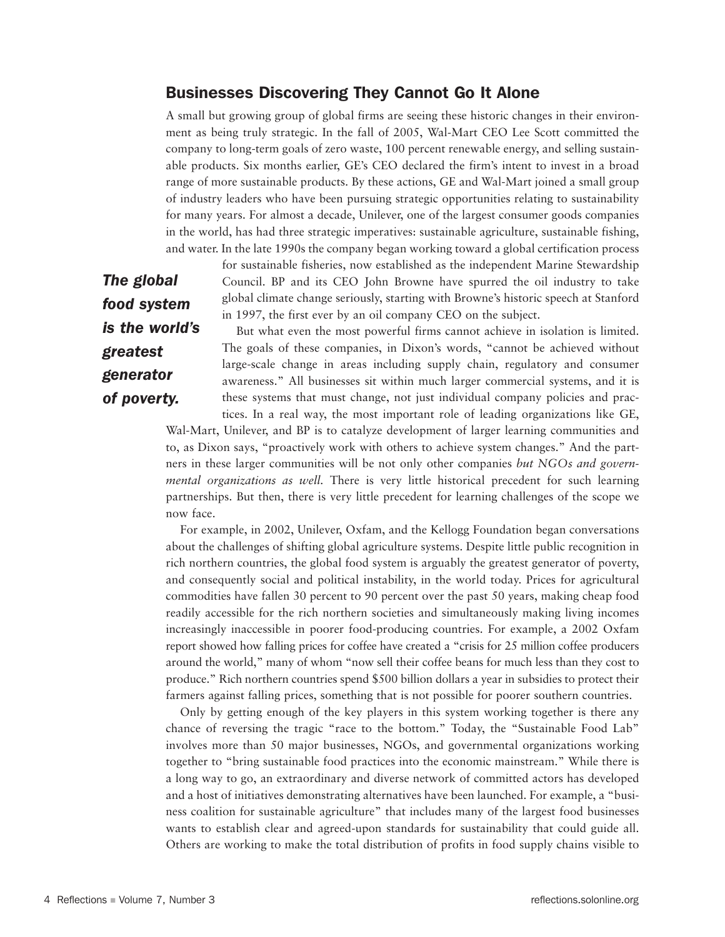### Businesses Discovering They Cannot Go It Alone

A small but growing group of global firms are seeing these historic changes in their environment as being truly strategic. In the fall of 2005, Wal-Mart CEO Lee Scott committed the company to long-term goals of zero waste, 100 percent renewable energy, and selling sustainable products. Six months earlier, GE's CEO declared the firm's intent to invest in a broad range of more sustainable products. By these actions, GE and Wal-Mart joined a small group of industry leaders who have been pursuing strategic opportunities relating to sustainability for many years. For almost a decade, Unilever, one of the largest consumer goods companies in the world, has had three strategic imperatives: sustainable agriculture, sustainable fishing, and water. In the late 1990s the company began working toward a global certification process

for sustainable fisheries, now established as the independent Marine Stewardship Council. BP and its CEO John Browne have spurred the oil industry to take global climate change seriously, starting with Browne's historic speech at Stanford in 1997, the first ever by an oil company CEO on the subject. But what even the most powerful firms cannot achieve in isolation is limited.

*The global food system is the world's greatest generator of poverty.*

The goals of these companies, in Dixon's words, "cannot be achieved without large-scale change in areas including supply chain, regulatory and consumer awareness." All businesses sit within much larger commercial systems, and it is these systems that must change, not just individual company policies and practices. In a real way, the most important role of leading organizations like GE,

Wal-Mart, Unilever, and BP is to catalyze development of larger learning communities and to, as Dixon says, "proactively work with others to achieve system changes." And the partners in these larger communities will be not only other companies *but NGOs and governmental organizations as well.* There is very little historical precedent for such learning partnerships. But then, there is very little precedent for learning challenges of the scope we now face.

For example, in 2002, Unilever, Oxfam, and the Kellogg Foundation began conversations about the challenges of shifting global agriculture systems. Despite little public recognition in rich northern countries, the global food system is arguably the greatest generator of poverty, and consequently social and political instability, in the world today. Prices for agricultural commodities have fallen 30 percent to 90 percent over the past 50 years, making cheap food readily accessible for the rich northern societies and simultaneously making living incomes increasingly inaccessible in poorer food-producing countries. For example, a 2002 Oxfam report showed how falling prices for coffee have created a "crisis for 25 million coffee producers around the world," many of whom "now sell their coffee beans for much less than they cost to produce." Rich northern countries spend \$500 billion dollars a year in subsidies to protect their farmers against falling prices, something that is not possible for poorer southern countries.

Only by getting enough of the key players in this system working together is there any chance of reversing the tragic "race to the bottom." Today, the "Sustainable Food Lab" involves more than 50 major businesses, NGOs, and governmental organizations working together to "bring sustainable food practices into the economic mainstream." While there is a long way to go, an extraordinary and diverse network of committed actors has developed and a host of initiatives demonstrating alternatives have been launched. For example, a "business coalition for sustainable agriculture" that includes many of the largest food businesses wants to establish clear and agreed-upon standards for sustainability that could guide all. Others are working to make the total distribution of profits in food supply chains visible to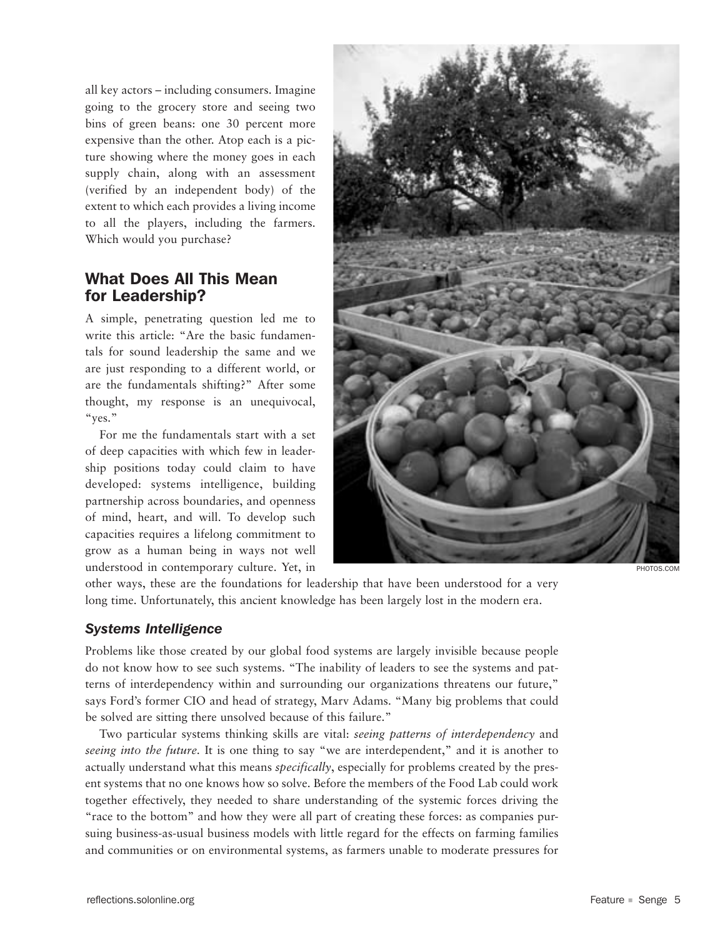all key actors – including consumers. Imagine going to the grocery store and seeing two bins of green beans: one 30 percent more expensive than the other. Atop each is a picture showing where the money goes in each supply chain, along with an assessment (verified by an independent body) of the extent to which each provides a living income to all the players, including the farmers. Which would you purchase?

### What Does All This Mean for Leadership?

A simple, penetrating question led me to write this article: "Are the basic fundamentals for sound leadership the same and we are just responding to a different world, or are the fundamentals shifting?" After some thought, my response is an unequivocal, "yes."

For me the fundamentals start with a set of deep capacities with which few in leadership positions today could claim to have developed: systems intelligence, building partnership across boundaries, and openness of mind, heart, and will. To develop such capacities requires a lifelong commitment to grow as a human being in ways not well understood in contemporary culture. Yet, in



PHOTOS.COM

other ways, these are the foundations for leadership that have been understood for a very long time. Unfortunately, this ancient knowledge has been largely lost in the modern era.

### *Systems Intelligence*

Problems like those created by our global food systems are largely invisible because people do not know how to see such systems. "The inability of leaders to see the systems and patterns of interdependency within and surrounding our organizations threatens our future," says Ford's former CIO and head of strategy, Marv Adams. "Many big problems that could be solved are sitting there unsolved because of this failure."

Two particular systems thinking skills are vital: *seeing patterns of interdependency* and *seeing into the future.* It is one thing to say "we are interdependent," and it is another to actually understand what this means *specifically*, especially for problems created by the present systems that no one knows how so solve. Before the members of the Food Lab could work together effectively, they needed to share understanding of the systemic forces driving the "race to the bottom" and how they were all part of creating these forces: as companies pursuing business-as-usual business models with little regard for the effects on farming families and communities or on environmental systems, as farmers unable to moderate pressures for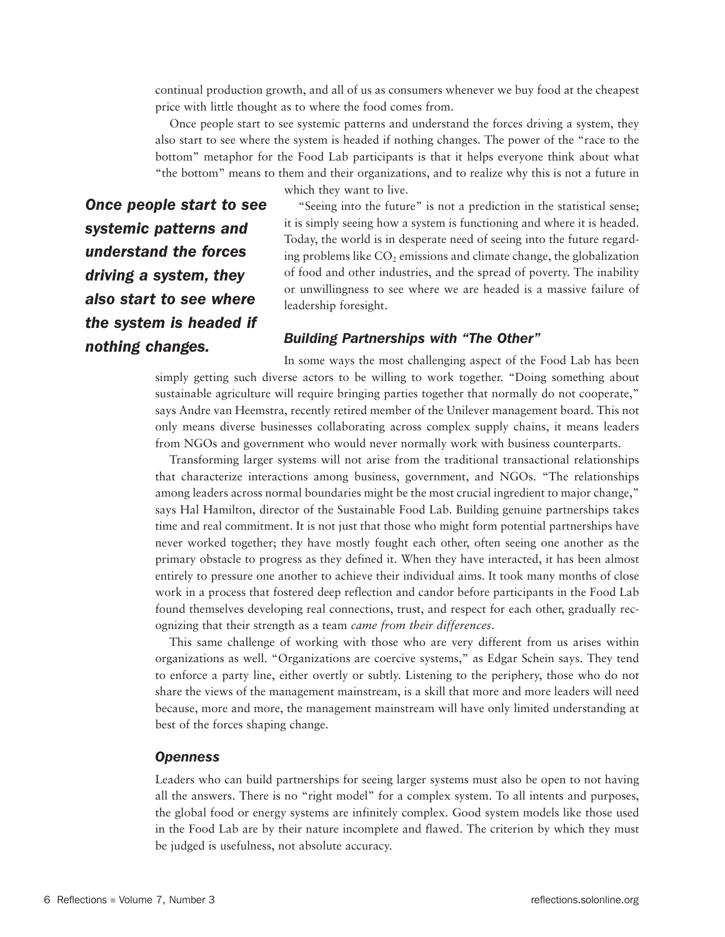continual production growth, and all of us as consumers whenever we buy food at the cheapest price with little thought as to where the food comes from.

Once people start to see systemic patterns and understand the forces driving a system, they also start to see where the system is headed if nothing changes. The power of the "race to the bottom" metaphor for the Food Lab participants is that it helps everyone think about what "the bottom" means to them and their organizations, and to realize why this is not a future in

which they want to live.

*Once people start to see systemic patterns and understand the forces driving a system, they also start to see where the system is headed if nothing changes.* 

"Seeing into the future" is not a prediction in the statistical sense; it is simply seeing how a system is functioning and where it is headed. Today, the world is in desperate need of seeing into the future regarding problems like  $CO<sub>2</sub>$  emissions and climate change, the globalization of food and other industries, and the spread of poverty. The inability or unwillingness to see where we are headed is a massive failure of leadership foresight.

### *Building Partnerships with "The Other"*

In some ways the most challenging aspect of the Food Lab has been simply getting such diverse actors to be willing to work together. "Doing something about sustainable agriculture will require bringing parties together that normally do not cooperate," says Andre van Heemstra, recently retired member of the Unilever management board. This not only means diverse businesses collaborating across complex supply chains, it means leaders from NGOs and government who would never normally work with business counterparts.

Transforming larger systems will not arise from the traditional transactional relationships that characterize interactions among business, government, and NGOs. "The relationships among leaders across normal boundaries might be the most crucial ingredient to major change," says Hal Hamilton, director of the Sustainable Food Lab. Building genuine partnerships takes time and real commitment. it is not just that those who might form potential partnerships have never worked together; they have mostly fought each other, often seeing one another as the primary obstacle to progress as they defined it. When they have interacted, it has been almost entirely to pressure one another to achieve their individual aims. It took many months of close work in a process that fostered deep reflection and candor before participants in the Food Lab found themselves developing real connections, trust, and respect for each other, gradually recognizing that their strength as a team *came from their differences*.

This same challenge of working with those who are very different from us arises within organizations as well. "Organizations are coercive systems," as Edgar Schein says. They tend to enforce a party line, either overtly or subtly. Listening to the periphery, those who do not share the views of the management mainstream, is a skill that more and more leaders will need because, more and more, the management mainstream will have only limited understanding at best of the forces shaping change.

### *Openness*

Leaders who can build partnerships for seeing larger systems must also be open to not having all the answers. There is no "right model" for a complex system. To all intents and purposes, the global food or energy systems are infinitely complex. Good system models like those used in the Food Lab are by their nature incomplete and flawed. The criterion by which they must be judged is usefulness, not absolute accuracy.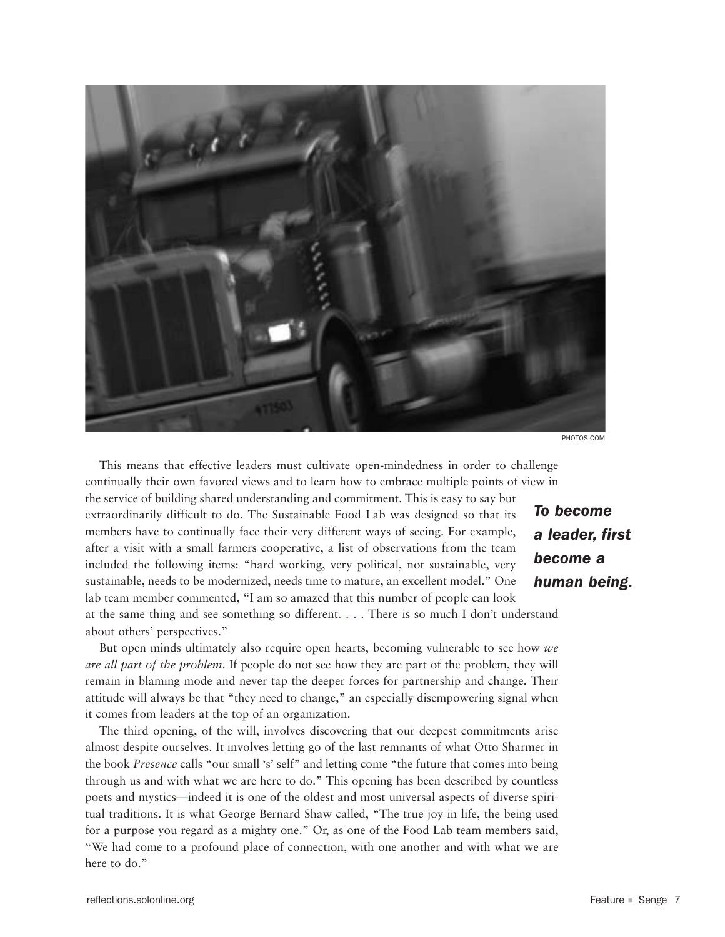

PHOTOS.COM

This means that effective leaders must cultivate open-mindedness in order to challenge continually their own favored views and to learn how to embrace multiple points of view in the service of building shared understanding and commitment. This is easy to say but

extraordinarily difficult to do. The Sustainable Food Lab was designed so that its members have to continually face their very different ways of seeing. For example, after a visit with a small farmers cooperative, a list of observations from the team included the following items: "hard working, very political, not sustainable, very sustainable, needs to be modernized, needs time to mature, an excellent model." One lab team member commented, "I am so amazed that this number of people can look *To become a leader, first become a human being.*

at the same thing and see something so different. . . . There is so much I don't understand about others' perspectives."

But open minds ultimately also require open hearts, becoming vulnerable to see how *we are all part of the problem*. If people do not see how they are part of the problem, they will remain in blaming mode and never tap the deeper forces for partnership and change. Their attitude will always be that "they need to change," an especially disempowering signal when it comes from leaders at the top of an organization.

The third opening, of the will, involves discovering that our deepest commitments arise almost despite ourselves. It involves letting go of the last remnants of what Otto Sharmer in the book *Presence* calls "our small 's' self" and letting come "the future that comes into being through us and with what we are here to do." This opening has been described by countless poets and mystics—indeed it is one of the oldest and most universal aspects of diverse spiritual traditions. It is what George Bernard Shaw called, "The true joy in life, the being used for a purpose you regard as a mighty one." Or, as one of the Food Lab team members said, "We had come to a profound place of connection, with one another and with what we are here to do."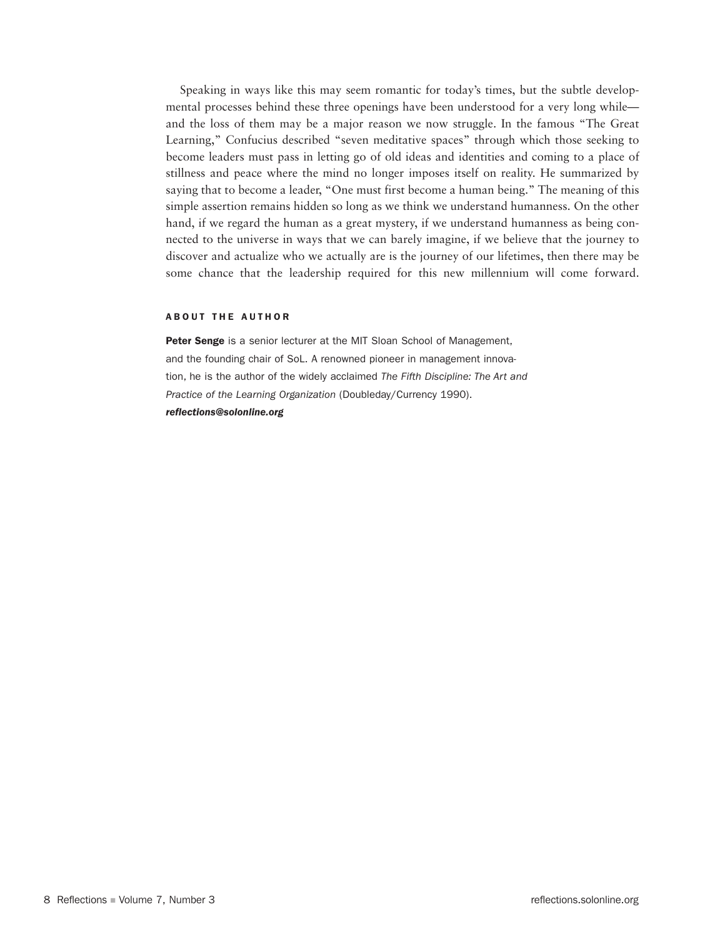Speaking in ways like this may seem romantic for today's times, but the subtle developmental processes behind these three openings have been understood for a very long while and the loss of them may be a major reason we now struggle. In the famous "The Great Learning," Confucius described "seven meditative spaces" through which those seeking to become leaders must pass in letting go of old ideas and identities and coming to a place of stillness and peace where the mind no longer imposes itself on reality. He summarized by saying that to become a leader, "One must first become a human being." The meaning of this simple assertion remains hidden so long as we think we understand humanness. On the other hand, if we regard the human as a great mystery, if we understand humanness as being connected to the universe in ways that we can barely imagine, if we believe that the journey to discover and actualize who we actually are is the journey of our lifetimes, then there may be some chance that the leadership required for this new millennium will come forward.

### **ABOUT THE AUTHOR**

Peter Senge is a senior lecturer at the MIT Sloan School of Management, and the founding chair of SoL. A renowned pioneer in management innovation, he is the author of the widely acclaimed *The Fifth Discipline: The Art and Practice of the Learning Organization* (Doubleday/Currency 1990). *reflections@solonline.org*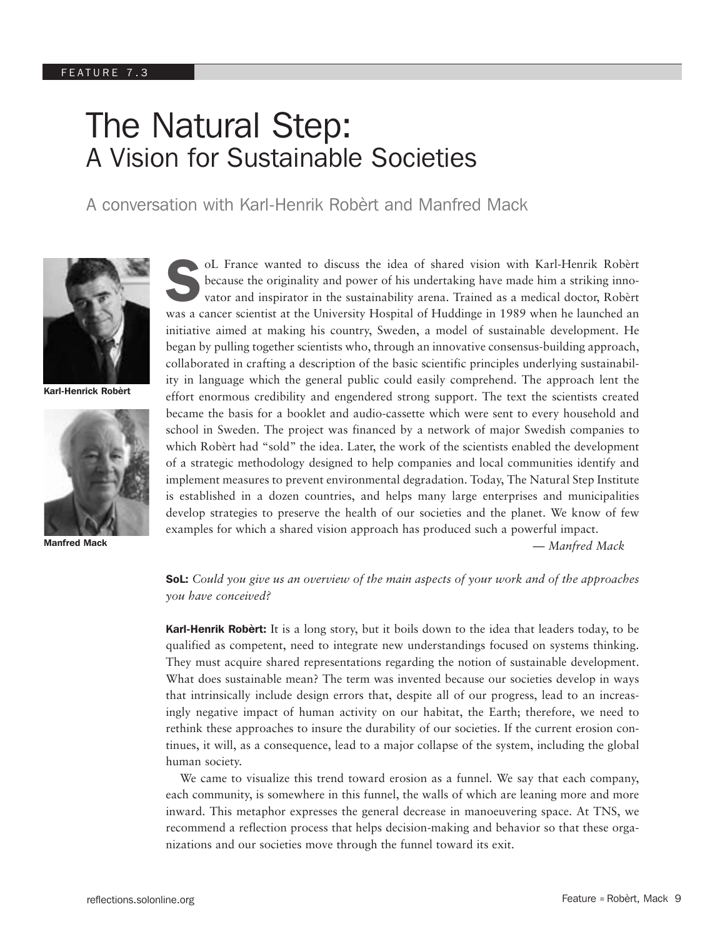### The Natural Step: A Vision for Sustainable Societies

A conversation with Karl-Henrik Robèrt and Manfred Mack



Karl-Henrick Robèrt



Manfred Mack

Sol France wanted to discuss the idea of shared vision with Karl-Henrik Robèrt<br>because the originality and power of his undertaking have made him a striking inno-<br>vator and inspirator in the sustainability arena. Trained a because the originality and power of his undertaking have made him a striking innovator and inspirator in the sustainability arena. Trained as a medical doctor, Robèrt was a cancer scientist at the University Hospital of Huddinge in 1989 when he launched an initiative aimed at making his country, Sweden, a model of sustainable development. He began by pulling together scientists who, through an innovative consensus-building approach, collaborated in crafting a description of the basic scientific principles underlying sustainability in language which the general public could easily comprehend. The approach lent the effort enormous credibility and engendered strong support. The text the scientists created became the basis for a booklet and audio-cassette which were sent to every household and school in Sweden. The project was financed by a network of major Swedish companies to which Robèrt had "sold" the idea. Later, the work of the scientists enabled the development of a strategic methodology designed to help companies and local communities identify and implement measures to prevent environmental degradation. Today, The Natural Step Institute is established in a dozen countries, and helps many large enterprises and municipalities develop strategies to preserve the health of our societies and the planet. We know of few examples for which a shared vision approach has produced such a powerful impact.

*— Manfred Mack*

SoL: *Could you give us an overview of the main aspects of your work and of the approaches you have conceived?*

Karl-Henrik Robèrt: It is a long story, but it boils down to the idea that leaders today, to be qualified as competent, need to integrate new understandings focused on systems thinking. They must acquire shared representations regarding the notion of sustainable development. What does sustainable mean? The term was invented because our societies develop in ways that intrinsically include design errors that, despite all of our progress, lead to an increasingly negative impact of human activity on our habitat, the Earth; therefore, we need to rethink these approaches to insure the durability of our societies. If the current erosion continues, it will, as a consequence, lead to a major collapse of the system, including the global human society.

We came to visualize this trend toward erosion as a funnel. We say that each company, each community, is somewhere in this funnel, the walls of which are leaning more and more inward. This metaphor expresses the general decrease in manoeuvering space. At TNS, we recommend a reflection process that helps decision-making and behavior so that these organizations and our societies move through the funnel toward its exit.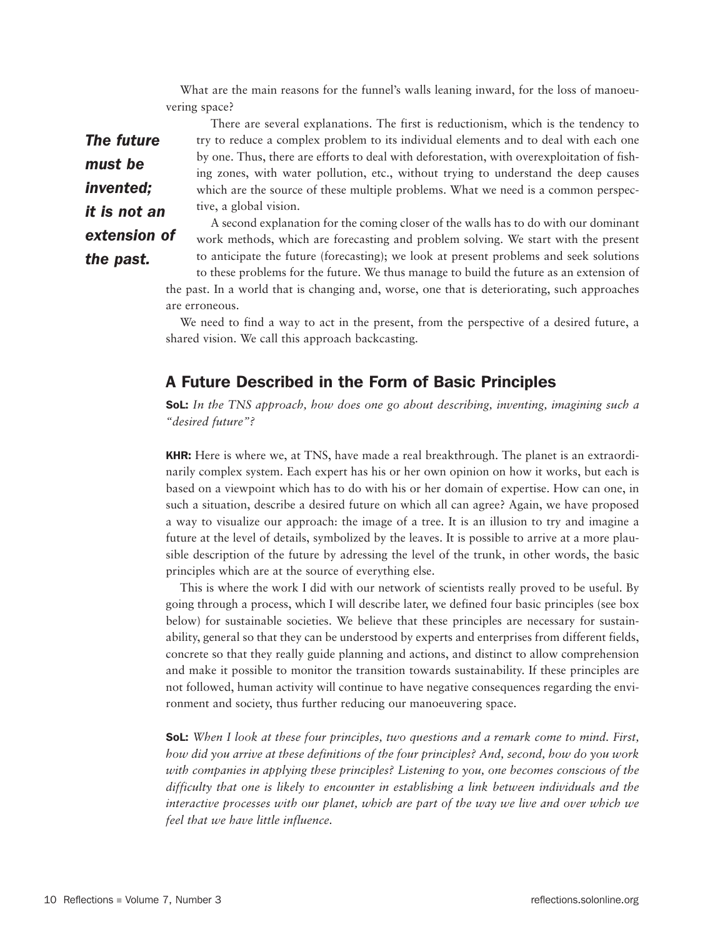What are the main reasons for the funnel's walls leaning inward, for the loss of manoeuvering space?

*The future must be invented; it is not an extension of the past.*

There are several explanations. The first is reductionism, which is the tendency to try to reduce a complex problem to its individual elements and to deal with each one by one. Thus, there are efforts to deal with deforestation, with overexploitation of fishing zones, with water pollution, etc., without trying to understand the deep causes which are the source of these multiple problems. What we need is a common perspective, a global vision.

A second explanation for the coming closer of the walls has to do with our dominant work methods, which are forecasting and problem solving. We start with the present to anticipate the future (forecasting); we look at present problems and seek solutions to these problems for the future. We thus manage to build the future as an extension of

the past. In a world that is changing and, worse, one that is deteriorating, such approaches are erroneous.

We need to find a way to act in the present, from the perspective of a desired future, a shared vision. We call this approach backcasting.

### A Future Described in the Form of Basic Principles

SoL: *In the TNS approach, how does one go about describing, inventing, imagining such a "desired future"?*

KHR: Here is where we, at TNS, have made a real breakthrough. The planet is an extraordinarily complex system. Each expert has his or her own opinion on how it works, but each is based on a viewpoint which has to do with his or her domain of expertise. How can one, in such a situation, describe a desired future on which all can agree? Again, we have proposed a way to visualize our approach: the image of a tree. It is an illusion to try and imagine a future at the level of details, symbolized by the leaves. It is possible to arrive at a more plausible description of the future by adressing the level of the trunk, in other words, the basic principles which are at the source of everything else.

This is where the work I did with our network of scientists really proved to be useful. By going through a process, which I will describe later, we defined four basic principles (see box below) for sustainable societies. We believe that these principles are necessary for sustainability, general so that they can be understood by experts and enterprises from different fields, concrete so that they really guide planning and actions, and distinct to allow comprehension and make it possible to monitor the transition towards sustainability. If these principles are not followed, human activity will continue to have negative consequences regarding the environment and society, thus further reducing our manoeuvering space.

SoL: *When I look at these four principles, two questions and a remark come to mind. First, how did you arrive at these definitions of the four principles? And, second, how do you work with companies in applying these principles? Listening to you, one becomes conscious of the difficulty that one is likely to encounter in establishing a link between individuals and the interactive processes with our planet, which are part of the way we live and over which we feel that we have little influence.*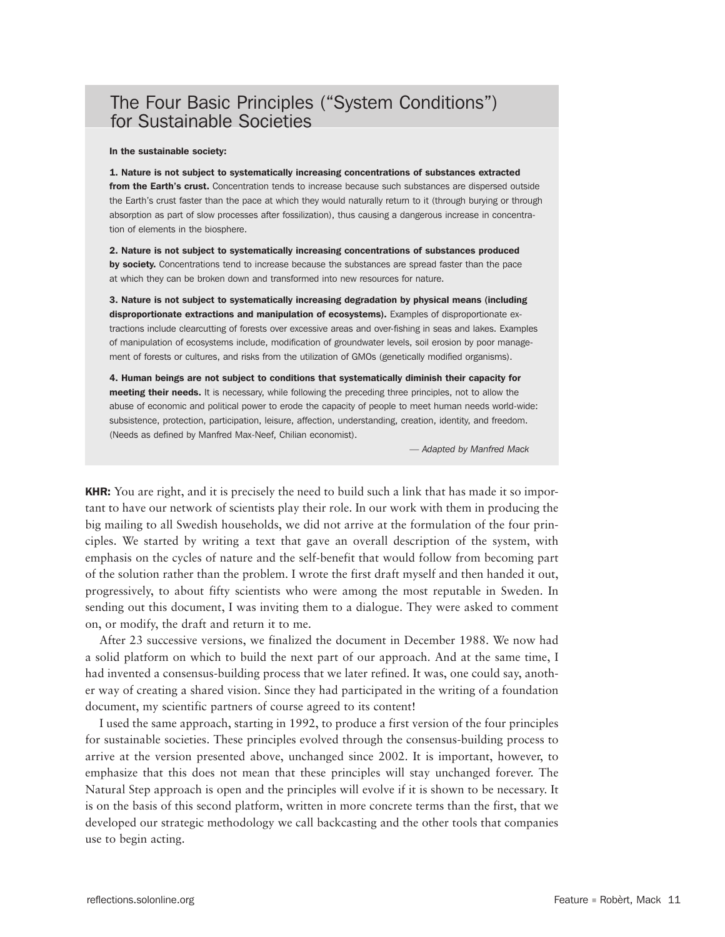### The Four Basic Principles ("System Conditions") for Sustainable Societies

In the sustainable society:

1. Nature is not subject to systematically increasing concentrations of substances extracted from the Earth's crust. Concentration tends to increase because such substances are dispersed outside the Earth's crust faster than the pace at which they would naturally return to it (through burying or through absorption as part of slow processes after fossilization), thus causing a dangerous increase in concentration of elements in the biosphere.

2. Nature is not subject to systematically increasing concentrations of substances produced by society. Concentrations tend to increase because the substances are spread faster than the pace at which they can be broken down and transformed into new resources for nature.

3. Nature is not subject to systematically increasing degradation by physical means (including disproportionate extractions and manipulation of ecosystems). Examples of disproportionate extractions include clearcutting of forests over excessive areas and over-fishing in seas and lakes. Examples of manipulation of ecosystems include, modification of groundwater levels, soil erosion by poor management of forests or cultures, and risks from the utilization of GMOs (genetically modified organisms).

4. Human beings are not subject to conditions that systematically diminish their capacity for meeting their needs. It is necessary, while following the preceding three principles, not to allow the abuse of economic and political power to erode the capacity of people to meet human needs world-wide: subsistence, protection, participation, leisure, affection, understanding, creation, identity, and freedom. (Needs as defined by Manfred Max-Neef, Chilian economist).

*— Adapted by Manfred Mack*

**KHR:** You are right, and it is precisely the need to build such a link that has made it so important to have our network of scientists play their role. In our work with them in producing the big mailing to all Swedish households, we did not arrive at the formulation of the four principles. We started by writing a text that gave an overall description of the system, with emphasis on the cycles of nature and the self-benefit that would follow from becoming part of the solution rather than the problem. I wrote the first draft myself and then handed it out, progressively, to about fifty scientists who were among the most reputable in Sweden. In sending out this document, I was inviting them to a dialogue. They were asked to comment on, or modify, the draft and return it to me.

After 23 successive versions, we finalized the document in December 1988. We now had a solid platform on which to build the next part of our approach. And at the same time, I had invented a consensus-building process that we later refined. It was, one could say, another way of creating a shared vision. Since they had participated in the writing of a foundation document, my scientific partners of course agreed to its content!

I used the same approach, starting in 1992, to produce a first version of the four principles for sustainable societies. These principles evolved through the consensus-building process to arrive at the version presented above, unchanged since 2002. It is important, however, to emphasize that this does not mean that these principles will stay unchanged forever. The Natural Step approach is open and the principles will evolve if it is shown to be necessary. It is on the basis of this second platform, written in more concrete terms than the first, that we developed our strategic methodology we call backcasting and the other tools that companies use to begin acting.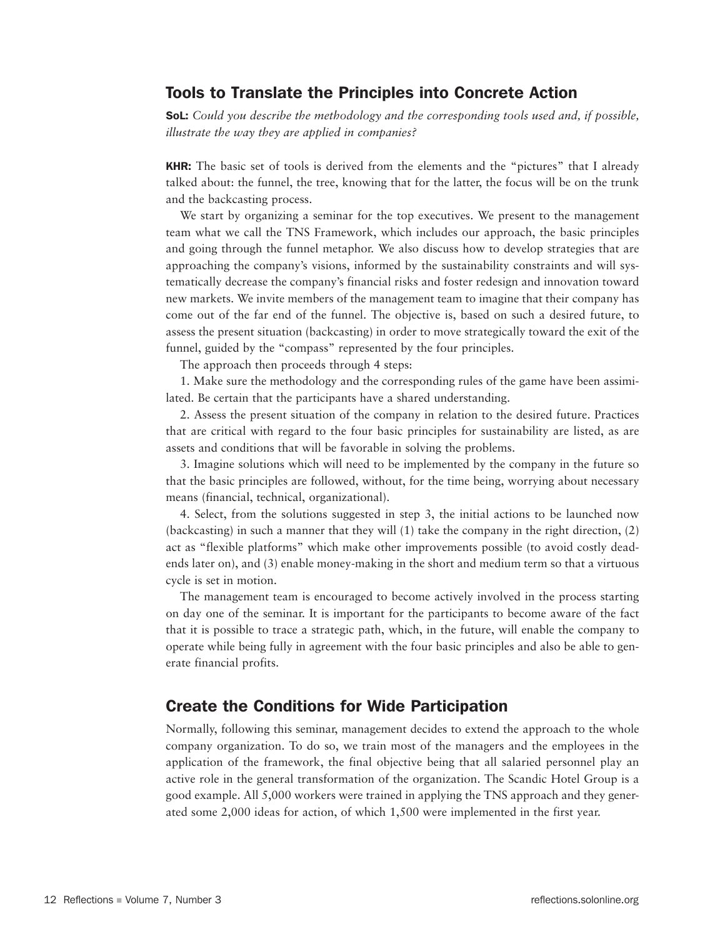### Tools to Translate the Principles into Concrete Action

SoL: *Could you describe the methodology and the corresponding tools used and, if possible, illustrate the way they are applied in companies?*

KHR: The basic set of tools is derived from the elements and the "pictures" that I already talked about: the funnel, the tree, knowing that for the latter, the focus will be on the trunk and the backcasting process.

We start by organizing a seminar for the top executives. We present to the management team what we call the TNS Framework, which includes our approach, the basic principles and going through the funnel metaphor. We also discuss how to develop strategies that are approaching the company's visions, informed by the sustainability constraints and will systematically decrease the company's financial risks and foster redesign and innovation toward new markets. We invite members of the management team to imagine that their company has come out of the far end of the funnel. The objective is, based on such a desired future, to assess the present situation (backcasting) in order to move strategically toward the exit of the funnel, guided by the "compass" represented by the four principles.

The approach then proceeds through 4 steps:

1. Make sure the methodology and the corresponding rules of the game have been assimilated. Be certain that the participants have a shared understanding.

2. Assess the present situation of the company in relation to the desired future. Practices that are critical with regard to the four basic principles for sustainability are listed, as are assets and conditions that will be favorable in solving the problems.

3. Imagine solutions which will need to be implemented by the company in the future so that the basic principles are followed, without, for the time being, worrying about necessary means (financial, technical, organizational).

4. Select, from the solutions suggested in step 3, the initial actions to be launched now (backcasting) in such a manner that they will (1) take the company in the right direction, (2) act as "flexible platforms" which make other improvements possible (to avoid costly deadends later on), and (3) enable money-making in the short and medium term so that a virtuous cycle is set in motion.

The management team is encouraged to become actively involved in the process starting on day one of the seminar. It is important for the participants to become aware of the fact that it is possible to trace a strategic path, which, in the future, will enable the company to operate while being fully in agreement with the four basic principles and also be able to generate financial profits.

### Create the Conditions for Wide Participation

Normally, following this seminar, management decides to extend the approach to the whole company organization. To do so, we train most of the managers and the employees in the application of the framework, the final objective being that all salaried personnel play an active role in the general transformation of the organization. The Scandic Hotel Group is a good example. All 5,000 workers were trained in applying the TNS approach and they generated some 2,000 ideas for action, of which 1,500 were implemented in the first year.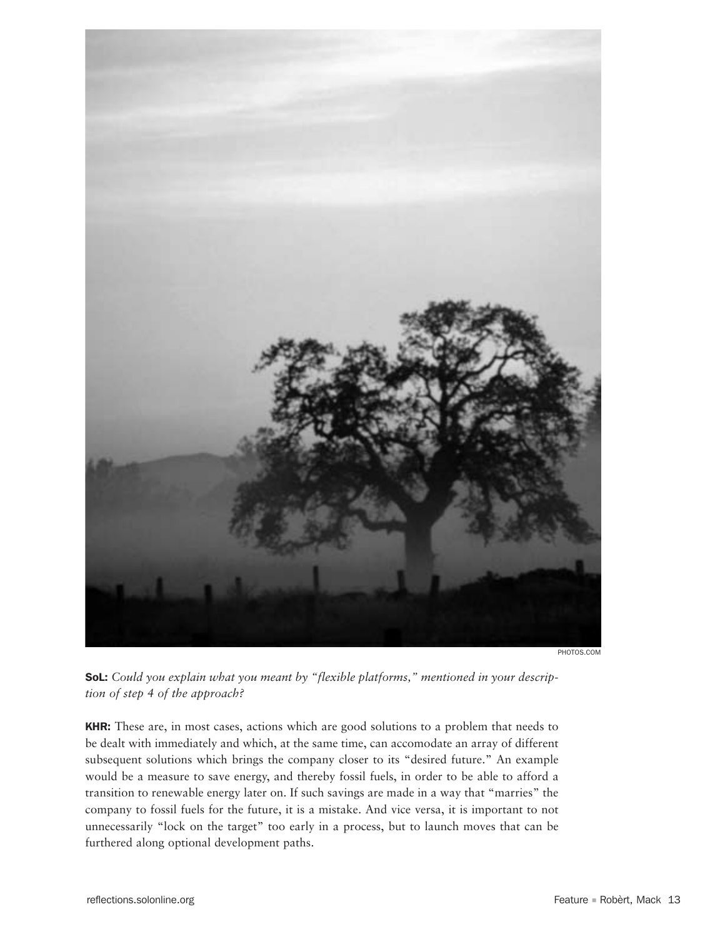

PHOTOS.COM

SoL: *Could you explain what you meant by "flexible platforms," mentioned in your description of step 4 of the approach?*

KHR: These are, in most cases, actions which are good solutions to a problem that needs to be dealt with immediately and which, at the same time, can accomodate an array of different subsequent solutions which brings the company closer to its "desired future." An example would be a measure to save energy, and thereby fossil fuels, in order to be able to afford a transition to renewable energy later on. If such savings are made in a way that "marries" the company to fossil fuels for the future, it is a mistake. And vice versa, it is important to not unnecessarily "lock on the target" too early in a process, but to launch moves that can be furthered along optional development paths.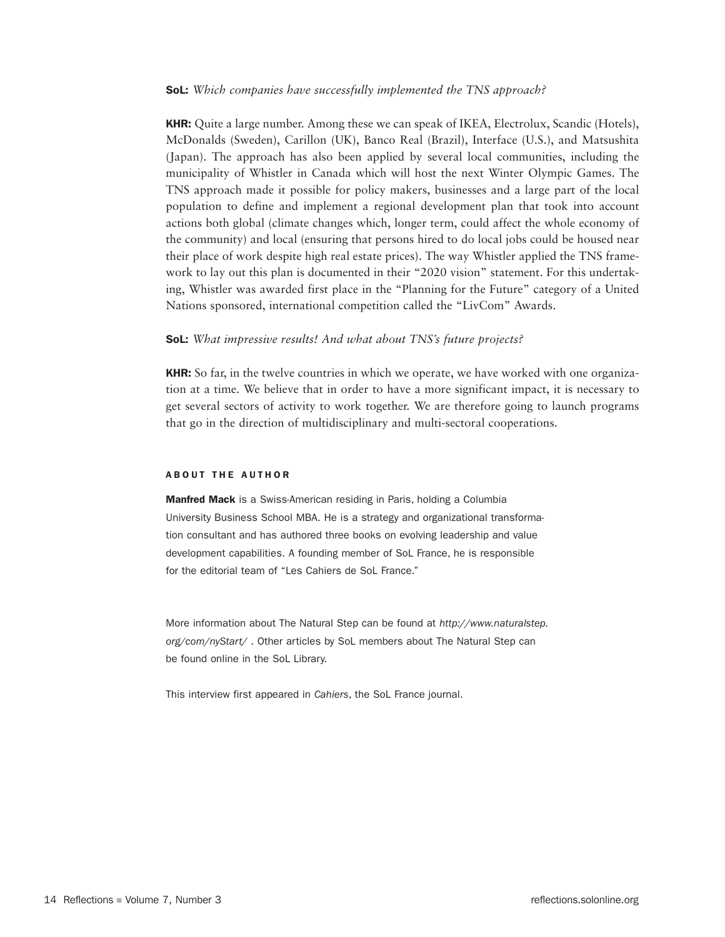### SoL: *Which companies have successfully implemented the TNS approach?*

KHR: Quite a large number. Among these we can speak of IKEA, Electrolux, Scandic (Hotels), McDonalds (Sweden), Carillon (UK), Banco Real (Brazil), Interface (U.S.), and Matsushita (Japan). The approach has also been applied by several local communities, including the municipality of Whistler in Canada which will host the next Winter Olympic Games. The TNS approach made it possible for policy makers, businesses and a large part of the local population to define and implement a regional development plan that took into account actions both global (climate changes which, longer term, could affect the whole economy of the community) and local (ensuring that persons hired to do local jobs could be housed near their place of work despite high real estate prices). The way Whistler applied the TNS framework to lay out this plan is documented in their "2020 vision" statement. For this undertaking, Whistler was awarded first place in the "Planning for the Future" category of a United Nations sponsored, international competition called the "LivCom" Awards.

### SoL: *What impressive results! And what about TNS's future projects?*

KHR: So far, in the twelve countries in which we operate, we have worked with one organization at a time. We believe that in order to have a more significant impact, it is necessary to get several sectors of activity to work together. We are therefore going to launch programs that go in the direction of multidisciplinary and multi-sectoral cooperations.

### **ABOUT THE AUTHOR**

Manfred Mack is a Swiss-American residing in Paris, holding a Columbia University Business School MBA. He is a strategy and organizational transformation consultant and has authored three books on evolving leadership and value development capabilities. A founding member of SoL France, he is responsible for the editorial team of "Les Cahiers de SoL France."

More information about The Natural Step can be found at *http://www.naturalstep. org/com/nyStart/* . Other articles by SoL members about The Natural Step can be found online in the SoL Library.

This interview first appeared in *Cahiers*, the SoL France journal.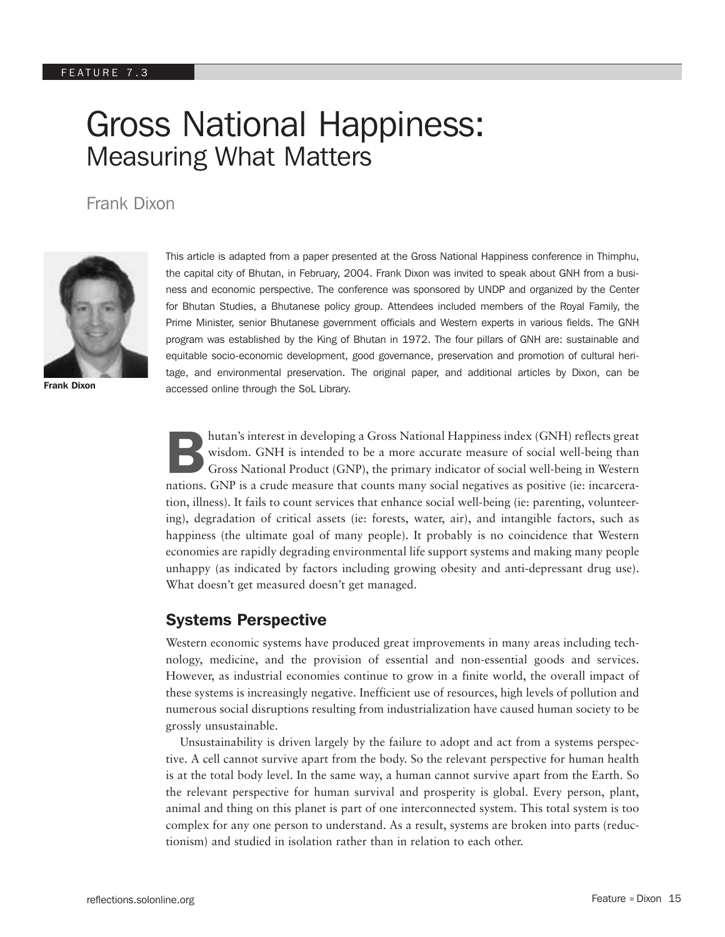### Gross National Happiness: Measuring What Matters

### Frank Dixon



Frank Dixon

This article is adapted from a paper presented at the Gross National Happiness conference in Thimphu, the capital city of Bhutan, in February, 2004. Frank Dixon was invited to speak about GNH from a business and economic perspective. The conference was sponsored by UNDP and organized by the Center for Bhutan Studies, a Bhutanese policy group. Attendees included members of the Royal Family, the Prime Minister, senior Bhutanese government officials and Western experts in various fields. The GNH program was established by the King of Bhutan in 1972. The four pillars of GNH are: sustainable and equitable socio-economic development, good governance, preservation and promotion of cultural heritage, and environmental preservation. The original paper, and additional articles by Dixon, can be accessed online through the SoL Library.

hutan's interest in developing a Gross National Happiness index (GNH) reflects great wisdom. GNH is intended to be a more accurate measure of social well-being than Gross National Product (GNP), the primary indicator of so wisdom. GNH is intended to be a more accurate measure of social well-being than Gross National Product (GNP), the primary indicator of social well-being in Western nations. GNP is a crude measure that counts many social negatives as positive (ie: incarceration, illness). It fails to count services that enhance social well-being (ie: parenting, volunteering), degradation of critical assets (ie: forests, water, air), and intangible factors, such as happiness (the ultimate goal of many people). It probably is no coincidence that Western economies are rapidly degrading environmental life support systems and making many people unhappy (as indicated by factors including growing obesity and anti-depressant drug use). What doesn't get measured doesn't get managed.

### Systems Perspective

Western economic systems have produced great improvements in many areas including technology, medicine, and the provision of essential and non-essential goods and services. However, as industrial economies continue to grow in a finite world, the overall impact of these systems is increasingly negative. Inefficient use of resources, high levels of pollution and numerous social disruptions resulting from industrialization have caused human society to be grossly unsustainable.

Unsustainability is driven largely by the failure to adopt and act from a systems perspective. A cell cannot survive apart from the body. So the relevant perspective for human health is at the total body level. In the same way, a human cannot survive apart from the Earth. So the relevant perspective for human survival and prosperity is global. Every person, plant, animal and thing on this planet is part of one interconnected system. This total system is too complex for any one person to understand. As a result, systems are broken into parts (reductionism) and studied in isolation rather than in relation to each other.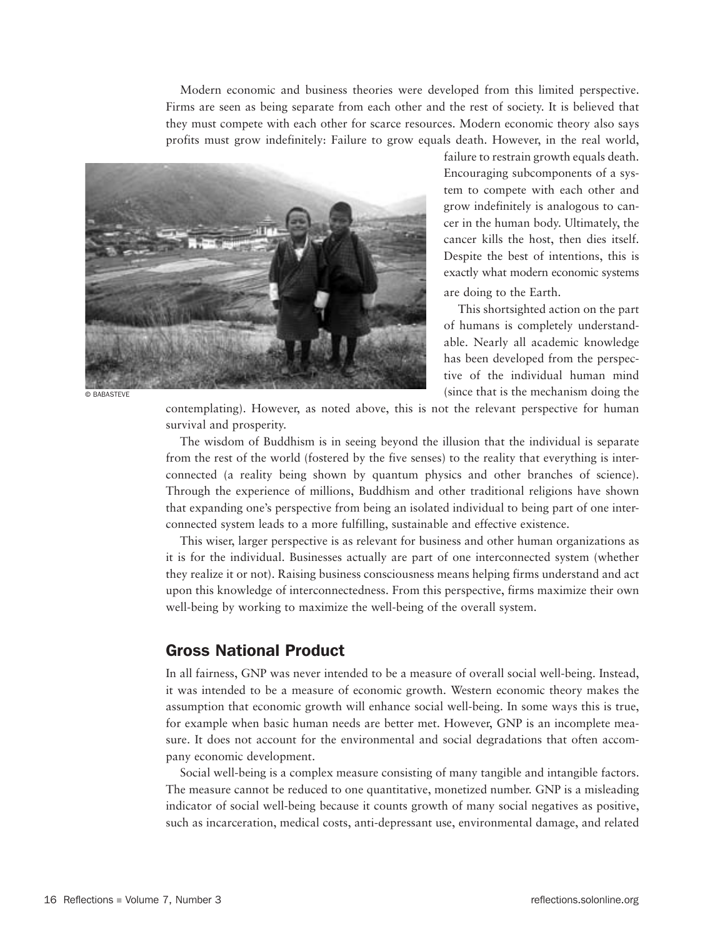Modern economic and business theories were developed from this limited perspective. Firms are seen as being separate from each other and the rest of society. It is believed that they must compete with each other for scarce resources. Modern economic theory also says profits must grow indefinitely: Failure to grow equals death. However, in the real world,



© BABASTEVE

failure to restrain growth equals death. Encouraging subcomponents of a system to compete with each other and grow indefinitely is analogous to cancer in the human body. Ultimately, the cancer kills the host, then dies itself. Despite the best of intentions, this is exactly what modern economic systems are doing to the Earth.

This shortsighted action on the part of humans is completely understandable. Nearly all academic knowledge has been developed from the perspective of the individual human mind (since that is the mechanism doing the

contemplating). However, as noted above, this is not the relevant perspective for human survival and prosperity.

The wisdom of Buddhism is in seeing beyond the illusion that the individual is separate from the rest of the world (fostered by the five senses) to the reality that everything is interconnected (a reality being shown by quantum physics and other branches of science). Through the experience of millions, Buddhism and other traditional religions have shown that expanding one's perspective from being an isolated individual to being part of one interconnected system leads to a more fulfilling, sustainable and effective existence.

This wiser, larger perspective is as relevant for business and other human organizations as it is for the individual. Businesses actually are part of one interconnected system (whether they realize it or not). Raising business consciousness means helping firms understand and act upon this knowledge of interconnectedness. From this perspective, firms maximize their own well-being by working to maximize the well-being of the overall system.

### Gross National Product

In all fairness, GNP was never intended to be a measure of overall social well-being. Instead, it was intended to be a measure of economic growth. Western economic theory makes the assumption that economic growth will enhance social well-being. In some ways this is true, for example when basic human needs are better met. However, GNP is an incomplete measure. It does not account for the environmental and social degradations that often accompany economic development.

Social well-being is a complex measure consisting of many tangible and intangible factors. The measure cannot be reduced to one quantitative, monetized number. GNP is a misleading indicator of social well-being because it counts growth of many social negatives as positive, such as incarceration, medical costs, anti-depressant use, environmental damage, and related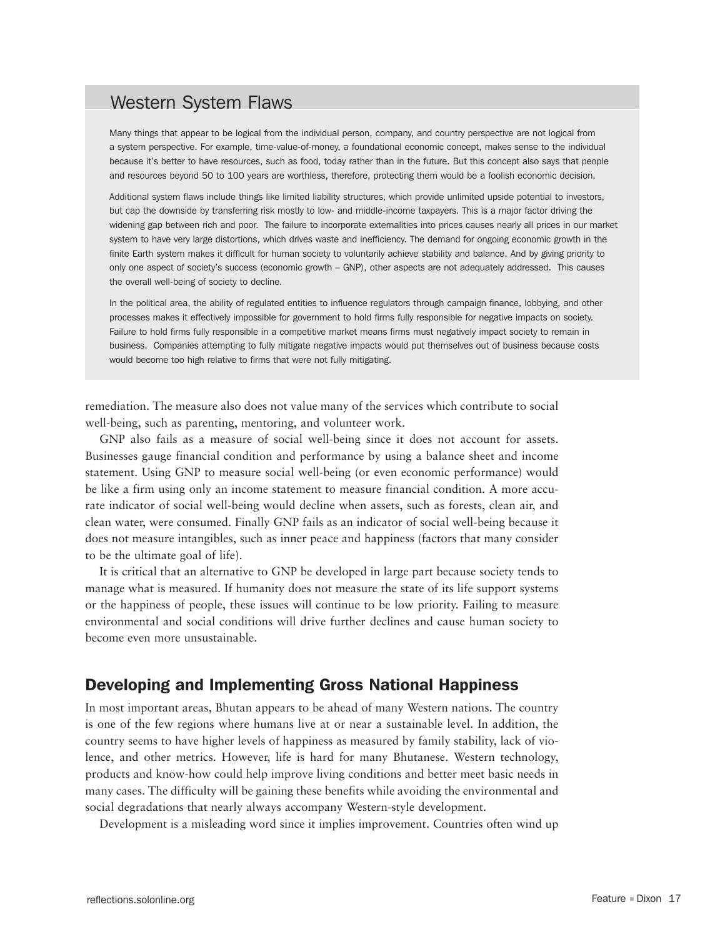### Western System Flaws

Many things that appear to be logical from the individual person, company, and country perspective are not logical from a system perspective. For example, time-value-of-money, a foundational economic concept, makes sense to the individual because it's better to have resources, such as food, today rather than in the future. But this concept also says that people and resources beyond 50 to 100 years are worthless, therefore, protecting them would be a foolish economic decision.

Additional system flaws include things like limited liability structures, which provide unlimited upside potential to investors, but cap the downside by transferring risk mostly to low- and middle-income taxpayers. This is a major factor driving the widening gap between rich and poor. The failure to incorporate externalities into prices causes nearly all prices in our market system to have very large distortions, which drives waste and inefficiency. The demand for ongoing economic growth in the finite Earth system makes it difficult for human society to voluntarily achieve stability and balance. And by giving priority to only one aspect of society's success (economic growth – GNP), other aspects are not adequately addressed. This causes the overall well-being of society to decline.

In the political area, the ability of regulated entities to influence regulators through campaign finance, lobbying, and other processes makes it effectively impossible for government to hold firms fully responsible for negative impacts on society. Failure to hold firms fully responsible in a competitive market means firms must negatively impact society to remain in business. Companies attempting to fully mitigate negative impacts would put themselves out of business because costs would become too high relative to firms that were not fully mitigating.

remediation. The measure also does not value many of the services which contribute to social well-being, such as parenting, mentoring, and volunteer work.

GNP also fails as a measure of social well-being since it does not account for assets. Businesses gauge financial condition and performance by using a balance sheet and income statement. Using GNP to measure social well-being (or even economic performance) would be like a firm using only an income statement to measure financial condition. A more accurate indicator of social well-being would decline when assets, such as forests, clean air, and clean water, were consumed. Finally GNP fails as an indicator of social well-being because it does not measure intangibles, such as inner peace and happiness (factors that many consider to be the ultimate goal of life).

It is critical that an alternative to GNP be developed in large part because society tends to manage what is measured. If humanity does not measure the state of its life support systems or the happiness of people, these issues will continue to be low priority. Failing to measure environmental and social conditions will drive further declines and cause human society to become even more unsustainable.

### Developing and Implementing Gross National Happiness

In most important areas, Bhutan appears to be ahead of many Western nations. The country is one of the few regions where humans live at or near a sustainable level. In addition, the country seems to have higher levels of happiness as measured by family stability, lack of violence, and other metrics. However, life is hard for many Bhutanese. Western technology, products and know-how could help improve living conditions and better meet basic needs in many cases. The difficulty will be gaining these benefits while avoiding the environmental and social degradations that nearly always accompany Western-style development.

Development is a misleading word since it implies improvement. Countries often wind up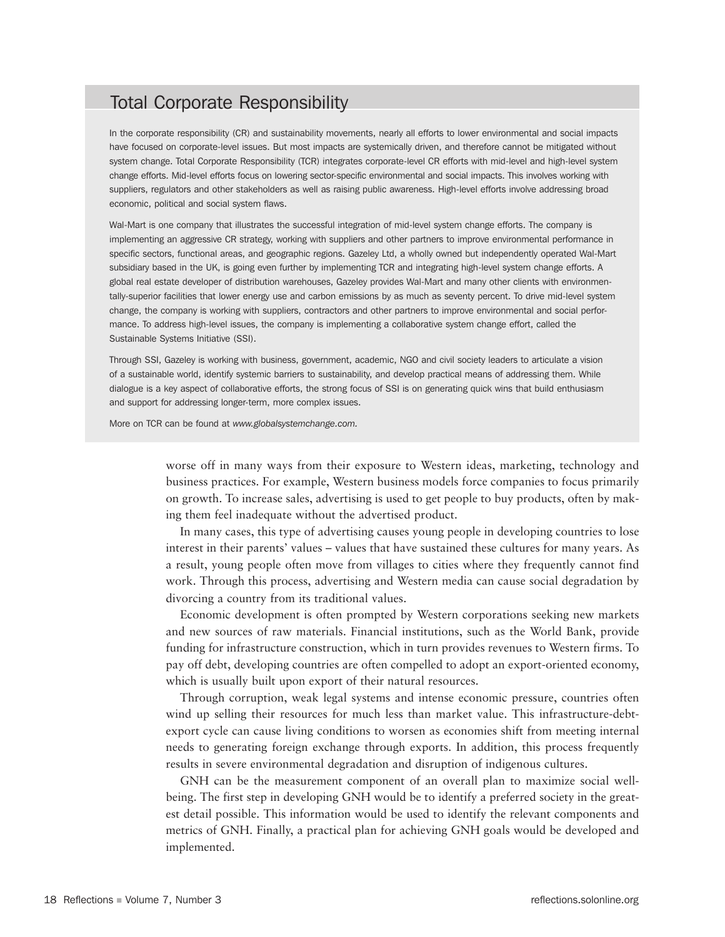### Total Corporate Responsibility

In the corporate responsibility (CR) and sustainability movements, nearly all efforts to lower environmental and social impacts have focused on corporate-level issues. But most impacts are systemically driven, and therefore cannot be mitigated without system change. Total Corporate Responsibility (TCR) integrates corporate-level CR efforts with mid-level and high-level system change efforts. Mid-level efforts focus on lowering sector-specific environmental and social impacts. This involves working with suppliers, regulators and other stakeholders as well as raising public awareness. High-level efforts involve addressing broad economic, political and social system flaws.

Wal-Mart is one company that illustrates the successful integration of mid-level system change efforts. The company is implementing an aggressive CR strategy, working with suppliers and other partners to improve environmental performance in specific sectors, functional areas, and geographic regions. Gazeley Ltd, a wholly owned but independently operated Wal-Mart subsidiary based in the UK, is going even further by implementing TCR and integrating high-level system change efforts. A global real estate developer of distribution warehouses, Gazeley provides Wal-Mart and many other clients with environmentally-superior facilities that lower energy use and carbon emissions by as much as seventy percent. To drive mid-level system change, the company is working with suppliers, contractors and other partners to improve environmental and social performance. To address high-level issues, the company is implementing a collaborative system change effort, called the Sustainable Systems Initiative (SSI).

Through SSI, Gazeley is working with business, government, academic, NGO and civil society leaders to articulate a vision of a sustainable world, identify systemic barriers to sustainability, and develop practical means of addressing them. While dialogue is a key aspect of collaborative efforts, the strong focus of SSI is on generating quick wins that build enthusiasm and support for addressing longer-term, more complex issues.

More on TCR can be found at *www.globalsystemchange.com.*

worse off in many ways from their exposure to Western ideas, marketing, technology and business practices. For example, Western business models force companies to focus primarily on growth. To increase sales, advertising is used to get people to buy products, often by making them feel inadequate without the advertised product.

In many cases, this type of advertising causes young people in developing countries to lose interest in their parents' values – values that have sustained these cultures for many years. As a result, young people often move from villages to cities where they frequently cannot find work. Through this process, advertising and Western media can cause social degradation by divorcing a country from its traditional values.

Economic development is often prompted by Western corporations seeking new markets and new sources of raw materials. Financial institutions, such as the World Bank, provide funding for infrastructure construction, which in turn provides revenues to Western firms. To pay off debt, developing countries are often compelled to adopt an export-oriented economy, which is usually built upon export of their natural resources.

Through corruption, weak legal systems and intense economic pressure, countries often wind up selling their resources for much less than market value. This infrastructure-debtexport cycle can cause living conditions to worsen as economies shift from meeting internal needs to generating foreign exchange through exports. In addition, this process frequently results in severe environmental degradation and disruption of indigenous cultures.

GNH can be the measurement component of an overall plan to maximize social wellbeing. The first step in developing GNH would be to identify a preferred society in the greatest detail possible. This information would be used to identify the relevant components and metrics of GNH. Finally, a practical plan for achieving GNH goals would be developed and implemented.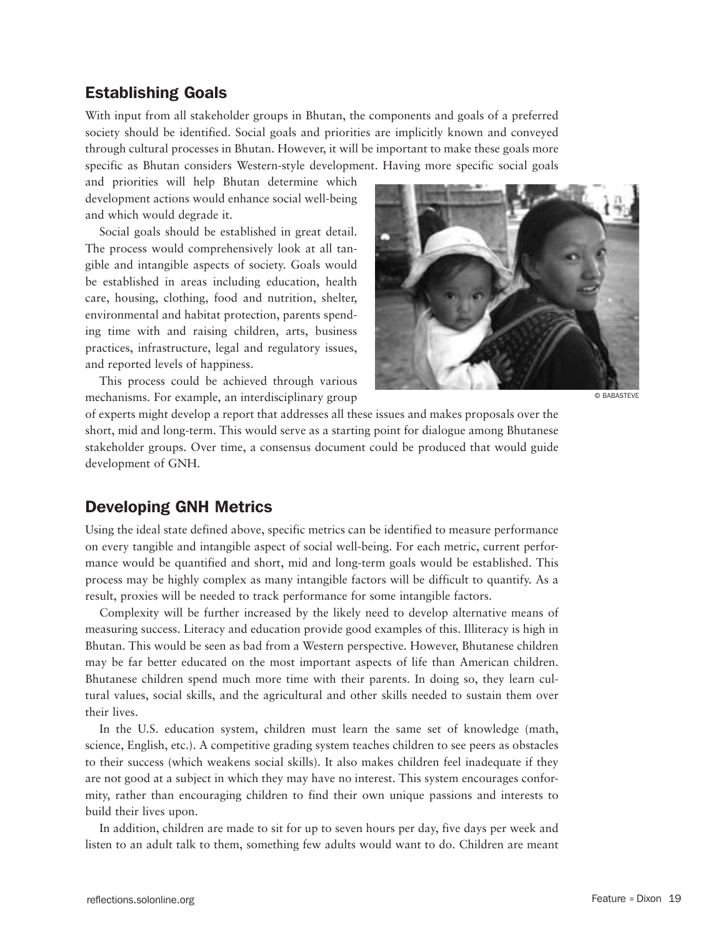### Establishing Goals

With input from all stakeholder groups in Bhutan, the components and goals of a preferred society should be identified. Social goals and priorities are implicitly known and conveyed through cultural processes in Bhutan. However, it will be important to make these goals more specific as Bhutan considers Western-style development. Having more specific social goals

and priorities will help Bhutan determine which development actions would enhance social well-being and which would degrade it.

Social goals should be established in great detail. The process would comprehensively look at all tangible and intangible aspects of society. Goals would be established in areas including education, health care, housing, clothing, food and nutrition, shelter, environmental and habitat protection, parents spending time with and raising children, arts, business practices, infrastructure, legal and regulatory issues, and reported levels of happiness.

This process could be achieved through various mechanisms. For example, an interdisciplinary group



© BABASTEVE

of experts might develop a report that addresses all these issues and makes proposals over the short, mid and long-term. This would serve as a starting point for dialogue among Bhutanese stakeholder groups. Over time, a consensus document could be produced that would guide development of GNH.

### Developing GNH Metrics

Using the ideal state defined above, specific metrics can be identified to measure performance on every tangible and intangible aspect of social well-being. For each metric, current performance would be quantified and short, mid and long-term goals would be established. This process may be highly complex as many intangible factors will be difficult to quantify. As a result, proxies will be needed to track performance for some intangible factors.

Complexity will be further increased by the likely need to develop alternative means of measuring success. Literacy and education provide good examples of this. Illiteracy is high in Bhutan. This would be seen as bad from a Western perspective. However, Bhutanese children may be far better educated on the most important aspects of life than American children. Bhutanese children spend much more time with their parents. In doing so, they learn cultural values, social skills, and the agricultural and other skills needed to sustain them over their lives.

In the U.S. education system, children must learn the same set of knowledge (math, science, English, etc.). A competitive grading system teaches children to see peers as obstacles to their success (which weakens social skills). It also makes children feel inadequate if they are not good at a subject in which they may have no interest. This system encourages conformity, rather than encouraging children to find their own unique passions and interests to build their lives upon.

In addition, children are made to sit for up to seven hours per day, five days per week and listen to an adult talk to them, something few adults would want to do. Children are meant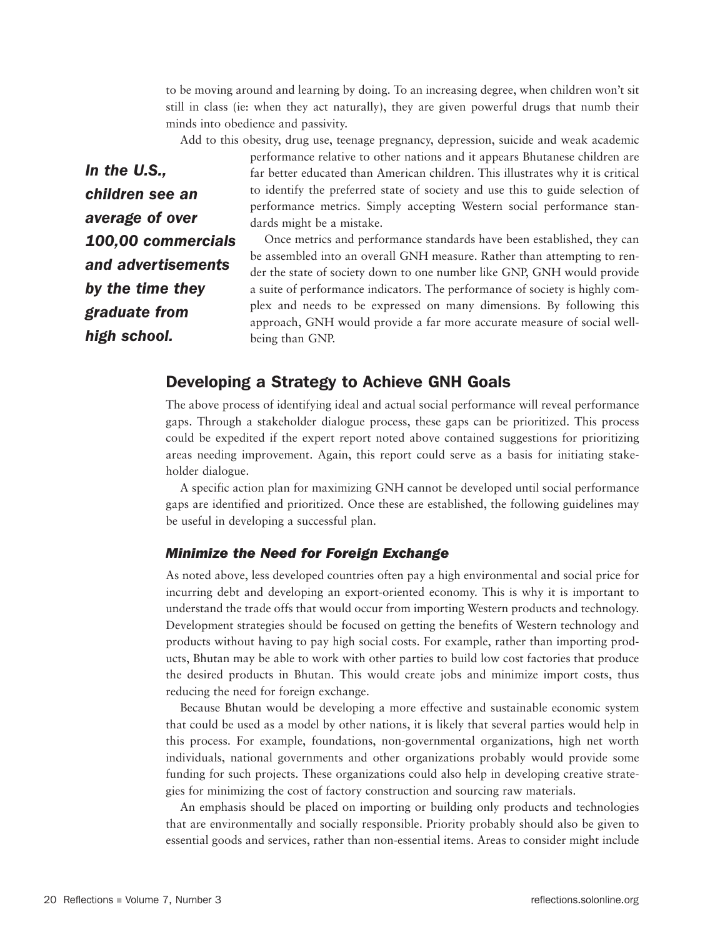to be moving around and learning by doing. To an increasing degree, when children won't sit still in class (ie: when they act naturally), they are given powerful drugs that numb their minds into obedience and passivity.

Add to this obesity, drug use, teenage pregnancy, depression, suicide and weak academic

*In the U.S., children see an average of over 100,00 commercials and advertisements by the time they graduate from high school.*

performance relative to other nations and it appears Bhutanese children are far better educated than American children. This illustrates why it is critical to identify the preferred state of society and use this to guide selection of performance metrics. Simply accepting Western social performance standards might be a mistake.

Once metrics and performance standards have been established, they can be assembled into an overall GNH measure. Rather than attempting to render the state of society down to one number like GNP, GNH would provide a suite of performance indicators. The performance of society is highly complex and needs to be expressed on many dimensions. By following this approach, GNH would provide a far more accurate measure of social wellbeing than GNP.

### Developing a Strategy to Achieve GNH Goals

The above process of identifying ideal and actual social performance will reveal performance gaps. Through a stakeholder dialogue process, these gaps can be prioritized. This process could be expedited if the expert report noted above contained suggestions for prioritizing areas needing improvement. Again, this report could serve as a basis for initiating stakeholder dialogue.

A specific action plan for maximizing GNH cannot be developed until social performance gaps are identified and prioritized. Once these are established, the following guidelines may be useful in developing a successful plan.

### *Minimize the Need for Foreign Exchange*

As noted above, less developed countries often pay a high environmental and social price for incurring debt and developing an export-oriented economy. This is why it is important to understand the trade offs that would occur from importing Western products and technology. Development strategies should be focused on getting the benefits of Western technology and products without having to pay high social costs. For example, rather than importing products, Bhutan may be able to work with other parties to build low cost factories that produce the desired products in Bhutan. This would create jobs and minimize import costs, thus reducing the need for foreign exchange.

Because Bhutan would be developing a more effective and sustainable economic system that could be used as a model by other nations, it is likely that several parties would help in this process. For example, foundations, non-governmental organizations, high net worth individuals, national governments and other organizations probably would provide some funding for such projects. These organizations could also help in developing creative strategies for minimizing the cost of factory construction and sourcing raw materials.

An emphasis should be placed on importing or building only products and technologies that are environmentally and socially responsible. Priority probably should also be given to essential goods and services, rather than non-essential items. Areas to consider might include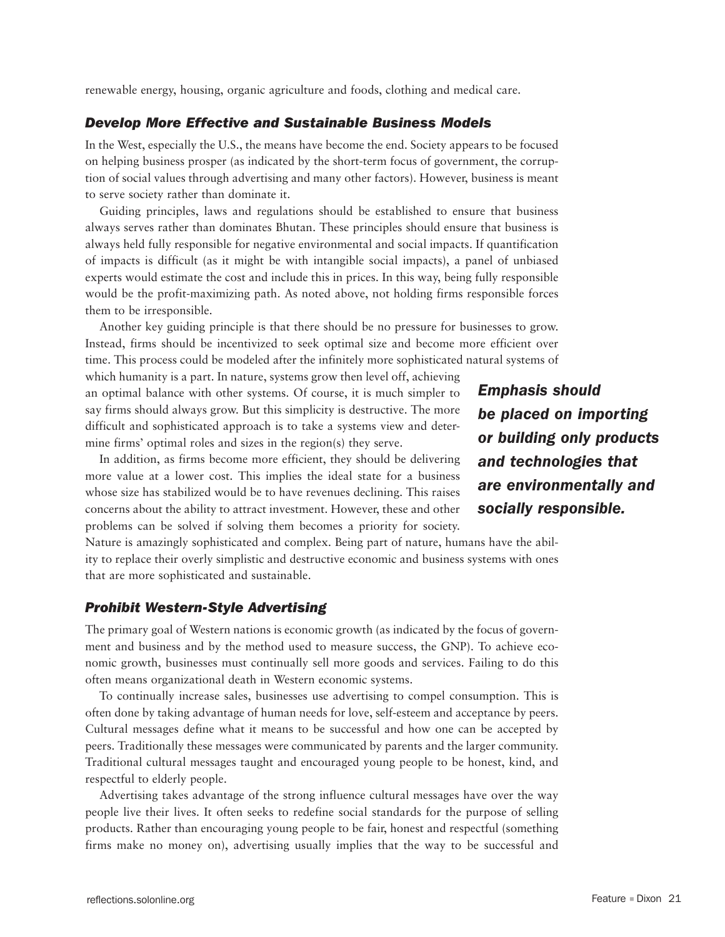renewable energy, housing, organic agriculture and foods, clothing and medical care.

### *Develop More Effective and Sustainable Business Models*

In the West, especially the U.S., the means have become the end. Society appears to be focused on helping business prosper (as indicated by the short-term focus of government, the corruption of social values through advertising and many other factors). However, business is meant to serve society rather than dominate it.

Guiding principles, laws and regulations should be established to ensure that business always serves rather than dominates Bhutan. These principles should ensure that business is always held fully responsible for negative environmental and social impacts. If quantification of impacts is difficult (as it might be with intangible social impacts), a panel of unbiased experts would estimate the cost and include this in prices. In this way, being fully responsible would be the profit-maximizing path. As noted above, not holding firms responsible forces them to be irresponsible.

Another key guiding principle is that there should be no pressure for businesses to grow. Instead, firms should be incentivized to seek optimal size and become more efficient over time. This process could be modeled after the infinitely more sophisticated natural systems of

which humanity is a part. In nature, systems grow then level off, achieving an optimal balance with other systems. Of course, it is much simpler to say firms should always grow. But this simplicity is destructive. The more difficult and sophisticated approach is to take a systems view and determine firms' optimal roles and sizes in the region(s) they serve.

In addition, as firms become more efficient, they should be delivering more value at a lower cost. This implies the ideal state for a business whose size has stabilized would be to have revenues declining. This raises concerns about the ability to attract investment. However, these and other problems can be solved if solving them becomes a priority for society.

Nature is amazingly sophisticated and complex. Being part of nature, humans have the ability to replace their overly simplistic and destructive economic and business systems with ones that are more sophisticated and sustainable.

### *Prohibit Western-Style Advertising*

The primary goal of Western nations is economic growth (as indicated by the focus of government and business and by the method used to measure success, the GNP). To achieve economic growth, businesses must continually sell more goods and services. Failing to do this often means organizational death in Western economic systems.

To continually increase sales, businesses use advertising to compel consumption. This is often done by taking advantage of human needs for love, self-esteem and acceptance by peers. Cultural messages define what it means to be successful and how one can be accepted by peers. Traditionally these messages were communicated by parents and the larger community. Traditional cultural messages taught and encouraged young people to be honest, kind, and respectful to elderly people.

Advertising takes advantage of the strong influence cultural messages have over the way people live their lives. It often seeks to redefine social standards for the purpose of selling products. Rather than encouraging young people to be fair, honest and respectful (something firms make no money on), advertising usually implies that the way to be successful and

*Emphasis should be placed on importing or building only products and technologies that are environmentally and socially responsible.*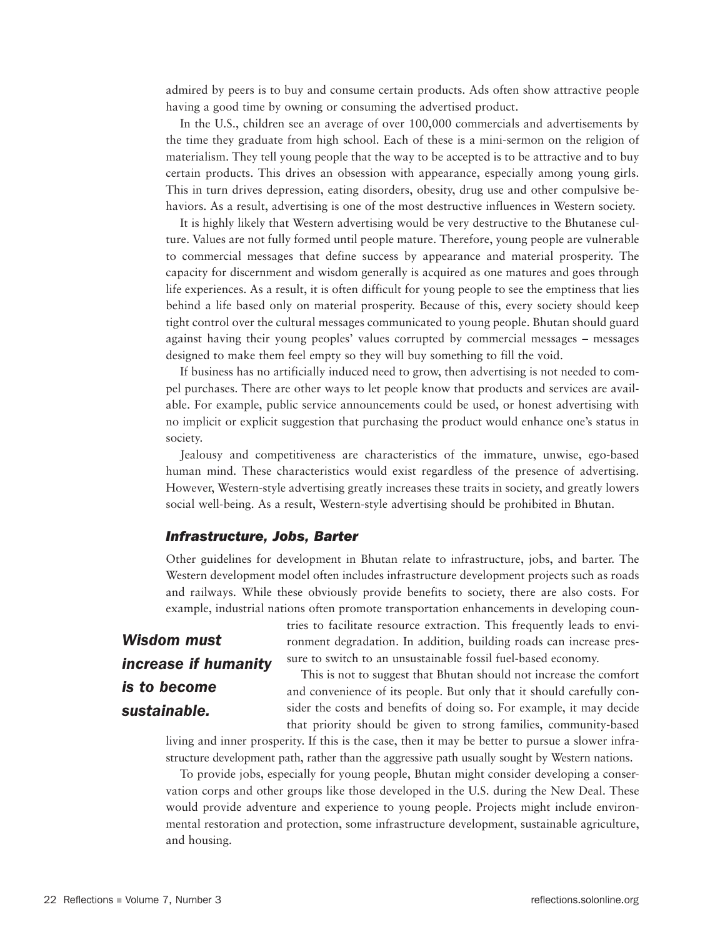admired by peers is to buy and consume certain products. Ads often show attractive people having a good time by owning or consuming the advertised product.

In the U.S., children see an average of over 100,000 commercials and advertisements by the time they graduate from high school. Each of these is a mini-sermon on the religion of materialism. They tell young people that the way to be accepted is to be attractive and to buy certain products. This drives an obsession with appearance, especially among young girls. This in turn drives depression, eating disorders, obesity, drug use and other compulsive behaviors. As a result, advertising is one of the most destructive influences in Western society.

It is highly likely that Western advertising would be very destructive to the Bhutanese culture. Values are not fully formed until people mature. Therefore, young people are vulnerable to commercial messages that define success by appearance and material prosperity. The capacity for discernment and wisdom generally is acquired as one matures and goes through life experiences. As a result, it is often difficult for young people to see the emptiness that lies behind a life based only on material prosperity. Because of this, every society should keep tight control over the cultural messages communicated to young people. Bhutan should guard against having their young peoples' values corrupted by commercial messages – messages designed to make them feel empty so they will buy something to fill the void.

If business has no artificially induced need to grow, then advertising is not needed to compel purchases. There are other ways to let people know that products and services are available. For example, public service announcements could be used, or honest advertising with no implicit or explicit suggestion that purchasing the product would enhance one's status in society.

Jealousy and competitiveness are characteristics of the immature, unwise, ego-based human mind. These characteristics would exist regardless of the presence of advertising. However, Western-style advertising greatly increases these traits in society, and greatly lowers social well-being. As a result, Western-style advertising should be prohibited in Bhutan.

### *Infrastructure, Jobs, Barter*

Other guidelines for development in Bhutan relate to infrastructure, jobs, and barter. The Western development model often includes infrastructure development projects such as roads and railways. While these obviously provide benefits to society, there are also costs. For example, industrial nations often promote transportation enhancements in developing coun-

### *Wisdom must increase if humanity is to become sustainable.*

tries to facilitate resource extraction. This frequently leads to environment degradation. In addition, building roads can increase pressure to switch to an unsustainable fossil fuel-based economy.

This is not to suggest that Bhutan should not increase the comfort and convenience of its people. But only that it should carefully consider the costs and benefits of doing so. For example, it may decide that priority should be given to strong families, community-based

living and inner prosperity. If this is the case, then it may be better to pursue a slower infrastructure development path, rather than the aggressive path usually sought by Western nations.

To provide jobs, especially for young people, Bhutan might consider developing a conservation corps and other groups like those developed in the U.S. during the New Deal. These would provide adventure and experience to young people. Projects might include environmental restoration and protection, some infrastructure development, sustainable agriculture, and housing.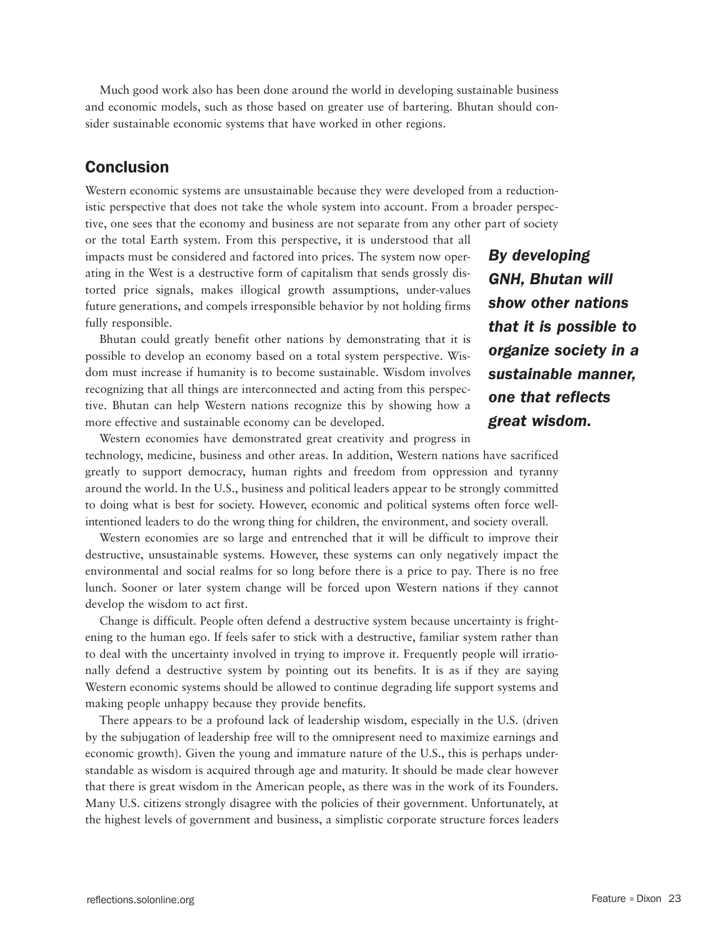Much good work also has been done around the world in developing sustainable business and economic models, such as those based on greater use of bartering. Bhutan should consider sustainable economic systems that have worked in other regions.

### **Conclusion**

Western economic systems are unsustainable because they were developed from a reductionistic perspective that does not take the whole system into account. From a broader perspective, one sees that the economy and business are not separate from any other part of society

or the total Earth system. From this perspective, it is understood that all impacts must be considered and factored into prices. The system now operating in the West is a destructive form of capitalism that sends grossly distorted price signals, makes illogical growth assumptions, under-values future generations, and compels irresponsible behavior by not holding firms fully responsible.

Bhutan could greatly benefit other nations by demonstrating that it is possible to develop an economy based on a total system perspective. Wisdom must increase if humanity is to become sustainable. Wisdom involves recognizing that all things are interconnected and acting from this perspective. Bhutan can help Western nations recognize this by showing how a more effective and sustainable economy can be developed.

*By developing GNH, Bhutan will show other nations that it is possible to organize society in a sustainable manner, one that reflects great wisdom.*

Western economies have demonstrated great creativity and progress in technology, medicine, business and other areas. In addition, Western nations have sacrificed greatly to support democracy, human rights and freedom from oppression and tyranny around the world. In the U.S., business and political leaders appear to be strongly committed to doing what is best for society. However, economic and political systems often force wellintentioned leaders to do the wrong thing for children, the environment, and society overall.

Western economies are so large and entrenched that it will be difficult to improve their destructive, unsustainable systems. However, these systems can only negatively impact the environmental and social realms for so long before there is a price to pay. There is no free lunch. Sooner or later system change will be forced upon Western nations if they cannot develop the wisdom to act first.

Change is difficult. People often defend a destructive system because uncertainty is frightening to the human ego. If feels safer to stick with a destructive, familiar system rather than to deal with the uncertainty involved in trying to improve it. Frequently people will irrationally defend a destructive system by pointing out its benefits. It is as if they are saying Western economic systems should be allowed to continue degrading life support systems and making people unhappy because they provide benefits.

There appears to be a profound lack of leadership wisdom, especially in the U.S. (driven by the subjugation of leadership free will to the omnipresent need to maximize earnings and economic growth). Given the young and immature nature of the U.S., this is perhaps understandable as wisdom is acquired through age and maturity. It should be made clear however that there is great wisdom in the American people, as there was in the work of its Founders. Many U.S. citizens strongly disagree with the policies of their government. Unfortunately, at the highest levels of government and business, a simplistic corporate structure forces leaders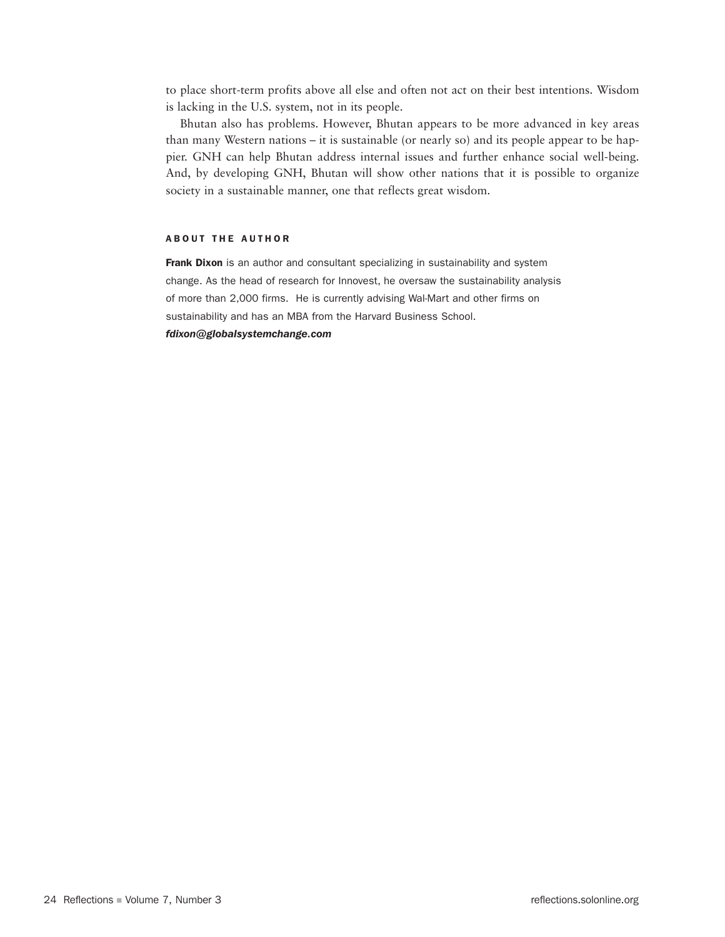to place short-term profits above all else and often not act on their best intentions. Wisdom is lacking in the U.S. system, not in its people.

Bhutan also has problems. However, Bhutan appears to be more advanced in key areas than many Western nations – it is sustainable (or nearly so) and its people appear to be happier. GNH can help Bhutan address internal issues and further enhance social well-being. And, by developing GNH, Bhutan will show other nations that it is possible to organize society in a sustainable manner, one that reflects great wisdom.

### **ABOUT THE AUTHOR**

Frank Dixon is an author and consultant specializing in sustainability and system change. As the head of research for Innovest, he oversaw the sustainability analysis of more than 2,000 firms. He is currently advising Wal-Mart and other firms on sustainability and has an MBA from the Harvard Business School. *fdixon@globalsystemchange.com*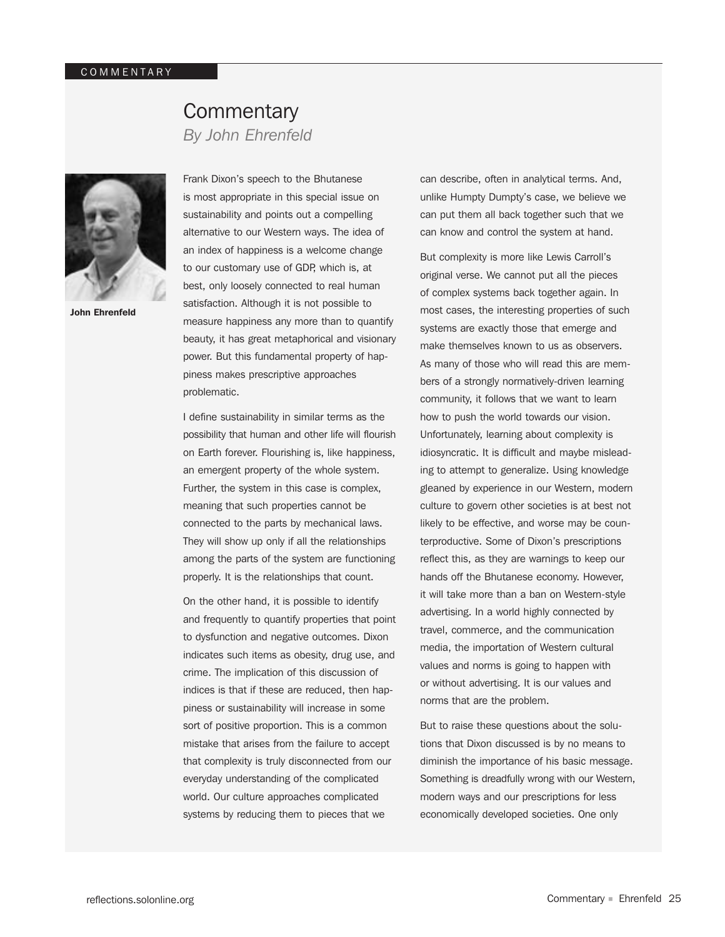### **Commentary** *By John Ehrenfeld*



John Ehrenfeld

Frank Dixon's speech to the Bhutanese is most appropriate in this special issue on sustainability and points out a compelling alternative to our Western ways. The idea of an index of happiness is a welcome change to our customary use of GDP, which is, at best, only loosely connected to real human satisfaction. Although it is not possible to measure happiness any more than to quantify beauty, it has great metaphorical and visionary power. But this fundamental property of happiness makes prescriptive approaches problematic.

I define sustainability in similar terms as the possibility that human and other life will flourish on Earth forever. Flourishing is, like happiness, an emergent property of the whole system. Further, the system in this case is complex, meaning that such properties cannot be connected to the parts by mechanical laws. They will show up only if all the relationships among the parts of the system are functioning properly. It is the relationships that count.

On the other hand, it is possible to identify and frequently to quantify properties that point to dysfunction and negative outcomes. Dixon indicates such items as obesity, drug use, and crime. The implication of this discussion of indices is that if these are reduced, then happiness or sustainability will increase in some sort of positive proportion. This is a common mistake that arises from the failure to accept that complexity is truly disconnected from our everyday understanding of the complicated world. Our culture approaches complicated systems by reducing them to pieces that we

can describe, often in analytical terms. And, unlike Humpty Dumpty's case, we believe we can put them all back together such that we can know and control the system at hand.

But complexity is more like Lewis Carroll's original verse. We cannot put all the pieces of complex systems back together again. In most cases, the interesting properties of such systems are exactly those that emerge and make themselves known to us as observers. As many of those who will read this are members of a strongly normatively-driven learning community, it follows that we want to learn how to push the world towards our vision. Unfortunately, learning about complexity is idiosyncratic. It is difficult and maybe misleading to attempt to generalize. Using knowledge gleaned by experience in our Western, modern culture to govern other societies is at best not likely to be effective, and worse may be counterproductive. Some of Dixon's prescriptions reflect this, as they are warnings to keep our hands off the Bhutanese economy. However, it will take more than a ban on Western-style advertising. In a world highly connected by travel, commerce, and the communication media, the importation of Western cultural values and norms is going to happen with or without advertising. It is our values and norms that are the problem.

But to raise these questions about the solutions that Dixon discussed is by no means to diminish the importance of his basic message. Something is dreadfully wrong with our Western, modern ways and our prescriptions for less economically developed societies. One only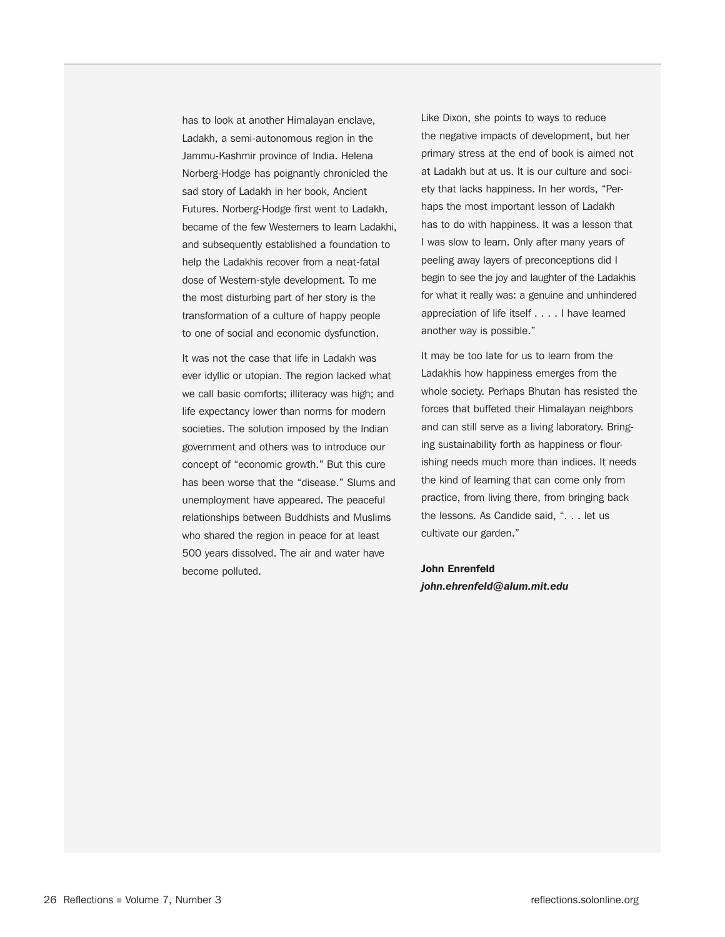has to look at another Himalayan enclave, Ladakh, a semi-autonomous region in the Jammu-Kashmir province of India. Helena Norberg-Hodge has poignantly chronicled the sad story of Ladakh in her book, Ancient Futures. Norberg-Hodge first went to Ladakh, became of the few Westerners to learn Ladakhi, and subsequently established a foundation to help the Ladakhis recover from a neat-fatal dose of Western-style development. To me the most disturbing part of her story is the transformation of a culture of happy people to one of social and economic dysfunction.

It was not the case that life in Ladakh was ever idyllic or utopian. The region lacked what we call basic comforts; illiteracy was high; and life expectancy lower than norms for modern societies. The solution imposed by the Indian government and others was to introduce our concept of "economic growth." But this cure has been worse that the "disease." Slums and unemployment have appeared. The peaceful relationships between Buddhists and Muslims who shared the region in peace for at least 500 years dissolved. The air and water have become polluted.

Like Dixon, she points to ways to reduce the negative impacts of development, but her primary stress at the end of book is aimed not at Ladakh but at us. It is our culture and society that lacks happiness. In her words, "Perhaps the most important lesson of Ladakh has to do with happiness. It was a lesson that I was slow to learn. Only after many years of peeling away layers of preconceptions did I begin to see the joy and laughter of the Ladakhis for what it really was: a genuine and unhindered appreciation of life itself . . . . I have learned another way is possible."

It may be too late for us to learn from the Ladakhis how happiness emerges from the whole society. Perhaps Bhutan has resisted the forces that buffeted their Himalayan neighbors and can still serve as a living laboratory. Bringing sustainability forth as happiness or flourishing needs much more than indices. It needs the kind of learning that can come only from practice, from living there, from bringing back the lessons. As Candide said, ". . . let us cultivate our garden."

John Enrenfeld *john.ehrenfeld@alum.mit.edu*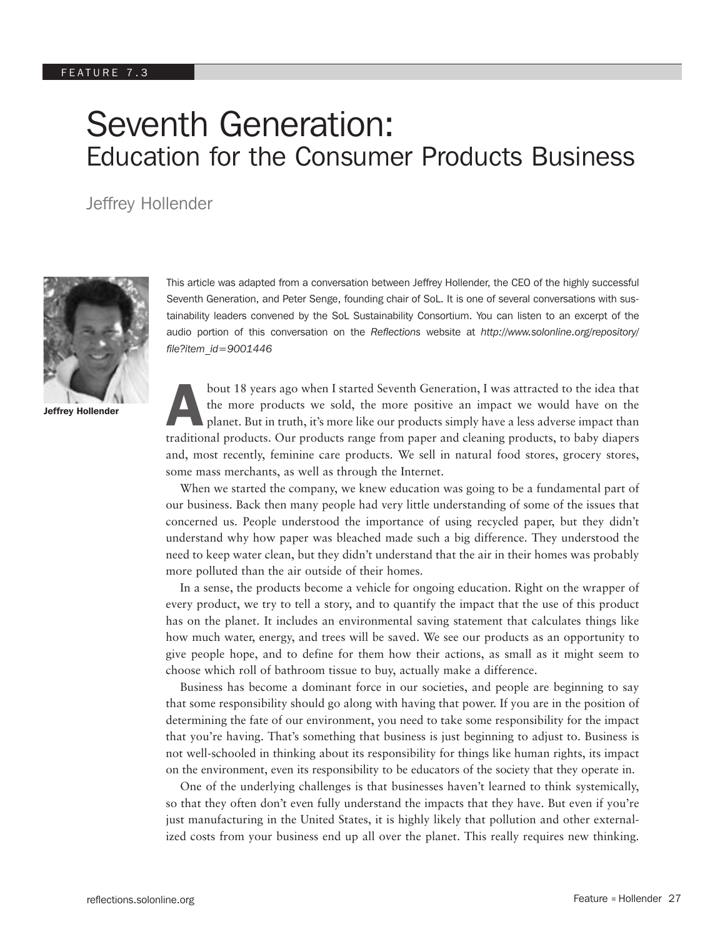## Education for the Consumer Products Business

Jeffrey Hollender



Jeffrey Hollender

This article was adapted from a conversation between Jeffrey Hollender, the CEO of the highly successful Seventh Generation, and Peter Senge, founding chair of SoL. It is one of several conversations with sustainability leaders convened by the SoL Sustainability Consortium. You can listen to an excerpt of the audio portion of this conversation on the *Reflections* website at *http://www.solonline.org/repository/ file?item\_id=9001446*

**Seventh Generation:**<br> **Education for the Consumer Products Business and the serveral server and the server and the server and the server and the server and the server and the server and the server and the server and the** bout 18 years ago when I started Seventh Generation, I was attracted to the idea that the more products we sold, the more positive an impact we would have on the planet. But in truth, it's more like our products simply hav the more products we sold, the more positive an impact we would have on the planet. But in truth, it's more like our products simply have a less adverse impact than traditional products. Our products range from paper and cleaning products, to baby diapers and, most recently, feminine care products. We sell in natural food stores, grocery stores, some mass merchants, as well as through the Internet.

When we started the company, we knew education was going to be a fundamental part of our business. Back then many people had very little understanding of some of the issues that concerned us. People understood the importance of using recycled paper, but they didn't understand why how paper was bleached made such a big difference. They understood the need to keep water clean, but they didn't understand that the air in their homes was probably more polluted than the air outside of their homes.

In a sense, the products become a vehicle for ongoing education. Right on the wrapper of every product, we try to tell a story, and to quantify the impact that the use of this product has on the planet. It includes an environmental saving statement that calculates things like how much water, energy, and trees will be saved. We see our products as an opportunity to give people hope, and to define for them how their actions, as small as it might seem to choose which roll of bathroom tissue to buy, actually make a difference.

Business has become a dominant force in our societies, and people are beginning to say that some responsibility should go along with having that power. If you are in the position of determining the fate of our environment, you need to take some responsibility for the impact that you're having. That's something that business is just beginning to adjust to. Business is not well-schooled in thinking about its responsibility for things like human rights, its impact on the environment, even its responsibility to be educators of the society that they operate in.

One of the underlying challenges is that businesses haven't learned to think systemically, so that they often don't even fully understand the impacts that they have. But even if you're just manufacturing in the United States, it is highly likely that pollution and other externalized costs from your business end up all over the planet. This really requires new thinking.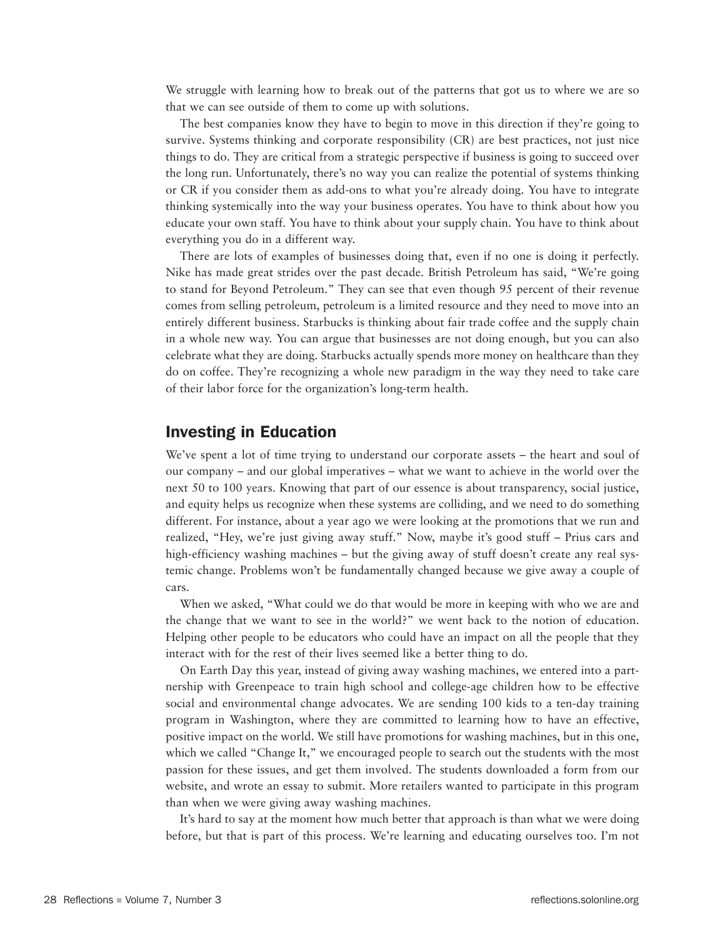We struggle with learning how to break out of the patterns that got us to where we are so that we can see outside of them to come up with solutions.

The best companies know they have to begin to move in this direction if they're going to survive. Systems thinking and corporate responsibility (CR) are best practices, not just nice things to do. They are critical from a strategic perspective if business is going to succeed over the long run. Unfortunately, there's no way you can realize the potential of systems thinking or CR if you consider them as add-ons to what you're already doing. You have to integrate thinking systemically into the way your business operates. You have to think about how you educate your own staff. You have to think about your supply chain. You have to think about everything you do in a different way.

There are lots of examples of businesses doing that, even if no one is doing it perfectly. Nike has made great strides over the past decade. British Petroleum has said, "We're going to stand for Beyond Petroleum." They can see that even though 95 percent of their revenue comes from selling petroleum, petroleum is a limited resource and they need to move into an entirely different business. Starbucks is thinking about fair trade coffee and the supply chain in a whole new way. You can argue that businesses are not doing enough, but you can also celebrate what they are doing. Starbucks actually spends more money on healthcare than they do on coffee. They're recognizing a whole new paradigm in the way they need to take care of their labor force for the organization's long-term health.

### Investing in Education

We've spent a lot of time trying to understand our corporate assets – the heart and soul of our company – and our global imperatives – what we want to achieve in the world over the next 50 to 100 years. Knowing that part of our essence is about transparency, social justice, and equity helps us recognize when these systems are colliding, and we need to do something different. For instance, about a year ago we were looking at the promotions that we run and realized, "Hey, we're just giving away stuff." Now, maybe it's good stuff – Prius cars and high-efficiency washing machines – but the giving away of stuff doesn't create any real systemic change. Problems won't be fundamentally changed because we give away a couple of cars.

When we asked, "What could we do that would be more in keeping with who we are and the change that we want to see in the world?" we went back to the notion of education. Helping other people to be educators who could have an impact on all the people that they interact with for the rest of their lives seemed like a better thing to do.

On Earth Day this year, instead of giving away washing machines, we entered into a partnership with Greenpeace to train high school and college-age children how to be effective social and environmental change advocates. We are sending 100 kids to a ten-day training program in Washington, where they are committed to learning how to have an effective, positive impact on the world. We still have promotions for washing machines, but in this one, which we called "Change It," we encouraged people to search out the students with the most passion for these issues, and get them involved. The students downloaded a form from our website, and wrote an essay to submit. More retailers wanted to participate in this program than when we were giving away washing machines.

It's hard to say at the moment how much better that approach is than what we were doing before, but that is part of this process. We're learning and educating ourselves too. I'm not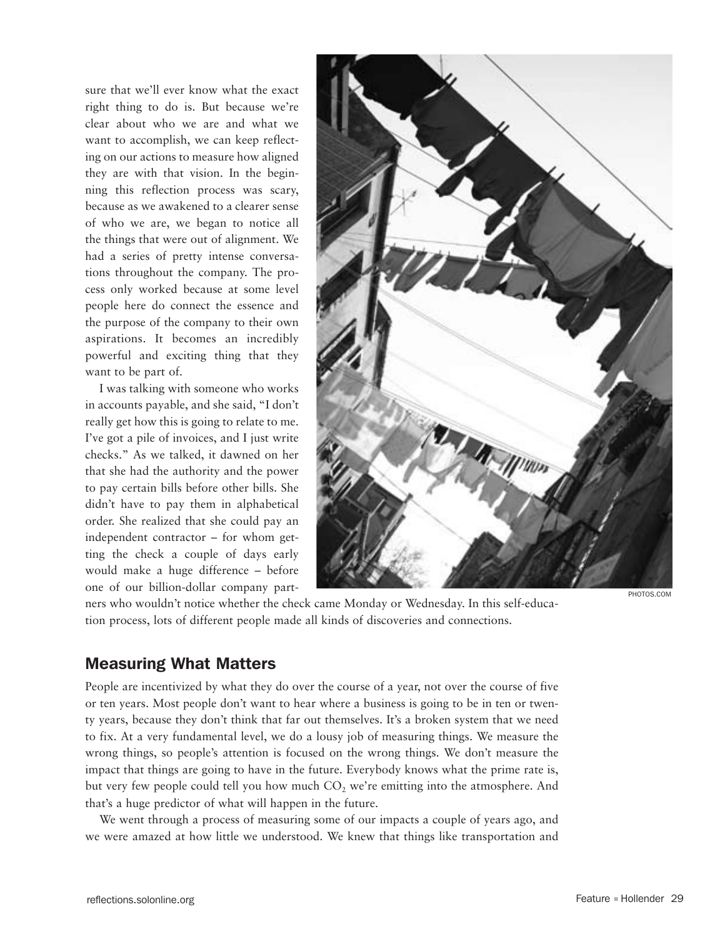sure that we'll ever know what the exact right thing to do is. But because we're clear about who we are and what we want to accomplish, we can keep reflecting on our actions to measure how aligned they are with that vision. In the beginning this reflection process was scary, because as we awakened to a clearer sense of who we are, we began to notice all the things that were out of alignment. We had a series of pretty intense conversations throughout the company. The process only worked because at some level people here do connect the essence and the purpose of the company to their own aspirations. It becomes an incredibly powerful and exciting thing that they want to be part of.

I was talking with someone who works in accounts payable, and she said, "I don't really get how this is going to relate to me. I've got a pile of invoices, and I just write checks." As we talked, it dawned on her that she had the authority and the power to pay certain bills before other bills. She didn't have to pay them in alphabetical order. She realized that she could pay an independent contractor – for whom getting the check a couple of days early would make a huge difference – before one of our billion-dollar company part-



ners who wouldn't notice whether the check came Monday or Wednesday. In this self-education process, lots of different people made all kinds of discoveries and connections.

photos.com

### Measuring What Matters

People are incentivized by what they do over the course of a year, not over the course of five or ten years. Most people don't want to hear where a business is going to be in ten or twenty years, because they don't think that far out themselves. It's a broken system that we need to fix. At a very fundamental level, we do a lousy job of measuring things. We measure the wrong things, so people's attention is focused on the wrong things. We don't measure the impact that things are going to have in the future. Everybody knows what the prime rate is, but very few people could tell you how much  $CO<sub>2</sub>$  we're emitting into the atmosphere. And that's a huge predictor of what will happen in the future.

We went through a process of measuring some of our impacts a couple of years ago, and we were amazed at how little we understood. We knew that things like transportation and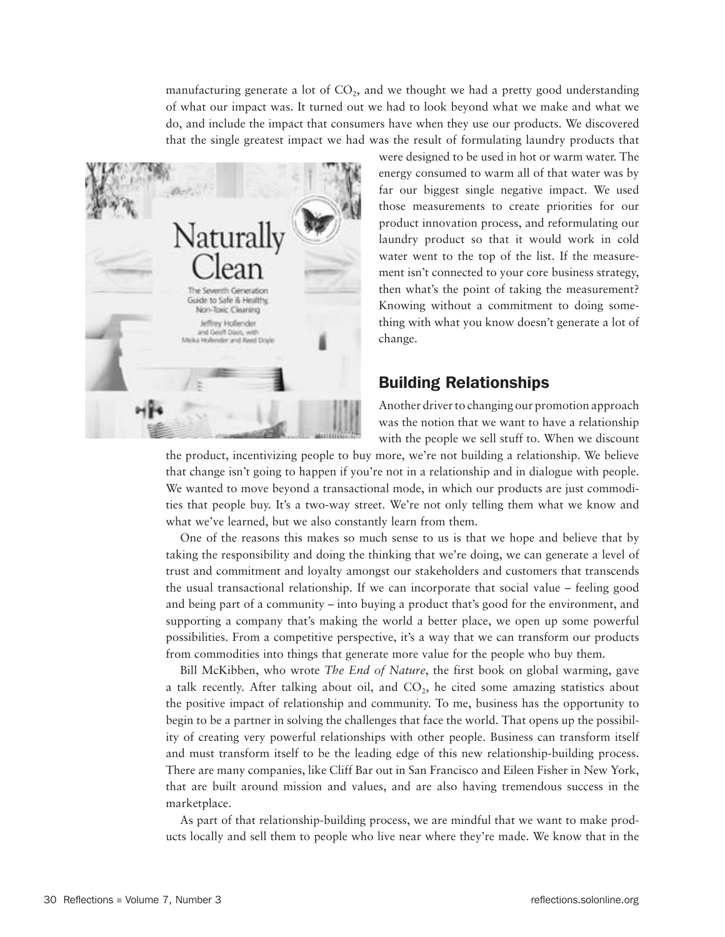manufacturing generate a lot of  $CO<sub>2</sub>$ , and we thought we had a pretty good understanding of what our impact was. It turned out we had to look beyond what we make and what we do, and include the impact that consumers have when they use our products. We discovered that the single greatest impact we had was the result of formulating laundry products that



were designed to be used in hot or warm water. The energy consumed to warm all of that water was by far our biggest single negative impact. We used those measurements to create priorities for our product innovation process, and reformulating our laundry product so that it would work in cold water went to the top of the list. If the measurement isn't connected to your core business strategy, then what's the point of taking the measurement? Knowing without a commitment to doing something with what you know doesn't generate a lot of change.

### Building Relationships

Another driver to changing our promotion approach was the notion that we want to have a relationship with the people we sell stuff to. When we discount

the product, incentivizing people to buy more, we're not building a relationship. We believe that change isn't going to happen if you're not in a relationship and in dialogue with people. We wanted to move beyond a transactional mode, in which our products are just commodities that people buy. It's a two-way street. We're not only telling them what we know and what we've learned, but we also constantly learn from them.

One of the reasons this makes so much sense to us is that we hope and believe that by taking the responsibility and doing the thinking that we're doing, we can generate a level of trust and commitment and loyalty amongst our stakeholders and customers that transcends the usual transactional relationship. If we can incorporate that social value – feeling good and being part of a community – into buying a product that's good for the environment, and supporting a company that's making the world a better place, we open up some powerful possibilities. From a competitive perspective, it's a way that we can transform our products from commodities into things that generate more value for the people who buy them.

Bill McKibben, who wrote *The End of Nature*, the first book on global warming, gave a talk recently. After talking about oil, and  $CO<sub>2</sub>$ , he cited some amazing statistics about the positive impact of relationship and community. To me, business has the opportunity to begin to be a partner in solving the challenges that face the world. That opens up the possibility of creating very powerful relationships with other people. Business can transform itself and must transform itself to be the leading edge of this new relationship-building process. There are many companies, like Cliff Bar out in San Francisco and Eileen Fisher in New York, that are built around mission and values, and are also having tremendous success in the marketplace.

As part of that relationship-building process, we are mindful that we want to make products locally and sell them to people who live near where they're made. We know that in the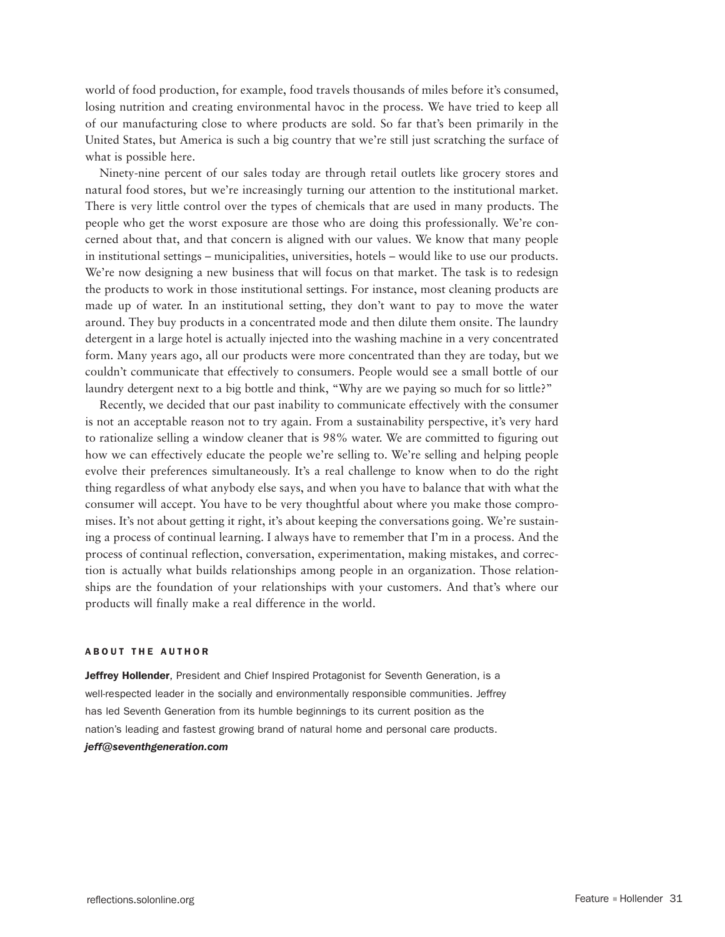world of food production, for example, food travels thousands of miles before it's consumed, losing nutrition and creating environmental havoc in the process. We have tried to keep all of our manufacturing close to where products are sold. So far that's been primarily in the United States, but America is such a big country that we're still just scratching the surface of what is possible here.

Ninety-nine percent of our sales today are through retail outlets like grocery stores and natural food stores, but we're increasingly turning our attention to the institutional market. There is very little control over the types of chemicals that are used in many products. The people who get the worst exposure are those who are doing this professionally. We're concerned about that, and that concern is aligned with our values. We know that many people in institutional settings – municipalities, universities, hotels – would like to use our products. We're now designing a new business that will focus on that market. The task is to redesign the products to work in those institutional settings. For instance, most cleaning products are made up of water. In an institutional setting, they don't want to pay to move the water around. They buy products in a concentrated mode and then dilute them onsite. The laundry detergent in a large hotel is actually injected into the washing machine in a very concentrated form. Many years ago, all our products were more concentrated than they are today, but we couldn't communicate that effectively to consumers. People would see a small bottle of our laundry detergent next to a big bottle and think, "Why are we paying so much for so little?"

Recently, we decided that our past inability to communicate effectively with the consumer is not an acceptable reason not to try again. From a sustainability perspective, it's very hard to rationalize selling a window cleaner that is 98% water. We are committed to figuring out how we can effectively educate the people we're selling to. We're selling and helping people evolve their preferences simultaneously. It's a real challenge to know when to do the right thing regardless of what anybody else says, and when you have to balance that with what the consumer will accept. You have to be very thoughtful about where you make those compromises. It's not about getting it right, it's about keeping the conversations going. We're sustaining a process of continual learning. I always have to remember that I'm in a process. And the process of continual reflection, conversation, experimentation, making mistakes, and correction is actually what builds relationships among people in an organization. Those relationships are the foundation of your relationships with your customers. And that's where our products will finally make a real difference in the world.

### **ABOUT THE AUTHOR**

Jeffrey Hollender, President and Chief Inspired Protagonist for Seventh Generation, is a well-respected leader in the socially and environmentally responsible communities. Jeffrey has led Seventh Generation from its humble beginnings to its current position as the nation's leading and fastest growing brand of natural home and personal care products. *jeff@seventhgeneration.com*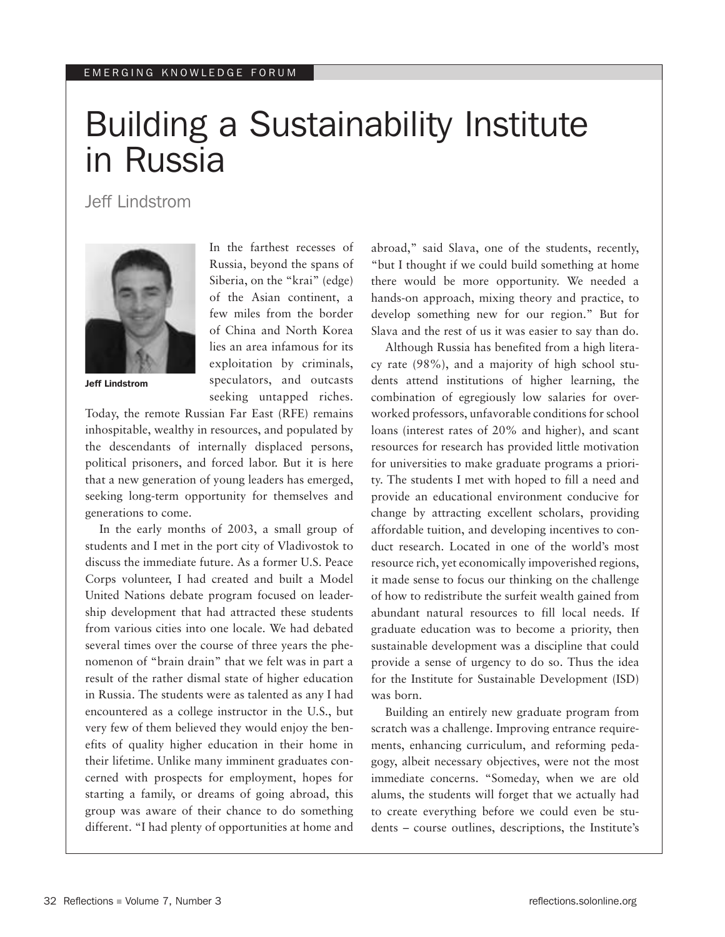### Building a Sustainability Institute in Russia

Jeff Lindstrom



Jeff Lindstrom

In the farthest recesses of Russia, beyond the spans of Siberia, on the "krai" (edge) of the Asian continent, a few miles from the border of China and North Korea lies an area infamous for its exploitation by criminals, speculators, and outcasts seeking untapped riches.

Today, the remote Russian Far East (RFE) remains inhospitable, wealthy in resources, and populated by the descendants of internally displaced persons, political prisoners, and forced labor. But it is here that a new generation of young leaders has emerged, seeking long-term opportunity for themselves and generations to come.

In the early months of 2003, a small group of students and I met in the port city of Vladivostok to discuss the immediate future. As a former U.S. Peace Corps volunteer, I had created and built a Model United Nations debate program focused on leadership development that had attracted these students from various cities into one locale. We had debated several times over the course of three years the phenomenon of "brain drain" that we felt was in part a result of the rather dismal state of higher education in Russia. The students were as talented as any I had encountered as a college instructor in the U.S., but very few of them believed they would enjoy the benefits of quality higher education in their home in their lifetime. Unlike many imminent graduates concerned with prospects for employment, hopes for starting a family, or dreams of going abroad, this group was aware of their chance to do something different. "I had plenty of opportunities at home and

abroad," said Slava, one of the students, recently, "but I thought if we could build something at home there would be more opportunity. We needed a hands-on approach, mixing theory and practice, to develop something new for our region." But for Slava and the rest of us it was easier to say than do.

Although Russia has benefited from a high literacy rate (98%), and a majority of high school students attend institutions of higher learning, the combination of egregiously low salaries for overworked professors, unfavorable conditions for school loans (interest rates of 20% and higher), and scant resources for research has provided little motivation for universities to make graduate programs a priority. The students I met with hoped to fill a need and provide an educational environment conducive for change by attracting excellent scholars, providing affordable tuition, and developing incentives to conduct research. Located in one of the world's most resource rich, yet economically impoverished regions, it made sense to focus our thinking on the challenge of how to redistribute the surfeit wealth gained from abundant natural resources to fill local needs. If graduate education was to become a priority, then sustainable development was a discipline that could provide a sense of urgency to do so. Thus the idea for the Institute for Sustainable Development (ISD) was born.

Building an entirely new graduate program from scratch was a challenge. Improving entrance requirements, enhancing curriculum, and reforming pedagogy, albeit necessary objectives, were not the most immediate concerns. "Someday, when we are old alums, the students will forget that we actually had to create everything before we could even be students – course outlines, descriptions, the Institute's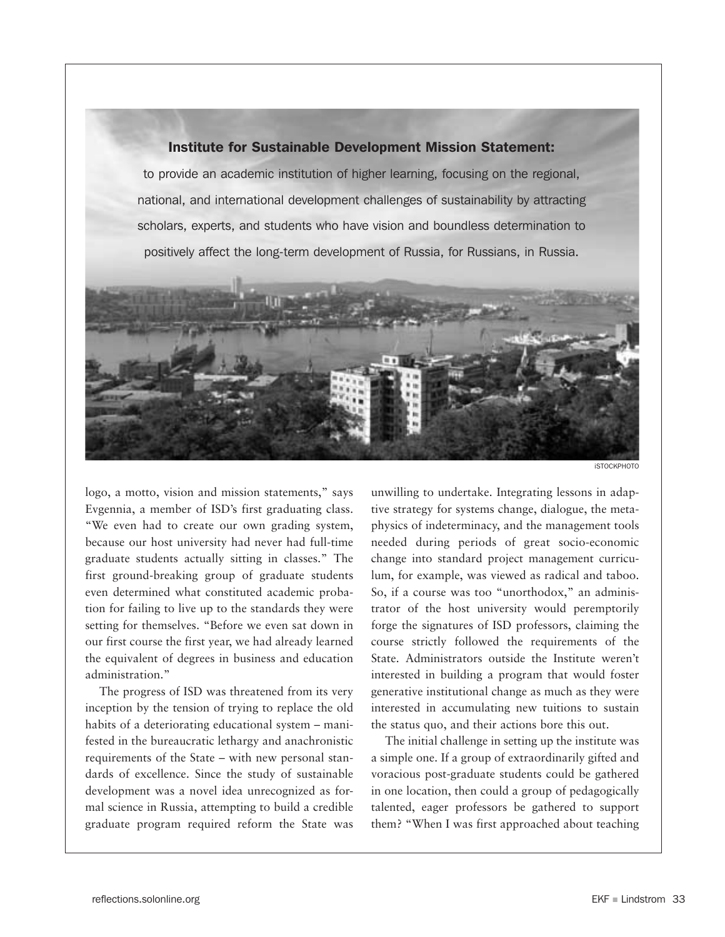### Institute for Sustainable Development Mission Statement:

to provide an academic institution of higher learning, focusing on the regional, national, and international development challenges of sustainability by attracting scholars, experts, and students who have vision and boundless determination to positively affect the long-term development of Russia, for Russians, in Russia.



iSTOCKPHOTO

logo, a motto, vision and mission statements," says Evgennia, a member of ISD's first graduating class. "We even had to create our own grading system, because our host university had never had full-time graduate students actually sitting in classes." The first ground-breaking group of graduate students even determined what constituted academic probation for failing to live up to the standards they were setting for themselves. "Before we even sat down in our first course the first year, we had already learned the equivalent of degrees in business and education administration."

The progress of ISD was threatened from its very inception by the tension of trying to replace the old habits of a deteriorating educational system – manifested in the bureaucratic lethargy and anachronistic requirements of the State – with new personal standards of excellence. Since the study of sustainable development was a novel idea unrecognized as formal science in Russia, attempting to build a credible graduate program required reform the State was

unwilling to undertake. Integrating lessons in adaptive strategy for systems change, dialogue, the metaphysics of indeterminacy, and the management tools needed during periods of great socio-economic change into standard project management curriculum, for example, was viewed as radical and taboo. So, if a course was too "unorthodox," an administrator of the host university would peremptorily forge the signatures of ISD professors, claiming the course strictly followed the requirements of the State. Administrators outside the Institute weren't interested in building a program that would foster generative institutional change as much as they were interested in accumulating new tuitions to sustain the status quo, and their actions bore this out.

The initial challenge in setting up the institute was a simple one. If a group of extraordinarily gifted and voracious post-graduate students could be gathered in one location, then could a group of pedagogically talented, eager professors be gathered to support them? "When I was first approached about teaching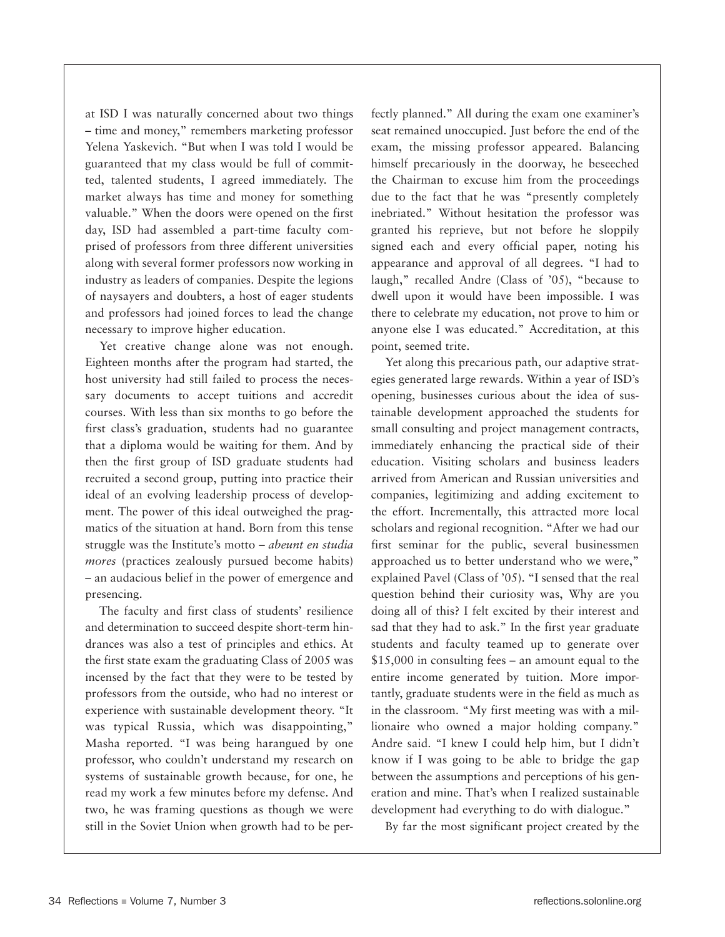at ISD I was naturally concerned about two things – time and money," remembers marketing professor Yelena Yaskevich. "But when I was told I would be guaranteed that my class would be full of committed, talented students, I agreed immediately. The market always has time and money for something valuable." When the doors were opened on the first day, ISD had assembled a part-time faculty comprised of professors from three different universities along with several former professors now working in industry as leaders of companies. Despite the legions of naysayers and doubters, a host of eager students and professors had joined forces to lead the change necessary to improve higher education.

Yet creative change alone was not enough. Eighteen months after the program had started, the host university had still failed to process the necessary documents to accept tuitions and accredit courses. With less than six months to go before the first class's graduation, students had no guarantee that a diploma would be waiting for them. And by then the first group of ISD graduate students had recruited a second group, putting into practice their ideal of an evolving leadership process of development. The power of this ideal outweighed the pragmatics of the situation at hand. Born from this tense struggle was the Institute's motto – *abeunt en studia mores* (practices zealously pursued become habits) – an audacious belief in the power of emergence and presencing.

The faculty and first class of students' resilience and determination to succeed despite short-term hindrances was also a test of principles and ethics. At the first state exam the graduating Class of 2005 was incensed by the fact that they were to be tested by professors from the outside, who had no interest or experience with sustainable development theory. "It was typical Russia, which was disappointing," Masha reported. "I was being harangued by one professor, who couldn't understand my research on systems of sustainable growth because, for one, he read my work a few minutes before my defense. And two, he was framing questions as though we were still in the Soviet Union when growth had to be per-

fectly planned." All during the exam one examiner's seat remained unoccupied. Just before the end of the exam, the missing professor appeared. Balancing himself precariously in the doorway, he beseeched the Chairman to excuse him from the proceedings due to the fact that he was "presently completely inebriated." Without hesitation the professor was granted his reprieve, but not before he sloppily signed each and every official paper, noting his appearance and approval of all degrees. "I had to laugh," recalled Andre (Class of '05), "because to dwell upon it would have been impossible. I was there to celebrate my education, not prove to him or anyone else I was educated." Accreditation, at this point, seemed trite.

Yet along this precarious path, our adaptive strategies generated large rewards. Within a year of ISD's opening, businesses curious about the idea of sustainable development approached the students for small consulting and project management contracts, immediately enhancing the practical side of their education. Visiting scholars and business leaders arrived from American and Russian universities and companies, legitimizing and adding excitement to the effort. Incrementally, this attracted more local scholars and regional recognition. "After we had our first seminar for the public, several businessmen approached us to better understand who we were," explained Pavel (Class of '05). "I sensed that the real question behind their curiosity was, Why are you doing all of this? I felt excited by their interest and sad that they had to ask." In the first year graduate students and faculty teamed up to generate over \$15,000 in consulting fees – an amount equal to the entire income generated by tuition. More importantly, graduate students were in the field as much as in the classroom. "My first meeting was with a millionaire who owned a major holding company." Andre said. "I knew I could help him, but I didn't know if I was going to be able to bridge the gap between the assumptions and perceptions of his generation and mine. That's when I realized sustainable development had everything to do with dialogue."

By far the most significant project created by the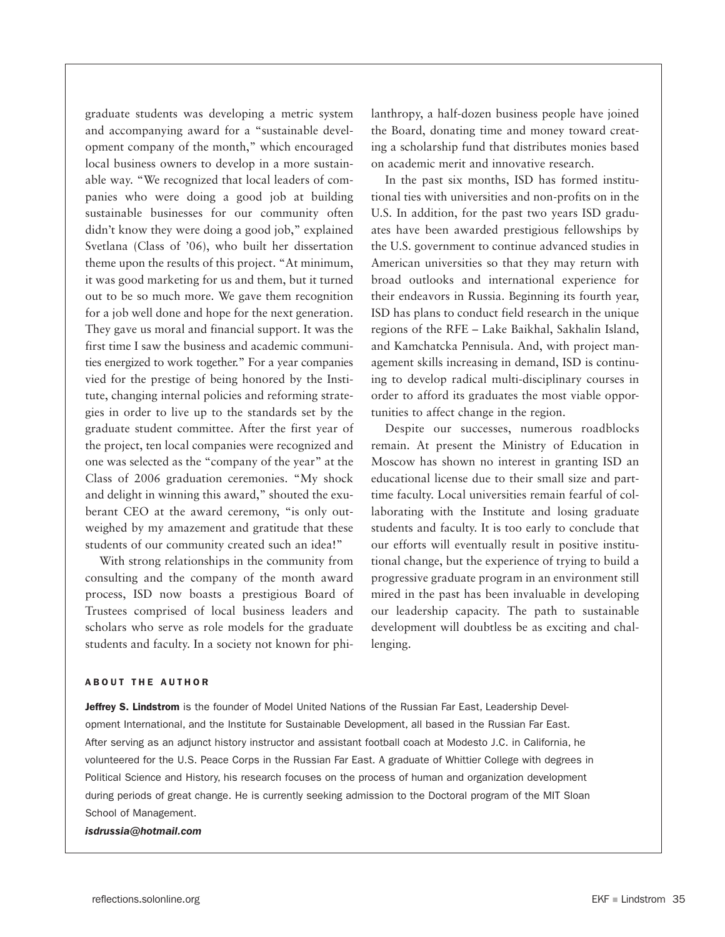graduate students was developing a metric system and accompanying award for a "sustainable development company of the month," which encouraged local business owners to develop in a more sustainable way. "We recognized that local leaders of companies who were doing a good job at building sustainable businesses for our community often didn't know they were doing a good job," explained Svetlana (Class of '06), who built her dissertation theme upon the results of this project. "At minimum, it was good marketing for us and them, but it turned out to be so much more. We gave them recognition for a job well done and hope for the next generation. They gave us moral and financial support. It was the first time I saw the business and academic communities energized to work together." For a year companies vied for the prestige of being honored by the Institute, changing internal policies and reforming strategies in order to live up to the standards set by the graduate student committee. After the first year of the project, ten local companies were recognized and one was selected as the "company of the year" at the Class of 2006 graduation ceremonies. "My shock and delight in winning this award," shouted the exuberant CEO at the award ceremony, "is only outweighed by my amazement and gratitude that these students of our community created such an idea!"

With strong relationships in the community from consulting and the company of the month award process, ISD now boasts a prestigious Board of Trustees comprised of local business leaders and scholars who serve as role models for the graduate students and faculty. In a society not known for philanthropy, a half-dozen business people have joined the Board, donating time and money toward creating a scholarship fund that distributes monies based on academic merit and innovative research.

In the past six months, ISD has formed institutional ties with universities and non-profits on in the U.S. In addition, for the past two years ISD graduates have been awarded prestigious fellowships by the U.S. government to continue advanced studies in American universities so that they may return with broad outlooks and international experience for their endeavors in Russia. Beginning its fourth year, ISD has plans to conduct field research in the unique regions of the RFE – Lake Baikhal, Sakhalin Island, and Kamchatcka Pennisula. And, with project management skills increasing in demand, ISD is continuing to develop radical multi-disciplinary courses in order to afford its graduates the most viable opportunities to affect change in the region.

Despite our successes, numerous roadblocks remain. At present the Ministry of Education in Moscow has shown no interest in granting ISD an educational license due to their small size and parttime faculty. Local universities remain fearful of collaborating with the Institute and losing graduate students and faculty. It is too early to conclude that our efforts will eventually result in positive institutional change, but the experience of trying to build a progressive graduate program in an environment still mired in the past has been invaluable in developing our leadership capacity. The path to sustainable development will doubtless be as exciting and challenging.

#### **ABOUT THE AUTHOR**

Jeffrey S. Lindstrom is the founder of Model United Nations of the Russian Far East, Leadership Development International, and the Institute for Sustainable Development, all based in the Russian Far East. After serving as an adjunct history instructor and assistant football coach at Modesto J.C. in California, he volunteered for the U.S. Peace Corps in the Russian Far East. A graduate of Whittier College with degrees in Political Science and History, his research focuses on the process of human and organization development during periods of great change. He is currently seeking admission to the Doctoral program of the MIT Sloan School of Management.

*isdrussia@hotmail.com*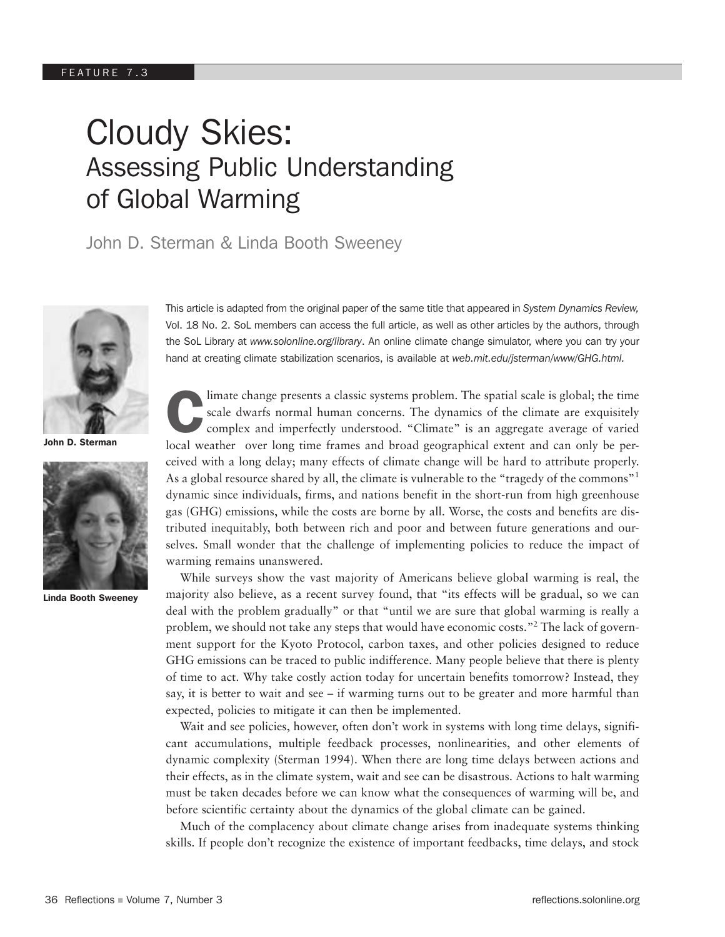### Cloudy Skies: Assessing Public Understanding of Global Warming

John D. Sterman & Linda Booth Sweeney



John D. Sterman



Linda Booth Sweeney

This article is adapted from the original paper of the same title that appeared in *System Dynamics Review,* Vol. 18 No. 2. SoL members can access the full article, as well as other articles by the authors, through the SoL Library at *www.solonline.org/library*. An online climate change simulator, where you can try your hand at creating climate stabilization scenarios, is available at *web.mit.edu/jsterman/www/GHG.html.* 

limate change presents a classic systems problem. The spatial scale is global; the time<br>scale dwarfs normal human concerns. The dynamics of the climate are exquisitely<br>complex and imperfectly understood. "Climate" is an ag scale dwarfs normal human concerns. The dynamics of the climate are exquisitely complex and imperfectly understood. "Climate" is an aggregate average of varied local weather over long time frames and broad geographical extent and can only be perceived with a long delay; many effects of climate change will be hard to attribute properly. As a global resource shared by all, the climate is vulnerable to the "tragedy of the commons"<sup>1</sup> dynamic since individuals, firms, and nations benefit in the short-run from high greenhouse gas (GHG) emissions, while the costs are borne by all. Worse, the costs and benefits are distributed inequitably, both between rich and poor and between future generations and ourselves. Small wonder that the challenge of implementing policies to reduce the impact of warming remains unanswered.

While surveys show the vast majority of Americans believe global warming is real, the majority also believe, as a recent survey found, that "its effects will be gradual, so we can deal with the problem gradually" or that "until we are sure that global warming is really a problem, we should not take any steps that would have economic costs."2 The lack of government support for the Kyoto Protocol, carbon taxes, and other policies designed to reduce GHG emissions can be traced to public indifference. Many people believe that there is plenty of time to act. Why take costly action today for uncertain benefits tomorrow? Instead, they say, it is better to wait and see – if warming turns out to be greater and more harmful than expected, policies to mitigate it can then be implemented.

Wait and see policies, however, often don't work in systems with long time delays, significant accumulations, multiple feedback processes, nonlinearities, and other elements of dynamic complexity (Sterman 1994). When there are long time delays between actions and their effects, as in the climate system, wait and see can be disastrous. Actions to halt warming must be taken decades before we can know what the consequences of warming will be, and before scientific certainty about the dynamics of the global climate can be gained.

Much of the complacency about climate change arises from inadequate systems thinking skills. If people don't recognize the existence of important feedbacks, time delays, and stock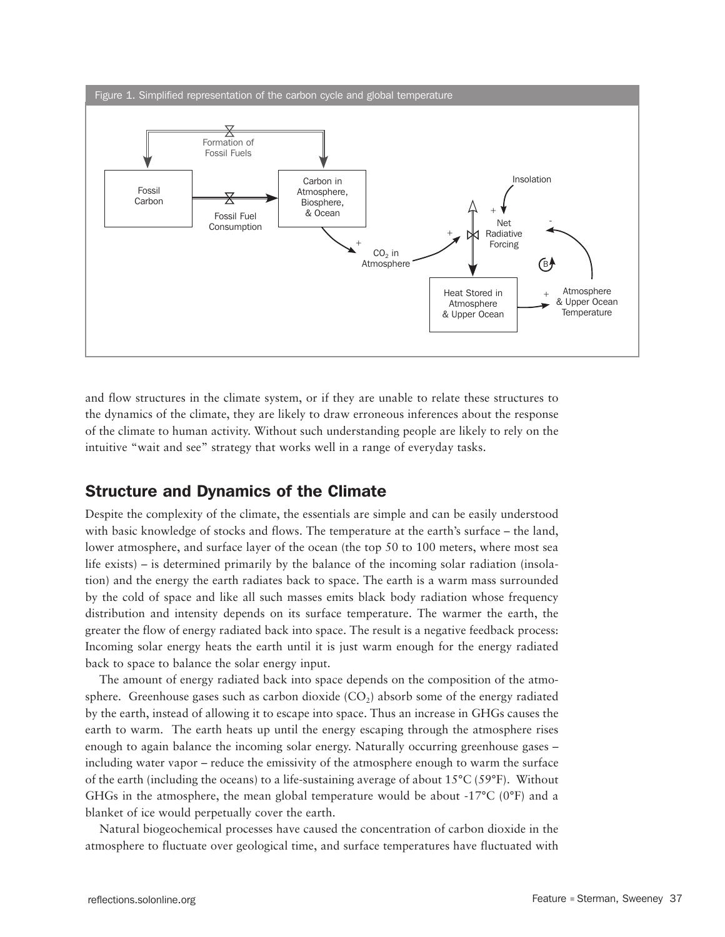

and flow structures in the climate system, or if they are unable to relate these structures to the dynamics of the climate, they are likely to draw erroneous inferences about the response of the climate to human activity. Without such understanding people are likely to rely on the intuitive "wait and see" strategy that works well in a range of everyday tasks.

### Structure and Dynamics of the Climate

Despite the complexity of the climate, the essentials are simple and can be easily understood with basic knowledge of stocks and flows. The temperature at the earth's surface – the land, lower atmosphere, and surface layer of the ocean (the top 50 to 100 meters, where most sea life exists) – is determined primarily by the balance of the incoming solar radiation (insolation) and the energy the earth radiates back to space. The earth is a warm mass surrounded by the cold of space and like all such masses emits black body radiation whose frequency distribution and intensity depends on its surface temperature. The warmer the earth, the greater the flow of energy radiated back into space. The result is a negative feedback process: Incoming solar energy heats the earth until it is just warm enough for the energy radiated back to space to balance the solar energy input.

The amount of energy radiated back into space depends on the composition of the atmosphere. Greenhouse gases such as carbon dioxide  $(CO<sub>2</sub>)$  absorb some of the energy radiated by the earth, instead of allowing it to escape into space. Thus an increase in GHGs causes the earth to warm. The earth heats up until the energy escaping through the atmosphere rises enough to again balance the incoming solar energy. Naturally occurring greenhouse gases – including water vapor – reduce the emissivity of the atmosphere enough to warm the surface of the earth (including the oceans) to a life-sustaining average of about  $15^{\circ}C(59^{\circ}F)$ . Without GHGs in the atmosphere, the mean global temperature would be about  $-17^{\circ}C$  (0 $^{\circ}F$ ) and a blanket of ice would perpetually cover the earth.

Natural biogeochemical processes have caused the concentration of carbon dioxide in the atmosphere to fluctuate over geological time, and surface temperatures have fluctuated with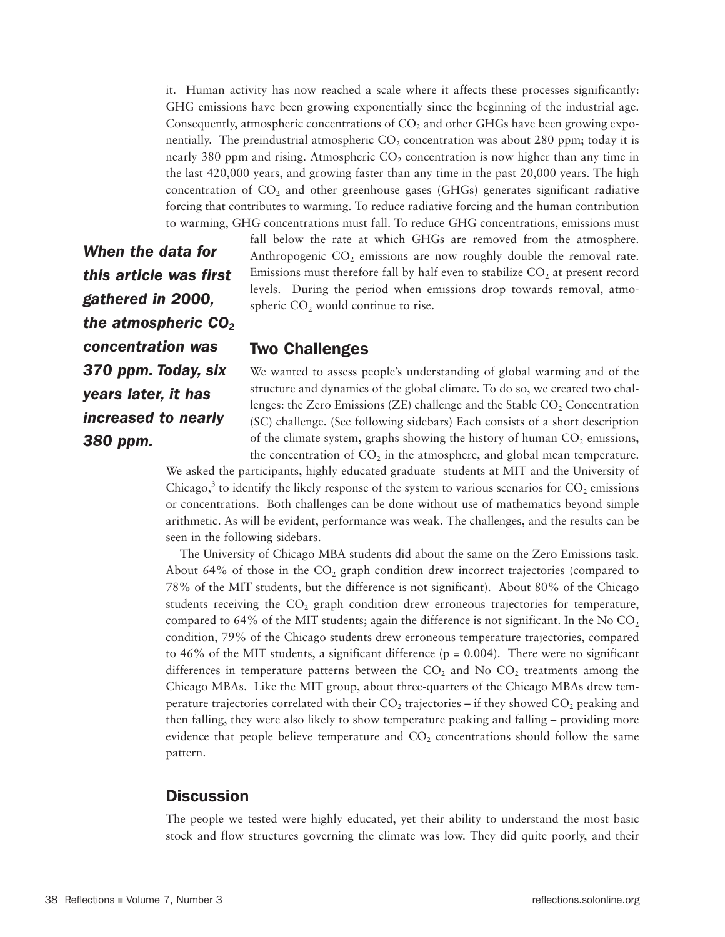it. Human activity has now reached a scale where it affects these processes significantly: GHG emissions have been growing exponentially since the beginning of the industrial age. Consequently, atmospheric concentrations of  $CO<sub>2</sub>$  and other GHGs have been growing exponentially. The preindustrial atmospheric  $CO_2$  concentration was about 280 ppm; today it is nearly 380 ppm and rising. Atmospheric  $CO<sub>2</sub>$  concentration is now higher than any time in the last 420,000 years, and growing faster than any time in the past 20,000 years. The high concentration of  $CO<sub>2</sub>$  and other greenhouse gases (GHGs) generates significant radiative forcing that contributes to warming. To reduce radiative forcing and the human contribution to warming, GHG concentrations must fall. To reduce GHG concentrations, emissions must

*When the data for this article was first gathered in 2000,*  the atmospheric CO<sub>2</sub> *concentration was 370 ppm. Today, six years later, it has increased to nearly 380 ppm.*

fall below the rate at which GHGs are removed from the atmosphere. Anthropogenic  $CO<sub>2</sub>$  emissions are now roughly double the removal rate. Emissions must therefore fall by half even to stabilize  $CO<sub>2</sub>$  at present record levels. During the period when emissions drop towards removal, atmospheric  $CO<sub>2</sub>$  would continue to rise.

### Two Challenges

We wanted to assess people's understanding of global warming and of the structure and dynamics of the global climate. To do so, we created two challenges: the Zero Emissions (ZE) challenge and the Stable  $CO<sub>2</sub>$  Concentration (SC) challenge. (See following sidebars) Each consists of a short description of the climate system, graphs showing the history of human  $CO<sub>2</sub>$  emissions, the concentration of  $CO<sub>2</sub>$  in the atmosphere, and global mean temperature.

We asked the participants, highly educated graduate students at MIT and the University of Chicago,<sup>3</sup> to identify the likely response of the system to various scenarios for  $CO_2$  emissions or concentrations. Both challenges can be done without use of mathematics beyond simple arithmetic. As will be evident, performance was weak. The challenges, and the results can be seen in the following sidebars.

The University of Chicago MBA students did about the same on the Zero Emissions task. About 64% of those in the  $CO<sub>2</sub>$  graph condition drew incorrect trajectories (compared to 78% of the MIT students, but the difference is not significant). About 80% of the Chicago students receiving the  $CO<sub>2</sub>$  graph condition drew erroneous trajectories for temperature, compared to 64% of the MIT students; again the difference is not significant. In the No  $CO<sub>2</sub>$ condition, 79% of the Chicago students drew erroneous temperature trajectories, compared to 46% of the MIT students, a significant difference ( $p = 0.004$ ). There were no significant differences in temperature patterns between the  $CO<sub>2</sub>$  and No  $CO<sub>2</sub>$  treatments among the Chicago MBAs. Like the MIT group, about three-quarters of the Chicago MBAs drew temperature trajectories correlated with their  $CO<sub>2</sub>$  trajectories – if they showed  $CO<sub>2</sub>$  peaking and then falling, they were also likely to show temperature peaking and falling – providing more evidence that people believe temperature and  $CO<sub>2</sub>$  concentrations should follow the same pattern.

### **Discussion**

The people we tested were highly educated, yet their ability to understand the most basic stock and flow structures governing the climate was low. They did quite poorly, and their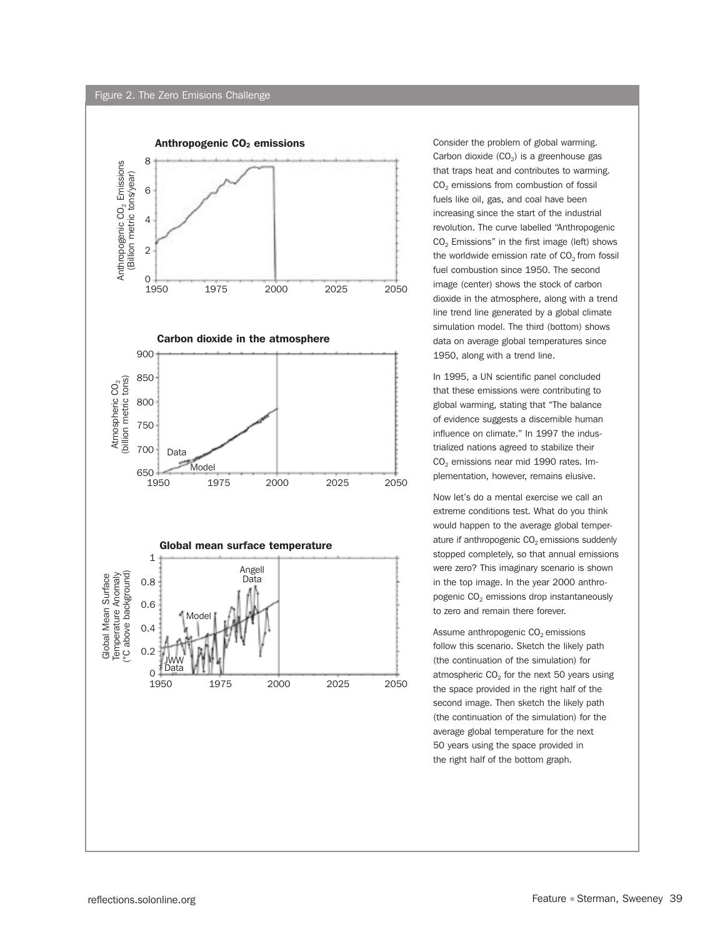#### Figure 2. The Zero Emisions Challenge



Consider the problem of global warming. Carbon dioxide  $(CO<sub>2</sub>)$  is a greenhouse gas that traps heat and contributes to warming. CO<sub>2</sub> emissions from combustion of fossil fuels like oil, gas, and coal have been increasing since the start of the industrial revolution. The curve labelled "Anthropogenic  $CO<sub>2</sub>$  Emissions" in the first image (left) shows the worldwide emission rate of  $CO<sub>2</sub>$  from fossil fuel combustion since 1950. The second image (center) shows the stock of carbon dioxide in the atmosphere, along with a trend line trend line generated by a global climate simulation model. The third (bottom) shows data on average global temperatures since 1950, along with a trend line.

In 1995, a UN scientific panel concluded that these emissions were contributing to global warming, stating that "The balance of evidence suggests a discernible human influence on climate." In 1997 the industrialized nations agreed to stabilize their CO<sub>2</sub> emissions near mid 1990 rates. Implementation, however, remains elusive.

Now let's do a mental exercise we call an extreme conditions test. What do you think would happen to the average global temperature if anthropogenic  $CO<sub>2</sub>$  emissions suddenly stopped completely, so that annual emissions were zero? This imaginary scenario is shown in the top image. In the year 2000 anthropogenic CO<sub>2</sub> emissions drop instantaneously to zero and remain there forever.

Assume anthropogenic  $CO<sub>2</sub>$  emissions follow this scenario. Sketch the likely path (the continuation of the simulation) for atmospheric  $CO<sub>2</sub>$  for the next 50 years using the space provided in the right half of the second image. Then sketch the likely path (the continuation of the simulation) for the average global temperature for the next 50 years using the space provided in the right half of the bottom graph.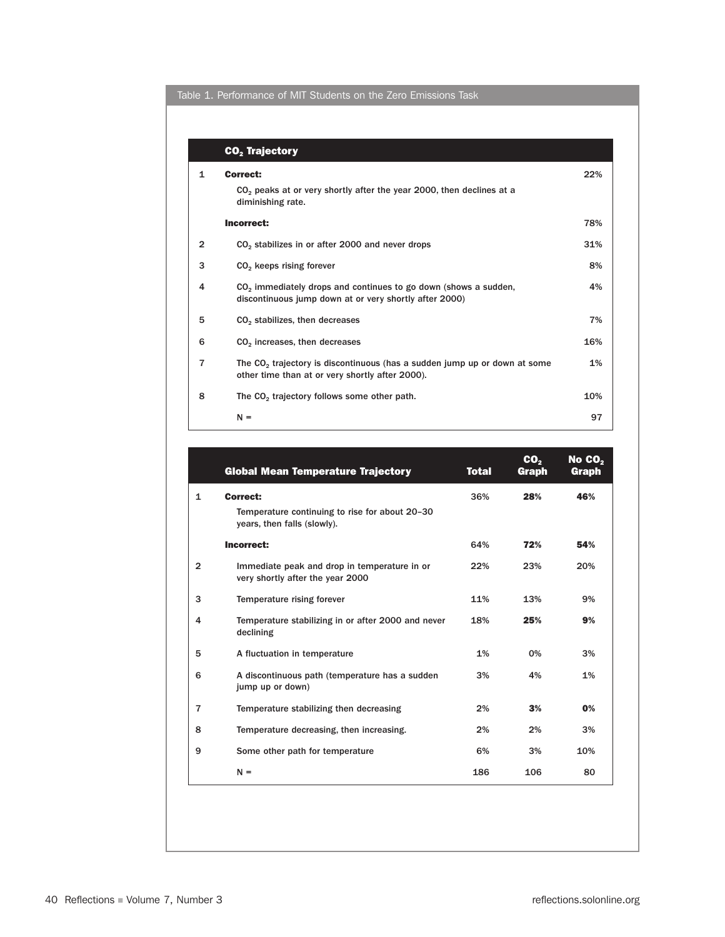### Table 1. Performance of MIT Students on the Zero Emissions Task

|                | CO <sub>2</sub> Trajectory                                                                                                               |       |
|----------------|------------------------------------------------------------------------------------------------------------------------------------------|-------|
| 1              | <b>Correct:</b>                                                                                                                          | 22%   |
|                | CO <sub>2</sub> peaks at or very shortly after the year 2000, then declines at a<br>diminishing rate.                                    |       |
|                | <b>Incorrect:</b>                                                                                                                        | 78%   |
| $\overline{2}$ | CO <sub>2</sub> stabilizes in or after 2000 and never drops                                                                              | 31%   |
| 3              | CO <sub>2</sub> keeps rising forever                                                                                                     | 8%    |
| 4              | CO <sub>2</sub> immediately drops and continues to go down (shows a sudden,<br>discontinuous jump down at or very shortly after 2000)    | 4%    |
| 5              | CO <sub>2</sub> stabilizes, then decreases                                                                                               | 7%    |
| 6              | CO <sub>2</sub> increases, then decreases                                                                                                | 16%   |
| $\overline{7}$ | The CO <sub>2</sub> trajectory is discontinuous (has a sudden jump up or down at some<br>other time than at or very shortly after 2000). | $1\%$ |
| 8              | The CO <sub>2</sub> trajectory follows some other path.                                                                                  | 10%   |
|                | $N =$                                                                                                                                    | 97    |

|                | <b>Global Mean Temperature Trajectory</b>                                        | Total | CO <sub>2</sub><br>Graph | No CO <sub>2</sub><br>Graph |
|----------------|----------------------------------------------------------------------------------|-------|--------------------------|-----------------------------|
| $\mathbf{1}$   | <b>Correct:</b>                                                                  | 36%   | 28%                      | 46%                         |
|                | Temperature continuing to rise for about 20-30<br>years, then falls (slowly).    |       |                          |                             |
|                | <b>Incorrect:</b>                                                                | 64%   | 72%                      | 54%                         |
| $\overline{2}$ | Immediate peak and drop in temperature in or<br>very shortly after the year 2000 | 22%   | 23%                      | 20%                         |
| 3              | Temperature rising forever                                                       | 11%   | 13%                      | 9%                          |
| 4              | Temperature stabilizing in or after 2000 and never<br>declining                  | 18%   | 25%                      | 9%                          |
| 5              | A fluctuation in temperature                                                     | 1%    | 0%                       | 3%                          |
| 6              | A discontinuous path (temperature has a sudden<br>jump up or down)               | 3%    | 4%                       | 1%                          |
| 7              | Temperature stabilizing then decreasing                                          | 2%    | 3%                       | 0%                          |
| 8              | Temperature decreasing, then increasing.                                         | 2%    | 2%                       | 3%                          |
| 9              | Some other path for temperature                                                  | 6%    | 3%                       | 10%                         |
|                | $N =$                                                                            | 186   | 106                      | 80                          |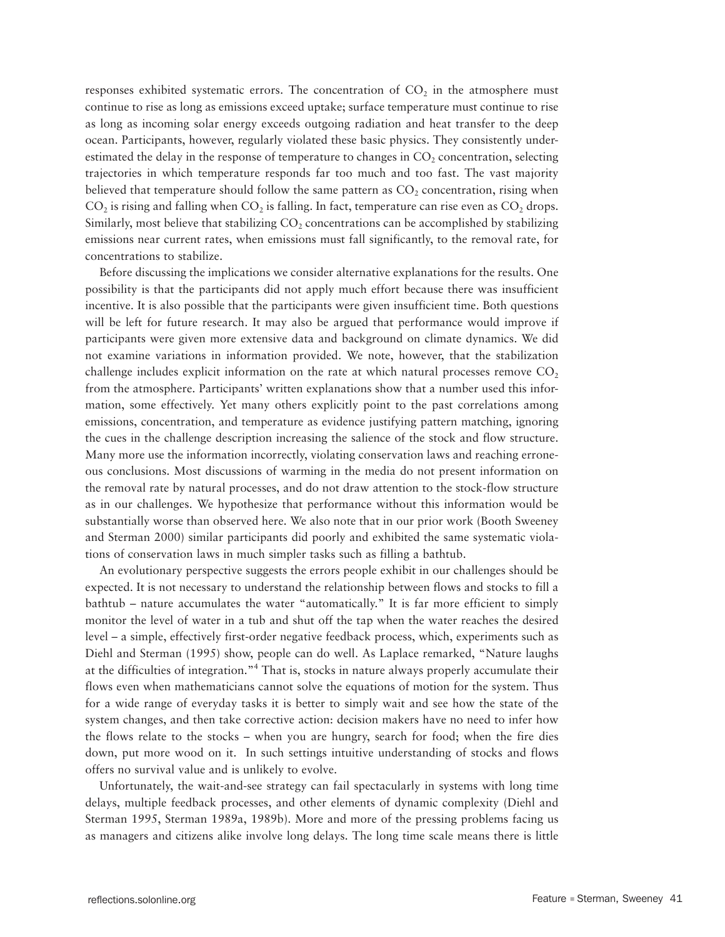responses exhibited systematic errors. The concentration of  $CO<sub>2</sub>$  in the atmosphere must continue to rise as long as emissions exceed uptake; surface temperature must continue to rise as long as incoming solar energy exceeds outgoing radiation and heat transfer to the deep ocean. Participants, however, regularly violated these basic physics. They consistently underestimated the delay in the response of temperature to changes in  $CO<sub>2</sub>$  concentration, selecting trajectories in which temperature responds far too much and too fast. The vast majority believed that temperature should follow the same pattern as  $CO<sub>2</sub>$  concentration, rising when  $CO<sub>2</sub>$  is rising and falling when  $CO<sub>2</sub>$  is falling. In fact, temperature can rise even as  $CO<sub>2</sub>$  drops. Similarly, most believe that stabilizing  $CO<sub>2</sub>$  concentrations can be accomplished by stabilizing emissions near current rates, when emissions must fall significantly, to the removal rate, for concentrations to stabilize.

Before discussing the implications we consider alternative explanations for the results. One possibility is that the participants did not apply much effort because there was insufficient incentive. It is also possible that the participants were given insufficient time. Both questions will be left for future research. It may also be argued that performance would improve if participants were given more extensive data and background on climate dynamics. We did not examine variations in information provided. We note, however, that the stabilization challenge includes explicit information on the rate at which natural processes remove  $CO<sub>2</sub>$ from the atmosphere. Participants' written explanations show that a number used this information, some effectively. Yet many others explicitly point to the past correlations among emissions, concentration, and temperature as evidence justifying pattern matching, ignoring the cues in the challenge description increasing the salience of the stock and flow structure. Many more use the information incorrectly, violating conservation laws and reaching erroneous conclusions. Most discussions of warming in the media do not present information on the removal rate by natural processes, and do not draw attention to the stock-flow structure as in our challenges. We hypothesize that performance without this information would be substantially worse than observed here. We also note that in our prior work (Booth Sweeney and Sterman 2000) similar participants did poorly and exhibited the same systematic violations of conservation laws in much simpler tasks such as filling a bathtub.

An evolutionary perspective suggests the errors people exhibit in our challenges should be expected. It is not necessary to understand the relationship between flows and stocks to fill a bathtub – nature accumulates the water "automatically." It is far more efficient to simply monitor the level of water in a tub and shut off the tap when the water reaches the desired level – a simple, effectively first-order negative feedback process, which, experiments such as Diehl and Sterman (1995) show, people can do well. As Laplace remarked, "Nature laughs at the difficulties of integration."<sup>4</sup> That is, stocks in nature always properly accumulate their flows even when mathematicians cannot solve the equations of motion for the system. Thus for a wide range of everyday tasks it is better to simply wait and see how the state of the system changes, and then take corrective action: decision makers have no need to infer how the flows relate to the stocks – when you are hungry, search for food; when the fire dies down, put more wood on it. In such settings intuitive understanding of stocks and flows offers no survival value and is unlikely to evolve.

Unfortunately, the wait-and-see strategy can fail spectacularly in systems with long time delays, multiple feedback processes, and other elements of dynamic complexity (Diehl and Sterman 1995, Sterman 1989a, 1989b). More and more of the pressing problems facing us as managers and citizens alike involve long delays. The long time scale means there is little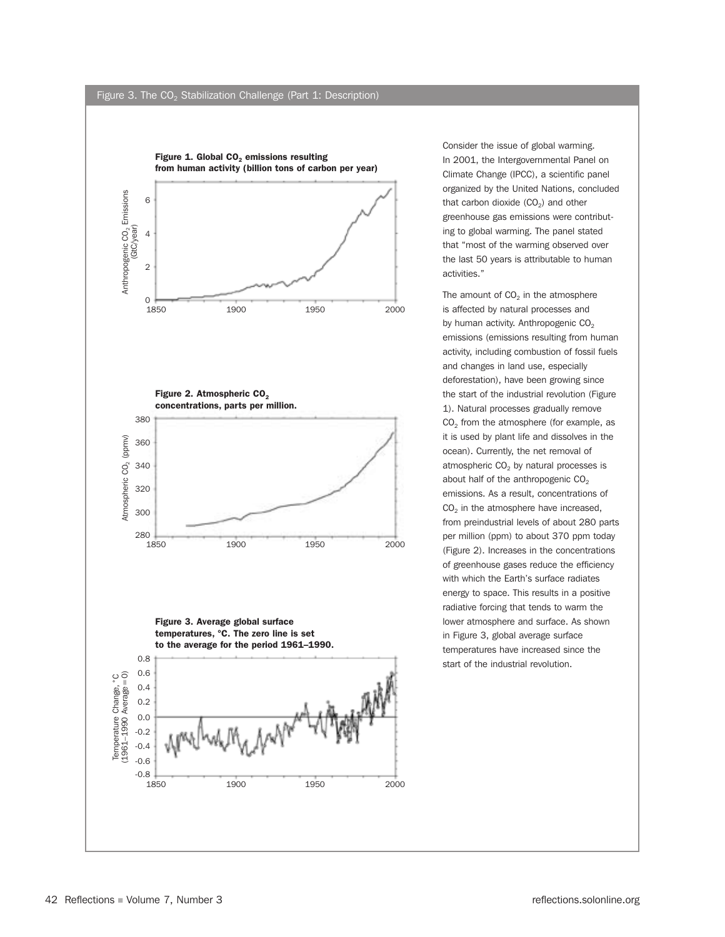

Consider the issue of global warming. In 2001, the Intergovernmental Panel on Climate Change (IPCC), a scientific panel organized by the United Nations, concluded that carbon dioxide  $(CO<sub>2</sub>)$  and other greenhouse gas emissions were contributing to global warming. The panel stated that "most of the warming observed over the last 50 years is attributable to human activities."

The amount of  $CO<sub>2</sub>$  in the atmosphere is affected by natural processes and by human activity. Anthropogenic  $CO<sub>2</sub>$ emissions (emissions resulting from human activity, including combustion of fossil fuels and changes in land use, especially deforestation), have been growing since the start of the industrial revolution (Figure 1). Natural processes gradually remove  $CO<sub>2</sub>$  from the atmosphere (for example, as it is used by plant life and dissolves in the ocean). Currently, the net removal of atmospheric  $CO<sub>2</sub>$  by natural processes is about half of the anthropogenic  $CO<sub>2</sub>$ emissions. As a result, concentrations of  $CO<sub>2</sub>$  in the atmosphere have increased, from preindustrial levels of about 280 parts per million (ppm) to about 370 ppm today (Figure 2). Increases in the concentrations of greenhouse gases reduce the efficiency with which the Earth's surface radiates energy to space. This results in a positive radiative forcing that tends to warm the lower atmosphere and surface. As shown in Figure 3, global average surface temperatures have increased since the start of the industrial revolution.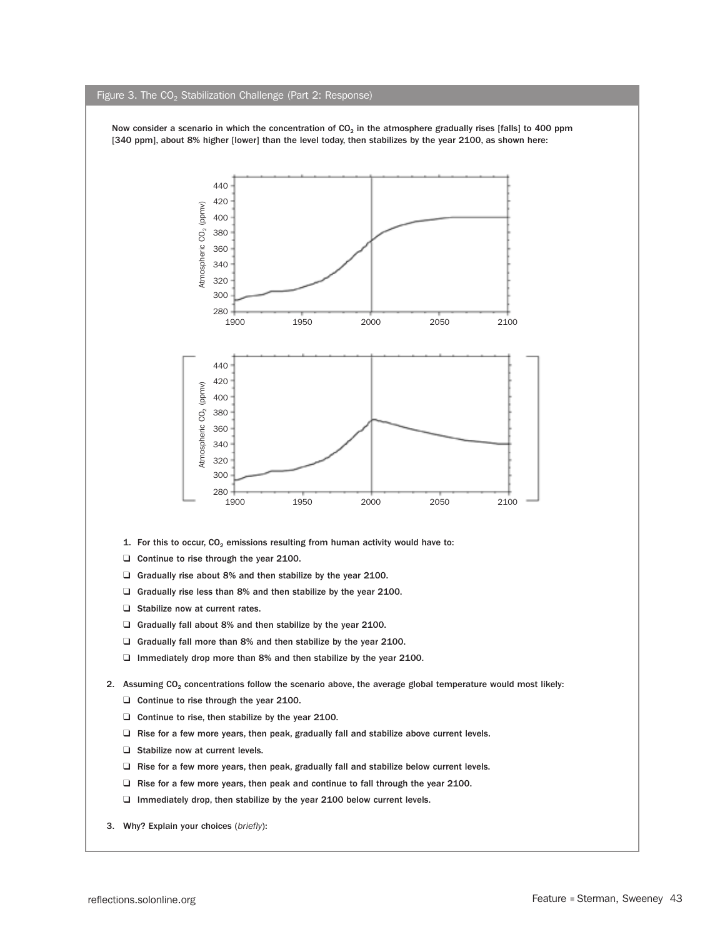### Figure 3. The  $CO<sub>2</sub>$  Stabilization Challenge (Part 2: Response)

Now consider a scenario in which the concentration of CO<sub>2</sub> in the atmosphere gradually rises [falls] to 400 ppm [340 ppm], about 8% higher [lower] than the level today, then stabilizes by the year 2100, as shown here:



- 1. For this to occur,  $CO<sub>2</sub>$  emissions resulting from human activity would have to:
- ❑ Continue to rise through the year 2100.
- ❑ Gradually rise about 8% and then stabilize by the year 2100.
- ❑ Gradually rise less than 8% and then stabilize by the year 2100.
- ❑ Stabilize now at current rates.
- ❑ Gradually fall about 8% and then stabilize by the year 2100.
- ❑ Gradually fall more than 8% and then stabilize by the year 2100.
- ❑ Immediately drop more than 8% and then stabilize by the year 2100.

2. Assuming  $CO<sub>2</sub>$  concentrations follow the scenario above, the average global temperature would most likely:

- ❑ Continue to rise through the year 2100.
- ❑ Continue to rise, then stabilize by the year 2100.
- ❑ Rise for a few more years, then peak, gradually fall and stabilize above current levels.
- ❑ Stabilize now at current levels.
- ❑ Rise for a few more years, then peak, gradually fall and stabilize below current levels.
- ❑ Rise for a few more years, then peak and continue to fall through the year 2100.
- ❑ Immediately drop, then stabilize by the year 2100 below current levels.
- 3. Why? Explain your choices (*briefly*):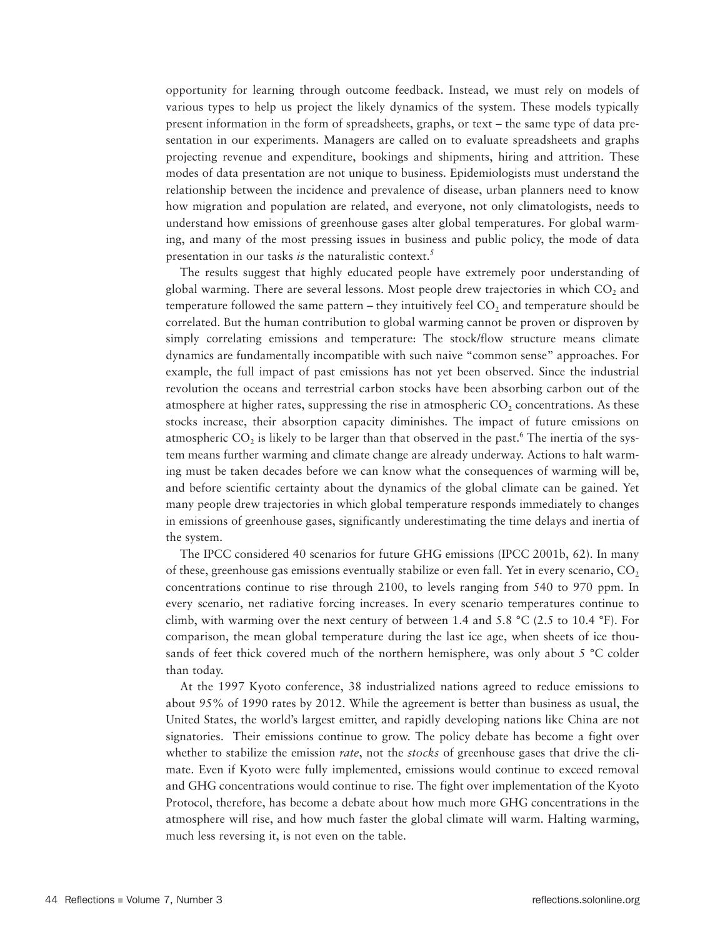opportunity for learning through outcome feedback. Instead, we must rely on models of various types to help us project the likely dynamics of the system. These models typically present information in the form of spreadsheets, graphs, or text – the same type of data presentation in our experiments. Managers are called on to evaluate spreadsheets and graphs projecting revenue and expenditure, bookings and shipments, hiring and attrition. These modes of data presentation are not unique to business. Epidemiologists must understand the relationship between the incidence and prevalence of disease, urban planners need to know how migration and population are related, and everyone, not only climatologists, needs to understand how emissions of greenhouse gases alter global temperatures. For global warming, and many of the most pressing issues in business and public policy, the mode of data presentation in our tasks *is* the naturalistic context.5

The results suggest that highly educated people have extremely poor understanding of global warming. There are several lessons. Most people drew trajectories in which  $CO<sub>2</sub>$  and temperature followed the same pattern – they intuitively feel  $CO<sub>2</sub>$  and temperature should be correlated. But the human contribution to global warming cannot be proven or disproven by simply correlating emissions and temperature: The stock/flow structure means climate dynamics are fundamentally incompatible with such naive "common sense" approaches. For example, the full impact of past emissions has not yet been observed. Since the industrial revolution the oceans and terrestrial carbon stocks have been absorbing carbon out of the atmosphere at higher rates, suppressing the rise in atmospheric  $CO<sub>2</sub>$  concentrations. As these stocks increase, their absorption capacity diminishes. The impact of future emissions on atmospheric  $CO<sub>2</sub>$  is likely to be larger than that observed in the past.<sup>6</sup> The inertia of the system means further warming and climate change are already underway. Actions to halt warming must be taken decades before we can know what the consequences of warming will be, and before scientific certainty about the dynamics of the global climate can be gained. Yet many people drew trajectories in which global temperature responds immediately to changes in emissions of greenhouse gases, significantly underestimating the time delays and inertia of the system.

The IPCC considered 40 scenarios for future GHG emissions (IPCC 2001b, 62). In many of these, greenhouse gas emissions eventually stabilize or even fall. Yet in every scenario,  $CO<sub>2</sub>$ concentrations continue to rise through 2100, to levels ranging from 540 to 970 ppm. In every scenario, net radiative forcing increases. In every scenario temperatures continue to climb, with warming over the next century of between 1.4 and 5.8  $^{\circ}$ C (2.5 to 10.4  $^{\circ}$ F). For comparison, the mean global temperature during the last ice age, when sheets of ice thousands of feet thick covered much of the northern hemisphere, was only about 5 °C colder than today.

At the 1997 Kyoto conference, 38 industrialized nations agreed to reduce emissions to about 95% of 1990 rates by 2012. While the agreement is better than business as usual, the United States, the world's largest emitter, and rapidly developing nations like China are not signatories. Their emissions continue to grow. The policy debate has become a fight over whether to stabilize the emission *rate*, not the *stocks* of greenhouse gases that drive the climate. Even if Kyoto were fully implemented, emissions would continue to exceed removal and GHG concentrations would continue to rise. The fight over implementation of the Kyoto Protocol, therefore, has become a debate about how much more GHG concentrations in the atmosphere will rise, and how much faster the global climate will warm. Halting warming, much less reversing it, is not even on the table.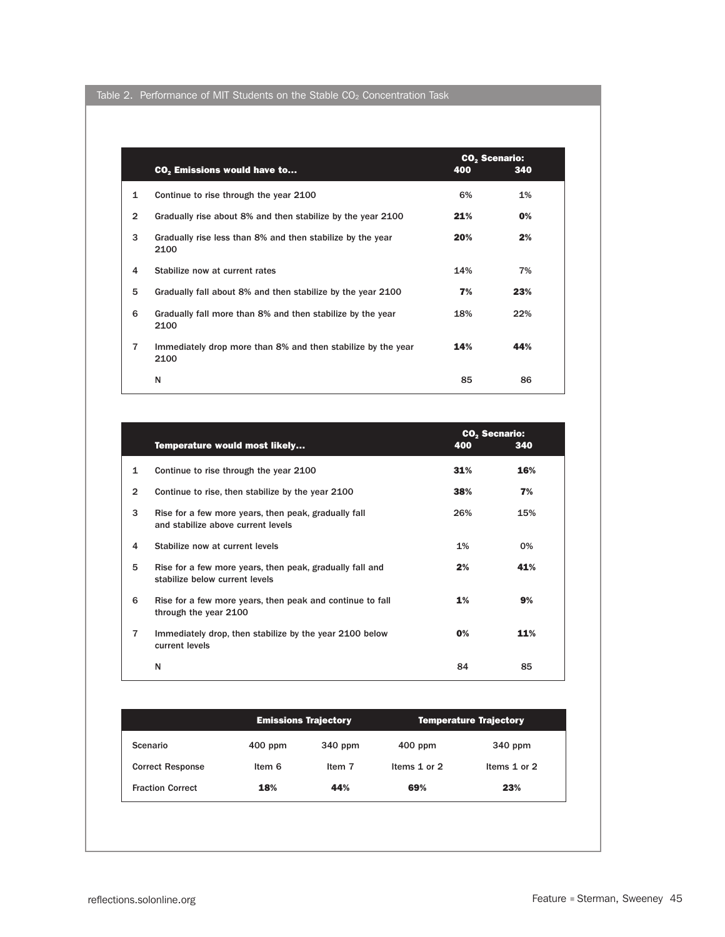### Table 2. Performance of MIT Students on the Stable CO<sub>2</sub> Concentration Task

|                                                                               | <b>CO<sub>2</sub></b> Scenario: |                |
|-------------------------------------------------------------------------------|---------------------------------|----------------|
| <b>CO., Emissions would have to</b>                                           | 400                             | 340            |
| 1<br>Continue to rise through the year 2100                                   | 6%                              | $1\%$          |
| $\mathfrak{p}$<br>Gradually rise about 8% and then stabilize by the year 2100 | 21%                             | $\mathbf{0\%}$ |
| 3<br>Gradually rise less than 8% and then stabilize by the year<br>2100       | 20%                             | 2%             |
| 4<br>Stabilize now at current rates                                           | 14%                             | 7%             |
| 5<br>Gradually fall about 8% and then stabilize by the year 2100              | 7%                              | 23%            |
| 6<br>Gradually fall more than 8% and then stabilize by the year<br>2100       | 18%                             | 22%            |
| 7<br>Immediately drop more than 8% and then stabilize by the year<br>2100     | 14%                             | 44%            |
| N                                                                             | 85                              | 86             |

|                | Temperature would most likely                                                              | CO <sub>2</sub> Secnario:<br>400 | 340 |
|----------------|--------------------------------------------------------------------------------------------|----------------------------------|-----|
| 1              | Continue to rise through the year 2100                                                     | 31%                              | 16% |
| $\overline{2}$ | Continue to rise, then stabilize by the year 2100                                          | 38%                              | 7%  |
| 3              | Rise for a few more years, then peak, gradually fall<br>and stabilize above current levels | 26%                              | 15% |
| 4              | Stabilize now at current levels                                                            | 1%                               | 0%  |
| 5              | Rise for a few more years, then peak, gradually fall and<br>stabilize below current levels | 2%                               | 41% |
| 6              | Rise for a few more years, then peak and continue to fall<br>through the year 2100         | 1%                               | 9%  |
| $\overline{7}$ | Immediately drop, then stabilize by the year 2100 below<br>current levels                  | $\mathbf{0\%}$                   | 11% |
|                | N                                                                                          | 84                               | 85  |

|                         | <b>Emissions Trajectory</b> |         |              | <b>Temperature Trajectory</b> |
|-------------------------|-----------------------------|---------|--------------|-------------------------------|
| Scenario                | $400$ ppm                   | 340 ppm | $400$ ppm    | 340 ppm                       |
| <b>Correct Response</b> | Item 6                      | Item 7  | Items 1 or 2 | Items 1 or 2                  |
| <b>Fraction Correct</b> | 18%                         | 44%     | 69%          | 23%                           |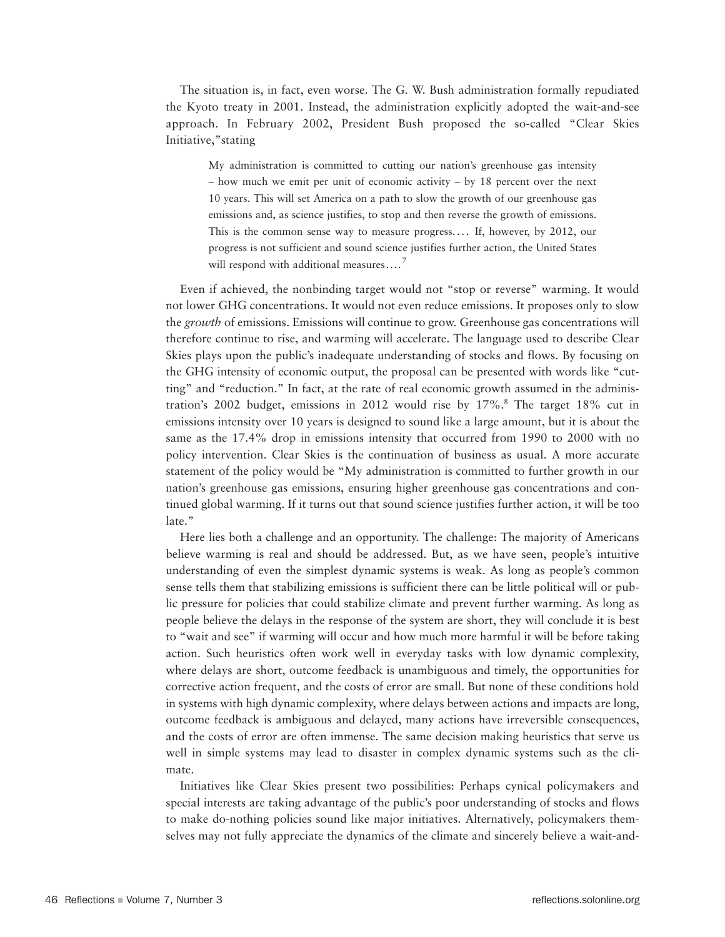The situation is, in fact, even worse. The G. W. Bush administration formally repudiated the Kyoto treaty in 2001. Instead, the administration explicitly adopted the wait-and-see approach. In February 2002, President Bush proposed the so-called "Clear Skies Initiative,"stating

My administration is committed to cutting our nation's greenhouse gas intensity – how much we emit per unit of economic activity – by 18 percent over the next 10 years. This will set America on a path to slow the growth of our greenhouse gas emissions and, as science justifies, to stop and then reverse the growth of emissions. This is the common sense way to measure progress.... If, however, by 2012, our progress is not sufficient and sound science justifies further action, the United States will respond with additional measures....<sup>7</sup>

Even if achieved, the nonbinding target would not "stop or reverse" warming. It would not lower GHG concentrations. It would not even reduce emissions. It proposes only to slow the *growth* of emissions. Emissions will continue to grow. Greenhouse gas concentrations will therefore continue to rise, and warming will accelerate. The language used to describe Clear Skies plays upon the public's inadequate understanding of stocks and flows. By focusing on the GHG intensity of economic output, the proposal can be presented with words like "cutting" and "reduction." In fact, at the rate of real economic growth assumed in the administration's 2002 budget, emissions in 2012 would rise by  $17\%$ .<sup>8</sup> The target 18% cut in emissions intensity over 10 years is designed to sound like a large amount, but it is about the same as the 17.4% drop in emissions intensity that occurred from 1990 to 2000 with no policy intervention. Clear Skies is the continuation of business as usual. A more accurate statement of the policy would be "My administration is committed to further growth in our nation's greenhouse gas emissions, ensuring higher greenhouse gas concentrations and continued global warming. If it turns out that sound science justifies further action, it will be too late."

Here lies both a challenge and an opportunity. The challenge: The majority of Americans believe warming is real and should be addressed. But, as we have seen, people's intuitive understanding of even the simplest dynamic systems is weak. As long as people's common sense tells them that stabilizing emissions is sufficient there can be little political will or public pressure for policies that could stabilize climate and prevent further warming. As long as people believe the delays in the response of the system are short, they will conclude it is best to "wait and see" if warming will occur and how much more harmful it will be before taking action. Such heuristics often work well in everyday tasks with low dynamic complexity, where delays are short, outcome feedback is unambiguous and timely, the opportunities for corrective action frequent, and the costs of error are small. But none of these conditions hold in systems with high dynamic complexity, where delays between actions and impacts are long, outcome feedback is ambiguous and delayed, many actions have irreversible consequences, and the costs of error are often immense. The same decision making heuristics that serve us well in simple systems may lead to disaster in complex dynamic systems such as the climate.

Initiatives like Clear Skies present two possibilities: Perhaps cynical policymakers and special interests are taking advantage of the public's poor understanding of stocks and flows to make do-nothing policies sound like major initiatives. Alternatively, policymakers themselves may not fully appreciate the dynamics of the climate and sincerely believe a wait-and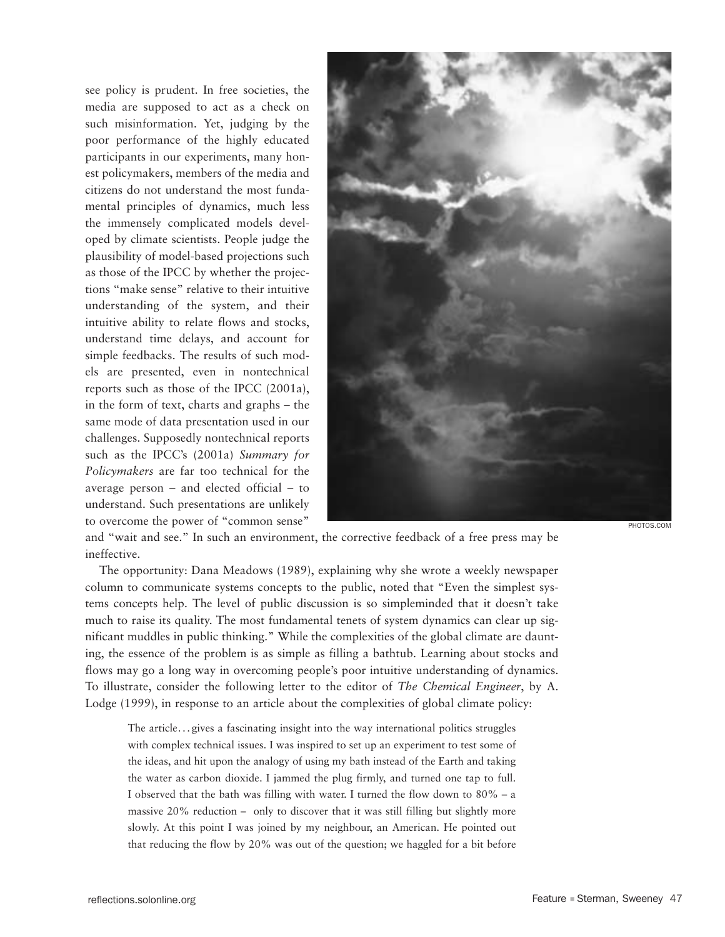see policy is prudent. In free societies, the media are supposed to act as a check on such misinformation. Yet, judging by the poor performance of the highly educated participants in our experiments, many honest policymakers, members of the media and citizens do not understand the most fundamental principles of dynamics, much less the immensely complicated models developed by climate scientists. People judge the plausibility of model-based projections such as those of the IPCC by whether the projections "make sense" relative to their intuitive understanding of the system, and their intuitive ability to relate flows and stocks, understand time delays, and account for simple feedbacks. The results of such models are presented, even in nontechnical reports such as those of the IPCC (2001a), in the form of text, charts and graphs – the same mode of data presentation used in our challenges. Supposedly nontechnical reports such as the IPCC's (2001a) *Summary for Policymakers* are far too technical for the average person – and elected official – to understand. Such presentations are unlikely to overcome the power of "common sense"



and "wait and see." In such an environment, the corrective feedback of a free press may be ineffective.

The opportunity: Dana Meadows (1989), explaining why she wrote a weekly newspaper column to communicate systems concepts to the public, noted that "Even the simplest systems concepts help. The level of public discussion is so simpleminded that it doesn't take much to raise its quality. The most fundamental tenets of system dynamics can clear up significant muddles in public thinking." While the complexities of the global climate are daunting, the essence of the problem is as simple as filling a bathtub. Learning about stocks and flows may go a long way in overcoming people's poor intuitive understanding of dynamics. To illustrate, consider the following letter to the editor of *The Chemical Engineer*, by A. Lodge (1999), in response to an article about the complexities of global climate policy:

The article...gives a fascinating insight into the way international politics struggles with complex technical issues. I was inspired to set up an experiment to test some of the ideas, and hit upon the analogy of using my bath instead of the Earth and taking the water as carbon dioxide. I jammed the plug firmly, and turned one tap to full. I observed that the bath was filling with water. I turned the flow down to 80% – a massive 20% reduction – only to discover that it was still filling but slightly more slowly. At this point I was joined by my neighbour, an American. He pointed out that reducing the flow by 20% was out of the question; we haggled for a bit before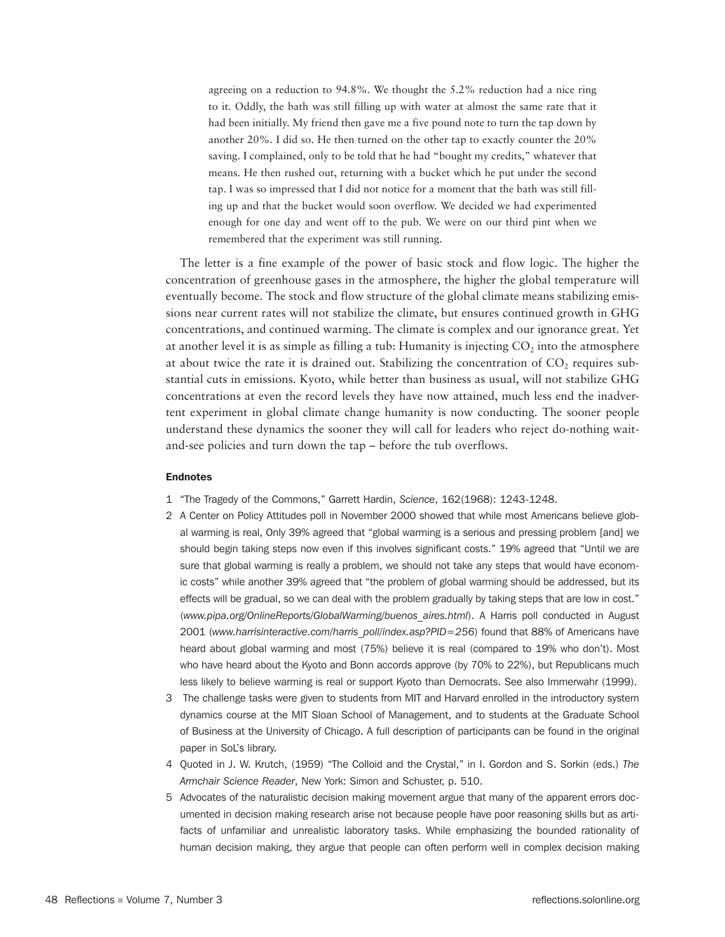agreeing on a reduction to 94.8%. We thought the 5.2% reduction had a nice ring to it. Oddly, the bath was still filling up with water at almost the same rate that it had been initially. My friend then gave me a five pound note to turn the tap down by another 20%. I did so. He then turned on the other tap to exactly counter the 20% saving. I complained, only to be told that he had "bought my credits," whatever that means. He then rushed out, returning with a bucket which he put under the second tap. I was so impressed that I did not notice for a moment that the bath was still filling up and that the bucket would soon overflow. We decided we had experimented enough for one day and went off to the pub. We were on our third pint when we remembered that the experiment was still running.

The letter is a fine example of the power of basic stock and flow logic. The higher the concentration of greenhouse gases in the atmosphere, the higher the global temperature will eventually become. The stock and flow structure of the global climate means stabilizing emissions near current rates will not stabilize the climate, but ensures continued growth in GHG concentrations, and continued warming. The climate is complex and our ignorance great. Yet at another level it is as simple as filling a tub: Humanity is injecting  $CO<sub>2</sub>$  into the atmosphere at about twice the rate it is drained out. Stabilizing the concentration of  $CO<sub>2</sub>$  requires substantial cuts in emissions. Kyoto, while better than business as usual, will not stabilize GHG concentrations at even the record levels they have now attained, much less end the inadvertent experiment in global climate change humanity is now conducting. The sooner people understand these dynamics the sooner they will call for leaders who reject do-nothing waitand-see policies and turn down the tap – before the tub overflows.

### Endnotes

- 1 "The Tragedy of the Commons," Garrett Hardin, *Science*, 162(1968): 1243-1248.
- 2 A Center on Policy Attitudes poll in November 2000 showed that while most Americans believe global warming is real, Only 39% agreed that "global warming is a serious and pressing problem [and] we should begin taking steps now even if this involves significant costs." 19% agreed that "Until we are sure that global warming is really a problem, we should not take any steps that would have economic costs" while another 39% agreed that "the problem of global warming should be addressed, but its effects will be gradual, so we can deal with the problem gradually by taking steps that are low in cost." (*www.pipa.org/OnlineReports/GlobalWarming/buenos\_aires.html*). A Harris poll conducted in August 2001 (*www.harrisinteractive.com/harris\_poll/index.asp?PID=256*) found that 88% of Americans have heard about global warming and most (75%) believe it is real (compared to 19% who don't). Most who have heard about the Kyoto and Bonn accords approve (by 70% to 22%), but Republicans much less likely to believe warming is real or support Kyoto than Democrats. See also Immerwahr (1999).
- 3 The challenge tasks were given to students from MIT and Harvard enrolled in the introductory system dynamics course at the MIT Sloan School of Management, and to students at the Graduate School of Business at the University of Chicago. A full description of participants can be found in the original paper in SoL's library.
- 4 Quoted in J. W. Krutch, (1959) "The Colloid and the Crystal," in I. Gordon and S. Sorkin (eds.) *The Armchair Science Reader*, New York: Simon and Schuster, p. 510.
- 5 Advocates of the naturalistic decision making movement argue that many of the apparent errors documented in decision making research arise not because people have poor reasoning skills but as artifacts of unfamiliar and unrealistic laboratory tasks. While emphasizing the bounded rationality of human decision making, they argue that people can often perform well in complex decision making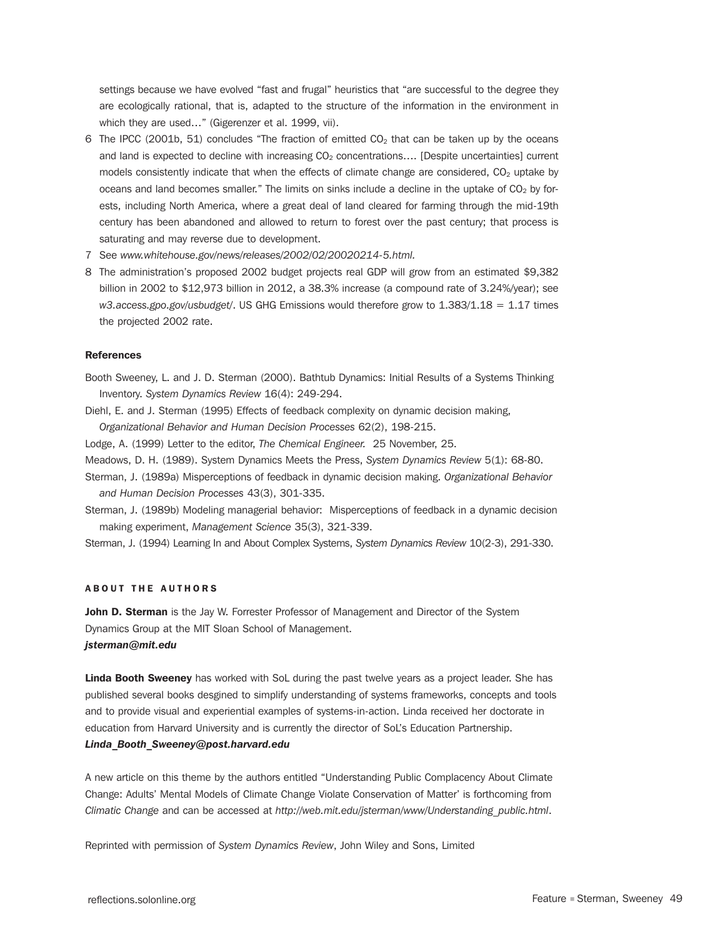settings because we have evolved "fast and frugal" heuristics that "are successful to the degree they are ecologically rational, that is, adapted to the structure of the information in the environment in which they are used…" (Gigerenzer et al. 1999, vii).

- 6 The IPCC (2001b, 51) concludes "The fraction of emitted  $CO<sub>2</sub>$  that can be taken up by the oceans and land is expected to decline with increasing CO<sub>2</sub> concentrations.... [Despite uncertainties] current models consistently indicate that when the effects of climate change are considered,  $CO<sub>2</sub>$  uptake by oceans and land becomes smaller." The limits on sinks include a decline in the uptake of  $CO<sub>2</sub>$  by forests, including North America, where a great deal of land cleared for farming through the mid-19th century has been abandoned and allowed to return to forest over the past century; that process is saturating and may reverse due to development.
- 7 See *www.whitehouse.gov/news/releases/2002/02/20020214-5.html.*
- 8 The administration's proposed 2002 budget projects real GDP will grow from an estimated \$9,382 billion in 2002 to \$12,973 billion in 2012, a 38.3% increase (a compound rate of 3.24%/year); see *w3.access.gpo.gov/usbudget/*. US GHG Emissions would therefore grow to 1.383/1.18 = 1.17 times the projected 2002 rate.

#### **References**

Booth Sweeney, L. and J. D. Sterman (2000). Bathtub Dynamics: Initial Results of a Systems Thinking Inventory. *System Dynamics Review* 16(4): 249-294.

- Diehl, E. and J. Sterman (1995) Effects of feedback complexity on dynamic decision making, *Organizational Behavior and Human Decision Processes* 62(2), 198-215.
- Lodge, A. (1999) Letter to the editor, *The Chemical Engineer.* 25 November, 25.
- Meadows, D. H. (1989). System Dynamics Meets the Press, *System Dynamics Review* 5(1): 68-80.
- Sterman, J. (1989a) Misperceptions of feedback in dynamic decision making. *Organizational Behavior and Human Decision Processes* 43(3), 301-335.
- Sterman, J. (1989b) Modeling managerial behavior: Misperceptions of feedback in a dynamic decision making experiment, *Management Science* 35(3), 321-339.

Sterman, J. (1994) Learning In and About Complex Systems, *System Dynamics Review* 10(2-3), 291-330.

### **ABOUT THE AUTHORS**

John D. Sterman is the Jay W. Forrester Professor of Management and Director of the System Dynamics Group at the MIT Sloan School of Management. *jsterman@mit.edu*

Linda Booth Sweeney has worked with SoL during the past twelve years as a project leader. She has published several books desgined to simplify understanding of systems frameworks, concepts and tools and to provide visual and experiential examples of systems-in-action. Linda received her doctorate in education from Harvard University and is currently the director of SoL's Education Partnership. *Linda\_Booth\_Sweeney@post.harvard.edu*

A new article on this theme by the authors entitled "Understanding Public Complacency About Climate Change: Adults' Mental Models of Climate Change Violate Conservation of Matter' is forthcoming from *Climatic Change* and can be accessed at *http://web.mit.edu/jsterman/www/Understanding\_public.html*.

Reprinted with permission of *System Dynamics Review*, John Wiley and Sons, Limited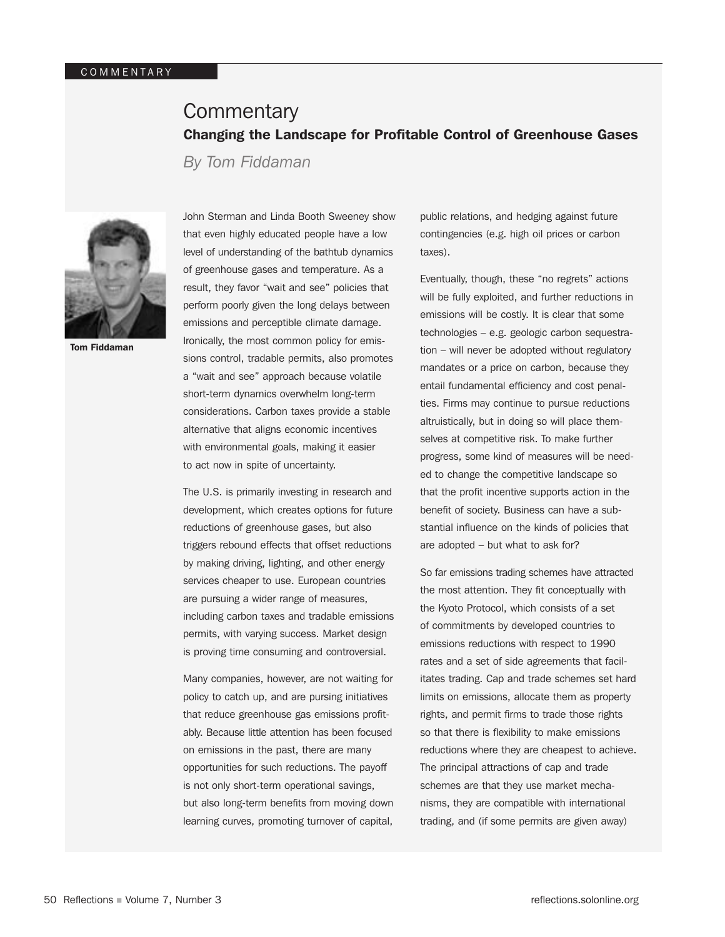### **Commentary** Changing the Landscape for Profitable Control of Greenhouse Gases

*By Tom Fiddaman*



Tom Fiddaman

John Sterman and Linda Booth Sweeney show that even highly educated people have a low level of understanding of the bathtub dynamics of greenhouse gases and temperature. As a result, they favor "wait and see" policies that perform poorly given the long delays between emissions and perceptible climate damage. Ironically, the most common policy for emissions control, tradable permits, also promotes a "wait and see" approach because volatile short-term dynamics overwhelm long-term considerations. Carbon taxes provide a stable alternative that aligns economic incentives with environmental goals, making it easier to act now in spite of uncertainty.

The U.S. is primarily investing in research and development, which creates options for future reductions of greenhouse gases, but also triggers rebound effects that offset reductions by making driving, lighting, and other energy services cheaper to use. European countries are pursuing a wider range of measures, including carbon taxes and tradable emissions permits, with varying success. Market design is proving time consuming and controversial.

Many companies, however, are not waiting for policy to catch up, and are pursing initiatives that reduce greenhouse gas emissions profitably. Because little attention has been focused on emissions in the past, there are many opportunities for such reductions. The payoff is not only short-term operational savings, but also long-term benefits from moving down learning curves, promoting turnover of capital,

public relations, and hedging against future contingencies (e.g. high oil prices or carbon taxes).

Eventually, though, these "no regrets" actions will be fully exploited, and further reductions in emissions will be costly. It is clear that some technologies – e.g. geologic carbon sequestration – will never be adopted without regulatory mandates or a price on carbon, because they entail fundamental efficiency and cost penalties. Firms may continue to pursue reductions altruistically, but in doing so will place themselves at competitive risk. To make further progress, some kind of measures will be needed to change the competitive landscape so that the profit incentive supports action in the benefit of society. Business can have a substantial influence on the kinds of policies that are adopted – but what to ask for?

So far emissions trading schemes have attracted the most attention. They fit conceptually with the Kyoto Protocol, which consists of a set of commitments by developed countries to emissions reductions with respect to 1990 rates and a set of side agreements that facilitates trading. Cap and trade schemes set hard limits on emissions, allocate them as property rights, and permit firms to trade those rights so that there is flexibility to make emissions reductions where they are cheapest to achieve. The principal attractions of cap and trade schemes are that they use market mechanisms, they are compatible with international trading, and (if some permits are given away)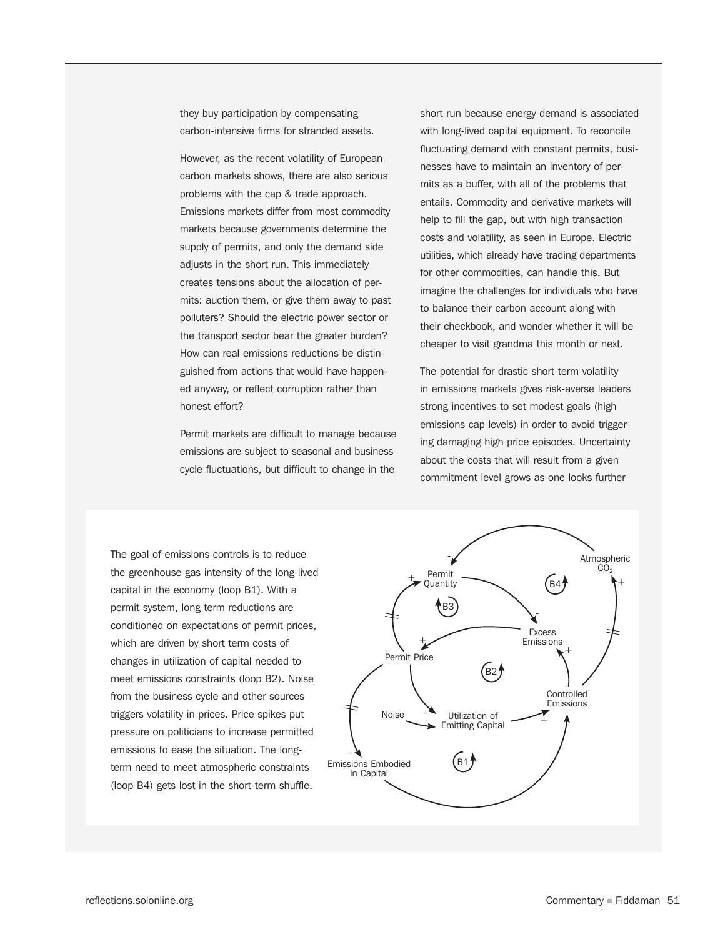they buy participation by compensating carbon-intensive firms for stranded assets.

However, as the recent volatility of European carbon markets shows, there are also serious problems with the cap & trade approach. Emissions markets differ from most commodity markets because governments determine the supply of permits, and only the demand side adjusts in the short run. This immediately creates tensions about the allocation of permits: auction them, or give them away to past polluters? Should the electric power sector or the transport sector bear the greater burden? How can real emissions reductions be distinguished from actions that would have happened anyway, or reflect corruption rather than honest effort?

Permit markets are difficult to manage because emissions are subject to seasonal and business cycle fluctuations, but difficult to change in the

short run because energy demand is associated with long-lived capital equipment. To reconcile fluctuating demand with constant permits, businesses have to maintain an inventory of permits as a buffer, with all of the problems that entails. Commodity and derivative markets will help to fill the gap, but with high transaction costs and volatility, as seen in Europe. Electric utilities, which already have trading departments for other commodities, can handle this. But imagine the challenges for individuals who have to balance their carbon account along with their checkbook, and wonder whether it will be cheaper to visit grandma this month or next.

The potential for drastic short term volatility in emissions markets gives risk-averse leaders strong incentives to set modest goals (high emissions cap levels) in order to avoid triggering damaging high price episodes. Uncertainty about the costs that will result from a given commitment level grows as one looks further

The goal of emissions controls is to reduce the greenhouse gas intensity of the long-lived capital in the economy (loop B1). With a permit system, long term reductions are conditioned on expectations of permit prices, which are driven by short term costs of changes in utilization of capital needed to meet emissions constraints (loop B2). Noise from the business cycle and other sources triggers volatility in prices. Price spikes put pressure on politicians to increase permitted emissions to ease the situation. The longterm need to meet atmospheric constraints (loop B4) gets lost in the short-term shuffle.

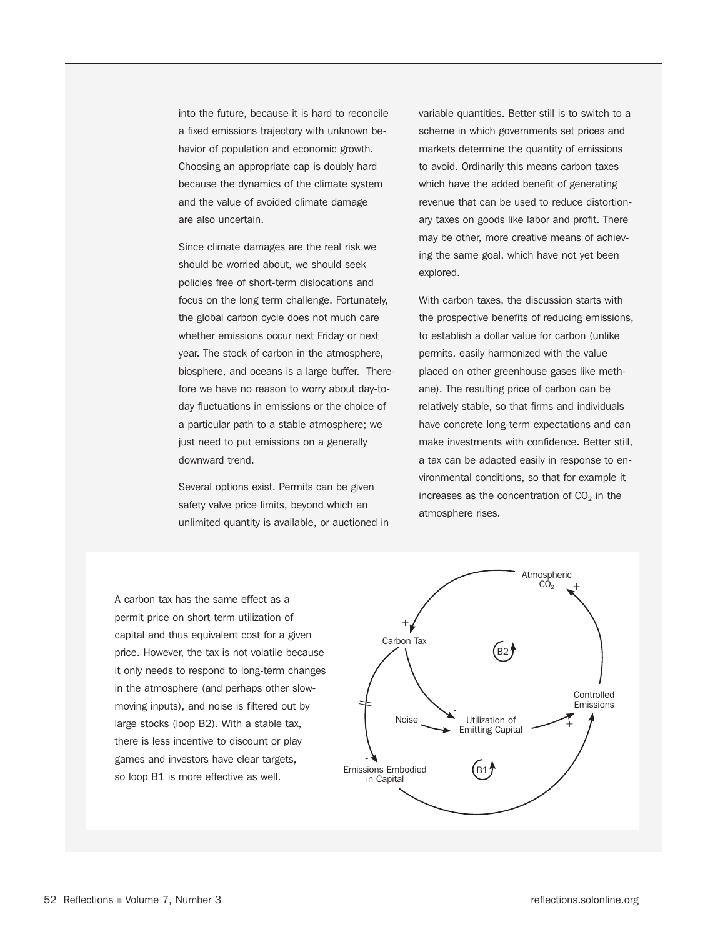into the future, because it is hard to reconcile a fixed emissions trajectory with unknown behavior of population and economic growth. Choosing an appropriate cap is doubly hard because the dynamics of the climate system and the value of avoided climate damage are also uncertain.

Since climate damages are the real risk we should be worried about, we should seek policies free of short-term dislocations and focus on the long term challenge. Fortunately, the global carbon cycle does not much care whether emissions occur next Friday or next year. The stock of carbon in the atmosphere, biosphere, and oceans is a large buffer. Therefore we have no reason to worry about day-today fluctuations in emissions or the choice of a particular path to a stable atmosphere; we just need to put emissions on a generally downward trend.

Several options exist. Permits can be given safety valve price limits, beyond which an unlimited quantity is available, or auctioned in variable quantities. Better still is to switch to a scheme in which governments set prices and markets determine the quantity of emissions to avoid. Ordinarily this means carbon taxes – which have the added benefit of generating revenue that can be used to reduce distortionary taxes on goods like labor and profit. There may be other, more creative means of achieving the same goal, which have not yet been explored.

With carbon taxes, the discussion starts with the prospective benefits of reducing emissions, to establish a dollar value for carbon (unlike permits, easily harmonized with the value placed on other greenhouse gases like methane). The resulting price of carbon can be relatively stable, so that firms and individuals have concrete long-term expectations and can make investments with confidence. Better still, a tax can be adapted easily in response to environmental conditions, so that for example it increases as the concentration of  $CO<sub>2</sub>$  in the atmosphere rises.

A carbon tax has the same effect as a permit price on short-term utilization of capital and thus equivalent cost for a given price. However, the tax is not volatile because it only needs to respond to long-term changes in the atmosphere (and perhaps other slowmoving inputs), and noise is filtered out by large stocks (loop B2). With a stable tax, there is less incentive to discount or play games and investors have clear targets, so loop B1 is more effective as well.

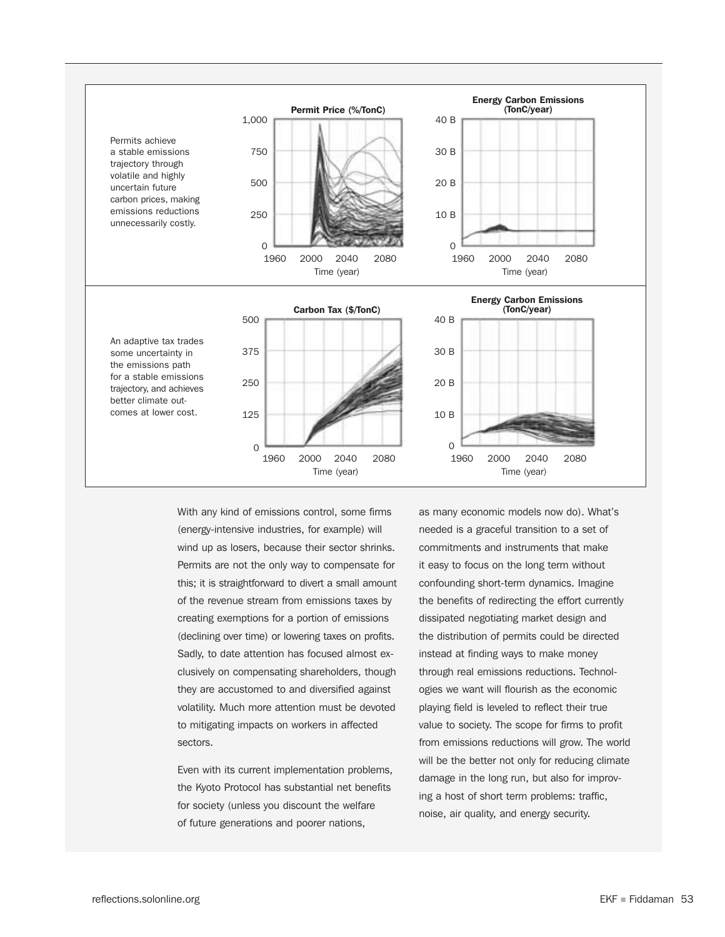

With any kind of emissions control, some firms (energy-intensive industries, for example) will wind up as losers, because their sector shrinks. Permits are not the only way to compensate for this; it is straightforward to divert a small amount of the revenue stream from emissions taxes by creating exemptions for a portion of emissions (declining over time) or lowering taxes on profits. Sadly, to date attention has focused almost exclusively on compensating shareholders, though they are accustomed to and diversified against volatility. Much more attention must be devoted to mitigating impacts on workers in affected sectors.

Even with its current implementation problems, the Kyoto Protocol has substantial net benefits for society (unless you discount the welfare of future generations and poorer nations,

as many economic models now do). What's needed is a graceful transition to a set of commitments and instruments that make it easy to focus on the long term without confounding short-term dynamics. Imagine the benefits of redirecting the effort currently dissipated negotiating market design and the distribution of permits could be directed instead at finding ways to make money through real emissions reductions. Technologies we want will flourish as the economic playing field is leveled to reflect their true value to society. The scope for firms to profit from emissions reductions will grow. The world will be the better not only for reducing climate damage in the long run, but also for improving a host of short term problems: traffic, noise, air quality, and energy security.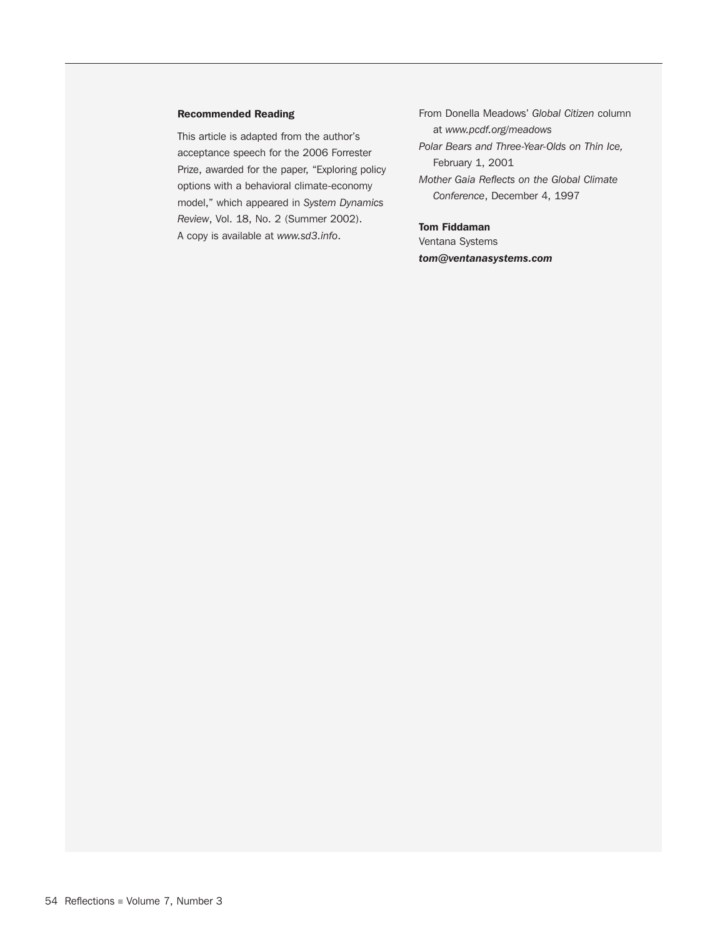#### **Recommended Reading**

This article is adapted from the author's acceptance speech for the 2006 Forrester Prize, awarded for the paper, "Exploring policy options with a behavioral climate-economy model," which appeared in *System Dynamics Review*, Vol. 18, No. 2 (Summer 2002). A copy is available at *www.sd3.info*.

From Donella Meadows' *Global Citizen* column at *www.pcdf.org/meadows Polar Bears and Three-Year-Olds on Thin Ice,* February 1, 2001 *Mother Gaia Reflects on the Global Climate Conference*, December 4, 1997

### Tom Fiddaman

Ventana Systems *tom@ventanasystems.com*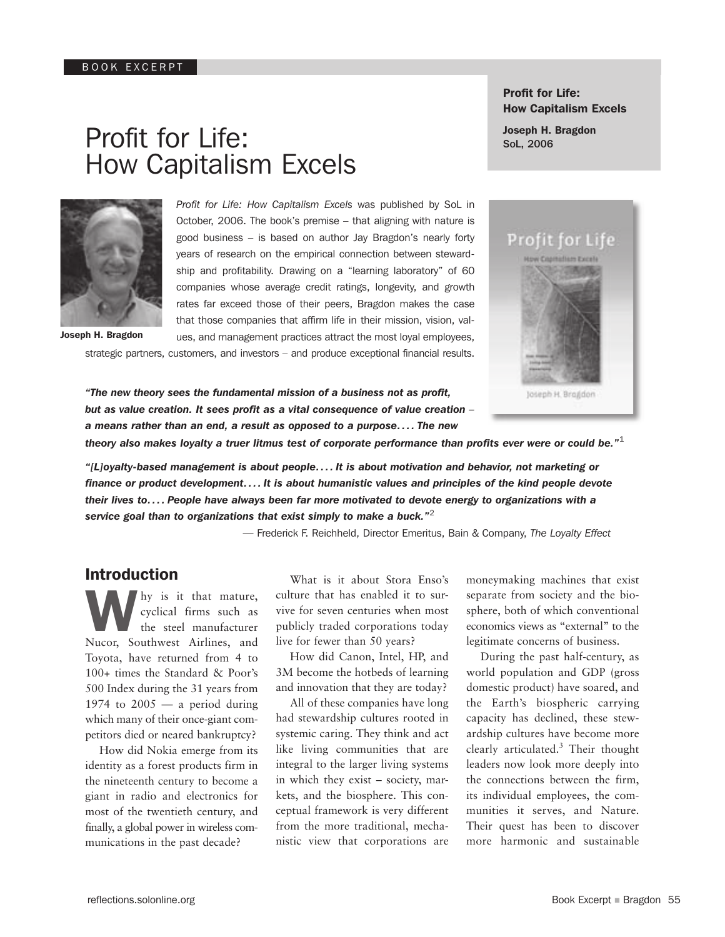### Profit for Life: How Capitalism Excels

*Profit for Life: How Capitalism Excels* was published by SoL in October, 2006. The book's premise – that aligning with nature is good business – is based on author Jay Bragdon's nearly forty years of research on the empirical connection between stewardship and profitability. Drawing on a "learning laboratory" of 60 companies whose average credit ratings, longevity, and growth rates far exceed those of their peers, Bragdon makes the case that those companies that affirm life in their mission, vision, values, and management practices attract the most loyal employees,

strategic partners, customers, and investors – and produce exceptional financial results.

*"The new theory sees the fundamental mission of a business not as profit, but as value creation. It sees profit as a vital consequence of value creation – a means rather than an end, a result as opposed to a purpose . . . . The new* 

### Profit for Life:

How Capitalism Excels

Joseph H. Bragdon SoL, 2006



*"[L]oyalty-based management is about people . . . . It is about motivation and behavior, not marketing or finance or product development.... It is about humanistic values and principles of the kind people devote their lives to . . . . People have always been far more motivated to devote energy to organizations with a service goal than to organizations that exist simply to make a buck."*<sup>2</sup> 

*theory also makes loyalty a truer litmus test of corporate performance than profits ever were or could be."*<sup>1</sup>

— Frederick F. Reichheld, Director Emeritus, Bain & Company, *The Loyalty Effect*

### Introduction

Joseph H. Bragdon

hy is it that mature, cyclical firms such as the steel manufacturer Nucor, Southwest Airlines, and Toyota, have returned from 4 to 100+ times the Standard & Poor's 500 Index during the 31 years from 1974 to  $2005 - a$  period during which many of their once-giant competitors died or neared bankruptcy?

How did Nokia emerge from its identity as a forest products firm in the nineteenth century to become a giant in radio and electronics for most of the twentieth century, and finally, a global power in wireless communications in the past decade?

What is it about Stora Enso's culture that has enabled it to survive for seven centuries when most publicly traded corporations today live for fewer than 50 years?

How did Canon, Intel, HP, and 3M become the hotbeds of learning and innovation that they are today?

All of these companies have long had stewardship cultures rooted in systemic caring. They think and act like living communities that are integral to the larger living systems in which they exist – society, markets, and the biosphere. This conceptual framework is very different from the more traditional, mechanistic view that corporations are

moneymaking machines that exist separate from society and the biosphere, both of which conventional economics views as "external" to the legitimate concerns of business.

During the past half-century, as world population and GDP (gross domestic product) have soared, and the Earth's biospheric carrying capacity has declined, these stewardship cultures have become more clearly articulated.3 Their thought leaders now look more deeply into the connections between the firm, its individual employees, the communities it serves, and Nature. Their quest has been to discover more harmonic and sustainable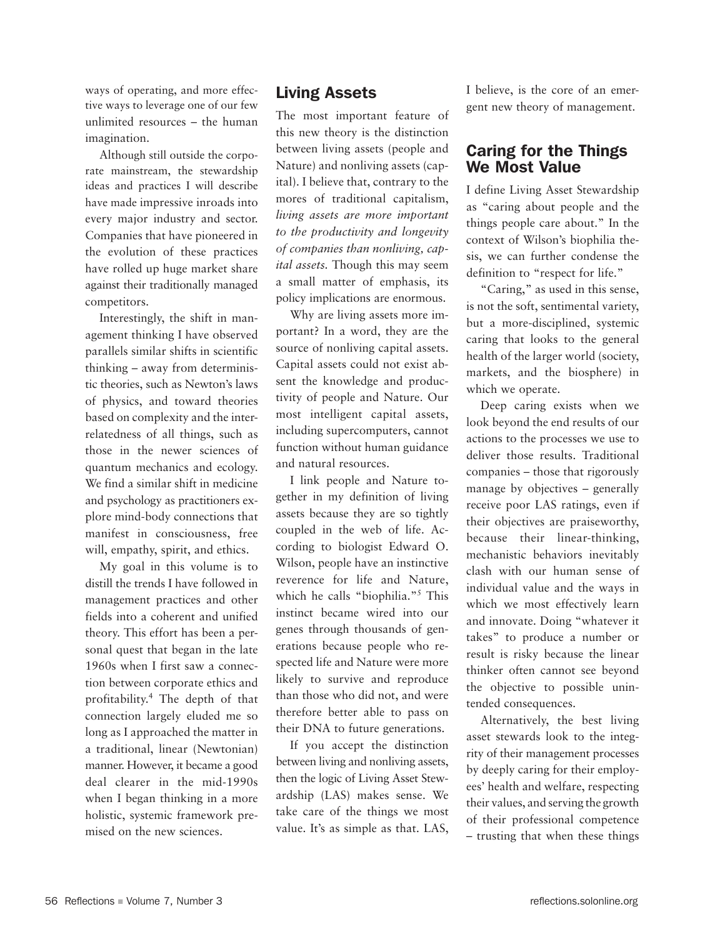ways of operating, and more effective ways to leverage one of our few unlimited resources – the human imagination.

Although still outside the corporate mainstream, the stewardship ideas and practices I will describe have made impressive inroads into every major industry and sector. Companies that have pioneered in the evolution of these practices have rolled up huge market share against their traditionally managed competitors.

Interestingly, the shift in management thinking I have observed parallels similar shifts in scientific thinking – away from deterministic theories, such as Newton's laws of physics, and toward theories based on complexity and the interrelatedness of all things, such as those in the newer sciences of quantum mechanics and ecology. We find a similar shift in medicine and psychology as practitioners explore mind-body connections that manifest in consciousness, free will, empathy, spirit, and ethics.

My goal in this volume is to distill the trends I have followed in management practices and other fields into a coherent and unified theory. This effort has been a personal quest that began in the late 1960s when I first saw a connection between corporate ethics and profitability.<sup>4</sup> The depth of that connection largely eluded me so long as I approached the matter in a traditional, linear (Newtonian) manner. However, it became a good deal clearer in the mid-1990s when I began thinking in a more holistic, systemic framework premised on the new sciences.

### Living Assets

The most important feature of this new theory is the distinction between living assets (people and Nature) and nonliving assets (capital). I believe that, contrary to the mores of traditional capitalism, *living assets are more important to the productivity and longevity of companies than nonliving, capital assets.* Though this may seem a small matter of emphasis, its policy implications are enormous.

Why are living assets more important? In a word, they are the source of nonliving capital assets. Capital assets could not exist absent the knowledge and productivity of people and Nature. Our most intelligent capital assets, including supercomputers, cannot function without human guidance and natural resources.

I link people and Nature together in my definition of living assets because they are so tightly coupled in the web of life. According to biologist Edward O. Wilson, people have an instinctive reverence for life and Nature, which he calls "biophilia."<sup>5</sup> This instinct became wired into our genes through thousands of generations because people who respected life and Nature were more likely to survive and reproduce than those who did not, and were therefore better able to pass on their DNA to future generations.

If you accept the distinction between living and nonliving assets, then the logic of Living Asset Stewardship (LAS) makes sense. We take care of the things we most value. It's as simple as that. LAS,

I believe, is the core of an emergent new theory of management.

### Caring for the Things We Most Value

I define Living Asset Stewardship as "caring about people and the things people care about." In the context of Wilson's biophilia thesis, we can further condense the definition to "respect for life."

"Caring," as used in this sense, is not the soft, sentimental variety, but a more-disciplined, systemic caring that looks to the general health of the larger world (society, markets, and the biosphere) in which we operate.

Deep caring exists when we look beyond the end results of our actions to the processes we use to deliver those results. Traditional companies – those that rigorously manage by objectives – generally receive poor LAS ratings, even if their objectives are praiseworthy, because their linear-thinking, mechanistic behaviors inevitably clash with our human sense of individual value and the ways in which we most effectively learn and innovate. Doing "whatever it takes" to produce a number or result is risky because the linear thinker often cannot see beyond the objective to possible unintended consequences.

Alternatively, the best living asset stewards look to the integrity of their management processes by deeply caring for their employees' health and welfare, respecting their values, and serving the growth of their professional competence – trusting that when these things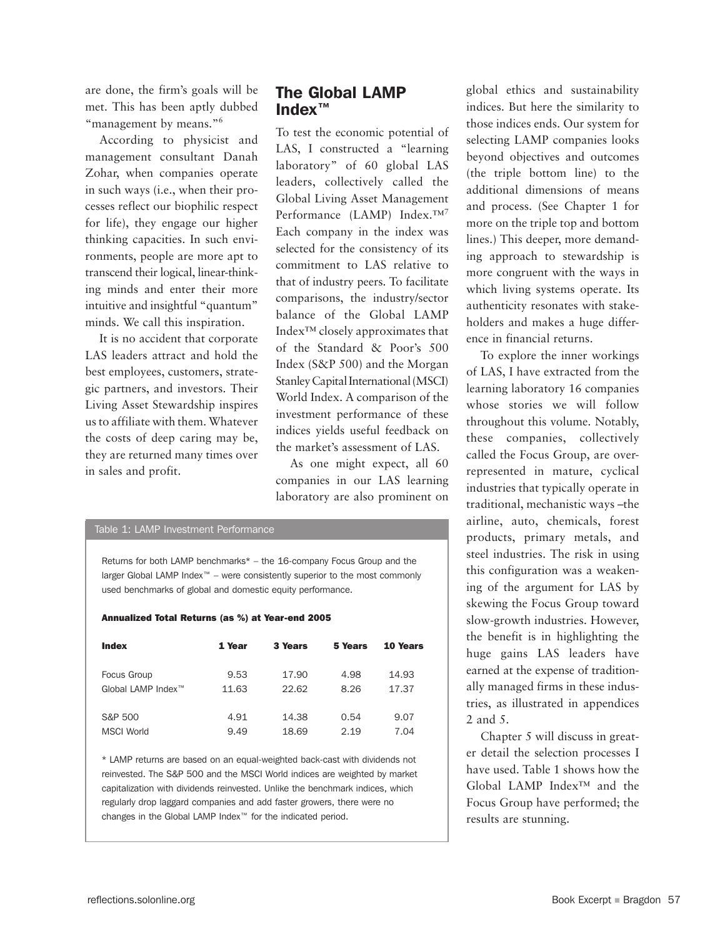are done, the firm's goals will be met. This has been aptly dubbed "management by means."<sup>6</sup>

According to physicist and management consultant Danah Zohar, when companies operate in such ways (i.e., when their processes reflect our biophilic respect for life), they engage our higher thinking capacities. In such environments, people are more apt to transcend their logical, linear-thinking minds and enter their more intuitive and insightful "quantum" minds. We call this inspiration.

It is no accident that corporate LAS leaders attract and hold the best employees, customers, strategic partners, and investors. Their Living Asset Stewardship inspires us to affiliate with them. Whatever the costs of deep caring may be, they are returned many times over in sales and profit.

### The Global LAMP Index™

To test the economic potential of LAS, I constructed a "learning laboratory" of 60 global LAS leaders, collectively called the Global Living Asset Management Performance (LAMP) Index.™<sup>7</sup> Each company in the index was selected for the consistency of its commitment to LAS relative to that of industry peers. To facilitate comparisons, the industry/sector balance of the Global LAMP Index™ closely approximates that of the Standard & Poor's 500 Index (S&P 500) and the Morgan Stanley Capital International (MSCI) World Index. A comparison of the investment performance of these indices yields useful feedback on the market's assessment of LAS.

As one might expect, all 60 companies in our LAS learning laboratory are also prominent on

| Table 1: LAMP Investment Performance |  |
|--------------------------------------|--|
|--------------------------------------|--|

Returns for both LAMP benchmarks\* – the 16-company Focus Group and the larger Global LAMP Index™ – were consistently superior to the most commonly used benchmarks of global and domestic equity performance.

| Annualized Total Returns (as %) at Year-end 2005 |  |  |  |  |
|--------------------------------------------------|--|--|--|--|
|--------------------------------------------------|--|--|--|--|

| <b>Index</b>       | 1 Year | 3 Years | 5 Years | <b>10 Years</b> |
|--------------------|--------|---------|---------|-----------------|
| Focus Group        | 9.53   | 17.90   | 4.98    | 14.93           |
| Global LAMP Index™ | 11.63  | 22.62   | 8.26    | 17.37           |
| S&P 500            | 4.91   | 14.38   | 0.54    | 9.07            |
| <b>MSCI World</b>  | 9.49   | 18.69   | 2.19    | 7.04            |

\* LAMP returns are based on an equal-weighted back-cast with dividends not reinvested. The S&P 500 and the MSCI World indices are weighted by market capitalization with dividends reinvested. Unlike the benchmark indices, which regularly drop laggard companies and add faster growers, there were no changes in the Global LAMP Index™ for the indicated period.

global ethics and sustainability indices. But here the similarity to those indices ends. Our system for selecting LAMP companies looks beyond objectives and outcomes (the triple bottom line) to the additional dimensions of means and process. (See Chapter 1 for more on the triple top and bottom lines.) This deeper, more demanding approach to stewardship is more congruent with the ways in which living systems operate. Its authenticity resonates with stakeholders and makes a huge difference in financial returns.

To explore the inner workings of LAS, I have extracted from the learning laboratory 16 companies whose stories we will follow throughout this volume. Notably, these companies, collectively called the Focus Group, are overrepresented in mature, cyclical industries that typically operate in traditional, mechanistic ways –the airline, auto, chemicals, forest products, primary metals, and steel industries. The risk in using this configuration was a weakening of the argument for LAS by skewing the Focus Group toward slow-growth industries. However, the benefit is in highlighting the huge gains LAS leaders have earned at the expense of traditionally managed firms in these industries, as illustrated in appendices 2 and 5.

Chapter 5 will discuss in greater detail the selection processes I have used. Table 1 shows how the Global LAMP Index™ and the Focus Group have performed; the results are stunning.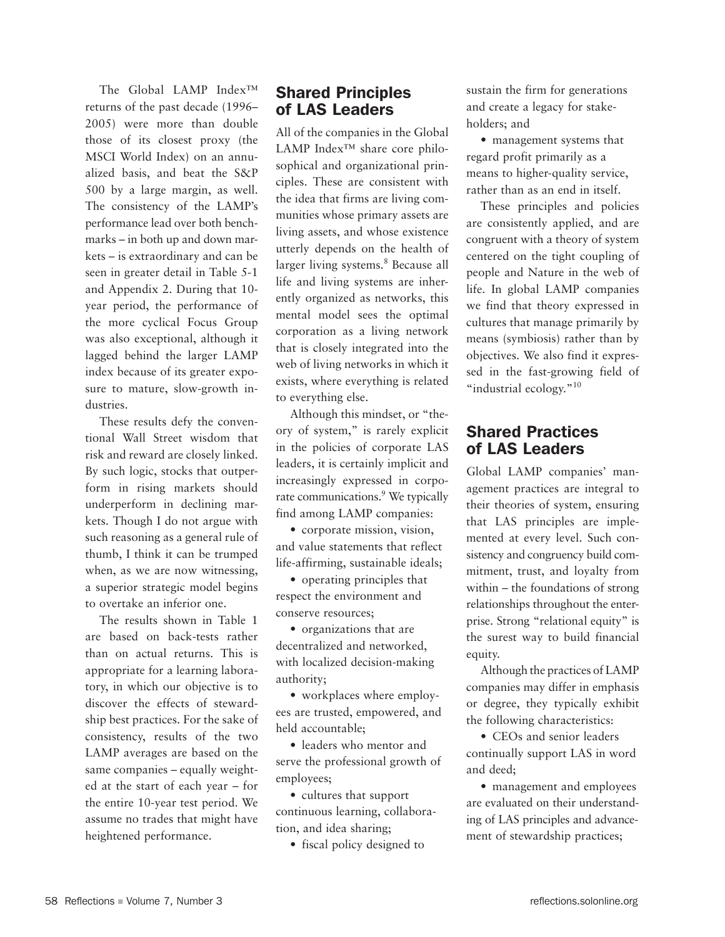The Global LAMP Index™ returns of the past decade (1996– 2005) were more than double those of its closest proxy (the MSCI World Index) on an annualized basis, and beat the S&P 500 by a large margin, as well. The consistency of the LAMP's performance lead over both benchmarks – in both up and down markets – is extraordinary and can be seen in greater detail in Table 5-1 and Appendix 2. During that 10 year period, the performance of the more cyclical Focus Group was also exceptional, although it lagged behind the larger LAMP index because of its greater exposure to mature, slow-growth industries.

These results defy the conventional Wall Street wisdom that risk and reward are closely linked. By such logic, stocks that outperform in rising markets should underperform in declining markets. Though I do not argue with such reasoning as a general rule of thumb, I think it can be trumped when, as we are now witnessing, a superior strategic model begins to overtake an inferior one.

The results shown in Table 1 are based on back-tests rather than on actual returns. This is appropriate for a learning laboratory, in which our objective is to discover the effects of stewardship best practices. For the sake of consistency, results of the two LAMP averages are based on the same companies – equally weighted at the start of each year – for the entire 10-year test period. We assume no trades that might have heightened performance.

### Shared Principles of LAS Leaders

All of the companies in the Global LAMP Index™ share core philosophical and organizational principles. These are consistent with the idea that firms are living communities whose primary assets are living assets, and whose existence utterly depends on the health of larger living systems.<sup>8</sup> Because all life and living systems are inherently organized as networks, this mental model sees the optimal corporation as a living network that is closely integrated into the web of living networks in which it exists, where everything is related to everything else.

Although this mindset, or "theory of system," is rarely explicit in the policies of corporate LAS leaders, it is certainly implicit and increasingly expressed in corporate communications.<sup>9</sup> We typically find among LAMP companies:

• corporate mission, vision, and value statements that reflect life-affirming, sustainable ideals;

• operating principles that respect the environment and conserve resources;

• organizations that are decentralized and networked, with localized decision-making authority;

• workplaces where employees are trusted, empowered, and held accountable;

• leaders who mentor and serve the professional growth of employees;

• cultures that support continuous learning, collaboration, and idea sharing;

• fiscal policy designed to

sustain the firm for generations and create a legacy for stakeholders; and

• management systems that regard profit primarily as a means to higher-quality service, rather than as an end in itself.

These principles and policies are consistently applied, and are congruent with a theory of system centered on the tight coupling of people and Nature in the web of life. In global LAMP companies we find that theory expressed in cultures that manage primarily by means (symbiosis) rather than by objectives. We also find it expressed in the fast-growing field of "industrial ecology."<sup>10</sup>

### Shared Practices of LAS Leaders

Global LAMP companies' management practices are integral to their theories of system, ensuring that LAS principles are implemented at every level. Such consistency and congruency build commitment, trust, and loyalty from within – the foundations of strong relationships throughout the enterprise. Strong "relational equity" is the surest way to build financial equity.

Although the practices of LAMP companies may differ in emphasis or degree, they typically exhibit the following characteristics:

• CEOs and senior leaders continually support LAS in word and deed;

• management and employees are evaluated on their understanding of LAS principles and advancement of stewardship practices;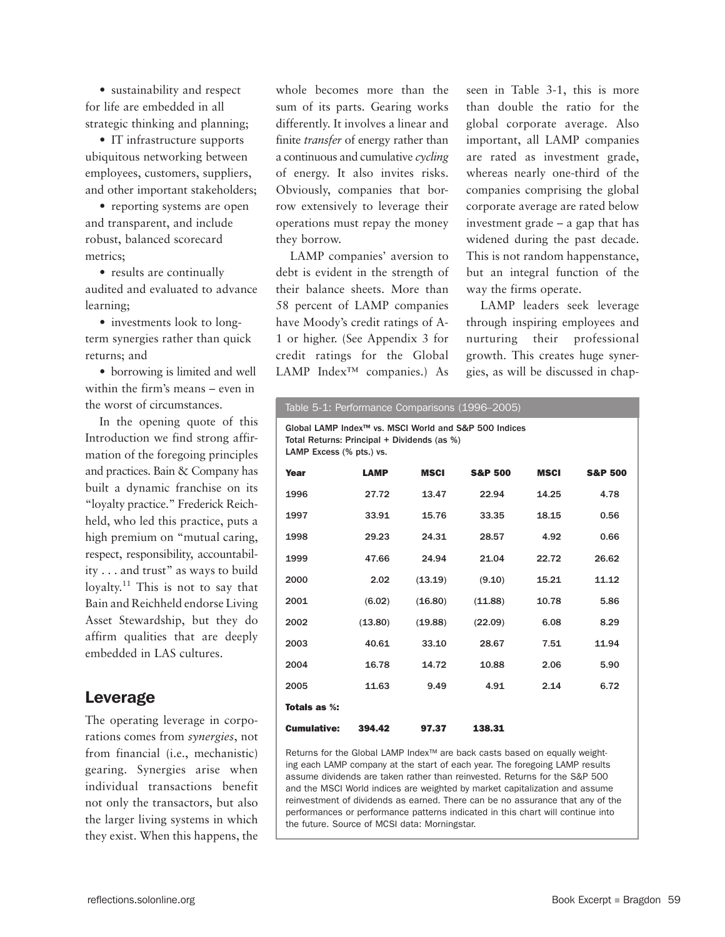• sustainability and respect for life are embedded in all strategic thinking and planning;

• IT infrastructure supports ubiquitous networking between employees, customers, suppliers, and other important stakeholders;

• reporting systems are open and transparent, and include robust, balanced scorecard metrics;

• results are continually audited and evaluated to advance learning;

• investments look to longterm synergies rather than quick returns; and

• borrowing is limited and well within the firm's means – even in the worst of circumstances.

In the opening quote of this Introduction we find strong affirmation of the foregoing principles and practices. Bain & Company has built a dynamic franchise on its "loyalty practice." Frederick Reichheld, who led this practice, puts a high premium on "mutual caring, respect, responsibility, accountability . . . and trust" as ways to build loyalty.<sup>11</sup> This is not to say that Bain and Reichheld endorse Living Asset Stewardship, but they do affirm qualities that are deeply embedded in LAS cultures.

### Leverage

The operating leverage in corporations comes from *synergies*, not from financial (i.e., mechanistic) gearing. Synergies arise when individual transactions benefit not only the transactors, but also the larger living systems in which they exist. When this happens, the

whole becomes more than the sum of its parts. Gearing works differently. It involves a linear and finite *transfer* of energy rather than a continuous and cumulative *cycling* of energy. It also invites risks. Obviously, companies that borrow extensively to leverage their operations must repay the money they borrow.

LAMP companies' aversion to debt is evident in the strength of their balance sheets. More than 58 percent of LAMP companies have Moody's credit ratings of A-1 or higher. (See Appendix 3 for credit ratings for the Global LAMP Index™ companies.) As

seen in Table 3-1, this is more than double the ratio for the global corporate average. Also important, all LAMP companies are rated as investment grade, whereas nearly one-third of the companies comprising the global corporate average are rated below investment grade – a gap that has widened during the past decade. This is not random happenstance, but an integral function of the way the firms operate.

LAMP leaders seek leverage through inspiring employees and nurturing their professional growth. This creates huge synergies, as will be discussed in chap-

| Table 5-1: Performance Comparisons (1996-2005)                                                                                   |             |             |                    |             |                    |  |
|----------------------------------------------------------------------------------------------------------------------------------|-------------|-------------|--------------------|-------------|--------------------|--|
| Global LAMP Index™ vs. MSCI World and S&P 500 Indices<br>Total Returns: Principal + Dividends (as %)<br>LAMP Excess (% pts.) vs. |             |             |                    |             |                    |  |
| Year                                                                                                                             | <b>LAMP</b> | <b>MSCI</b> | <b>S&amp;P 500</b> | <b>MSCI</b> | <b>S&amp;P 500</b> |  |
| 1996                                                                                                                             | 27.72       | 13.47       | 22.94              | 14.25       | 4.78               |  |
| 1997                                                                                                                             | 33.91       | 15.76       | 33.35              | 18.15       | 0.56               |  |
| 1998                                                                                                                             | 29.23       | 24.31       | 28.57              | 4.92        | 0.66               |  |
| 1999                                                                                                                             | 47.66       | 24.94       | 21.04              | 22.72       | 26.62              |  |
| 2000                                                                                                                             | 2.02        | (13.19)     | (9.10)             | 15.21       | 11.12              |  |
| 2001                                                                                                                             | (6.02)      | (16.80)     | (11.88)            | 10.78       | 5.86               |  |
| 2002                                                                                                                             | (13.80)     | (19.88)     | (22.09)            | 6.08        | 8.29               |  |
| 2003                                                                                                                             | 40.61       | 33.10       | 28.67              | 7.51        | 11.94              |  |
| 2004                                                                                                                             | 16.78       | 14.72       | 10.88              | 2.06        | 5.90               |  |
| 2005                                                                                                                             | 11.63       | 9.49        | 4.91               | 2.14        | 6.72               |  |
| <b>Totals as %:</b>                                                                                                              |             |             |                    |             |                    |  |
| <b>Cumulative:</b>                                                                                                               | 394.42      | 97.37       | 138.31             |             |                    |  |

Returns for the Global LAMP Index™ are back casts based on equally weighting each LAMP company at the start of each year. The foregoing LAMP results assume dividends are taken rather than reinvested. Returns for the S&P 500 and the MSCI World indices are weighted by market capitalization and assume reinvestment of dividends as earned. There can be no assurance that any of the performances or performance patterns indicated in this chart will continue into the future. Source of MCSI data: Morningstar.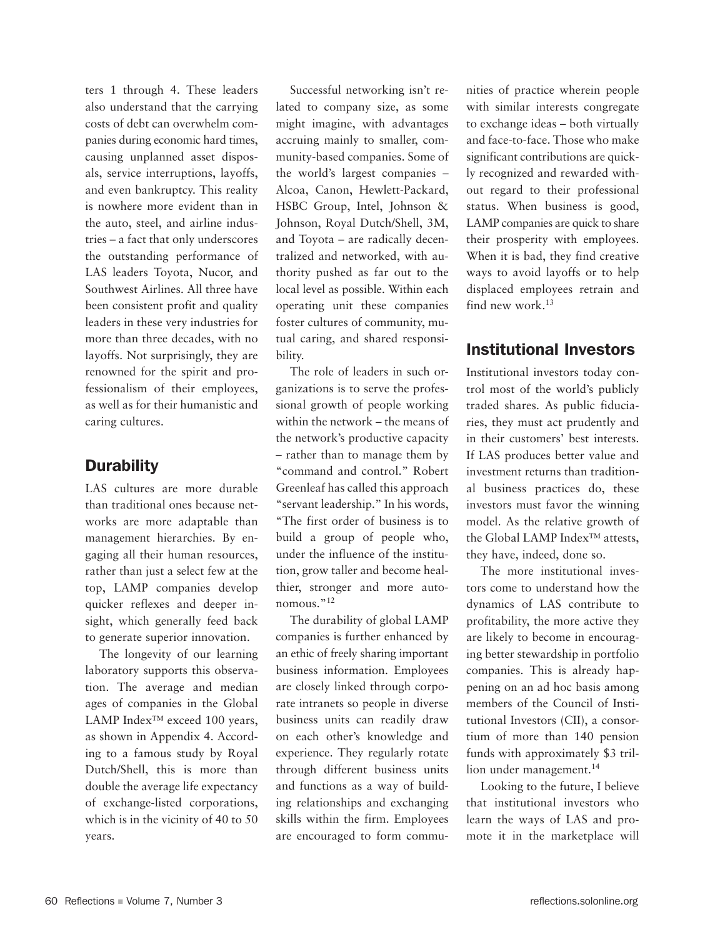ters 1 through 4. These leaders also understand that the carrying costs of debt can overwhelm companies during economic hard times, causing unplanned asset disposals, service interruptions, layoffs, and even bankruptcy. This reality is nowhere more evident than in the auto, steel, and airline industries – a fact that only underscores the outstanding performance of LAS leaders Toyota, Nucor, and Southwest Airlines. All three have been consistent profit and quality leaders in these very industries for more than three decades, with no layoffs. Not surprisingly, they are renowned for the spirit and professionalism of their employees, as well as for their humanistic and caring cultures.

### **Durability**

LAS cultures are more durable than traditional ones because networks are more adaptable than management hierarchies. By engaging all their human resources, rather than just a select few at the top, LAMP companies develop quicker reflexes and deeper insight, which generally feed back to generate superior innovation.

The longevity of our learning laboratory supports this observation. The average and median ages of companies in the Global LAMP Index™ exceed 100 years, as shown in Appendix 4. According to a famous study by Royal Dutch/Shell, this is more than double the average life expectancy of exchange-listed corporations, which is in the vicinity of 40 to 50 years.

Successful networking isn't related to company size, as some might imagine, with advantages accruing mainly to smaller, community-based companies. Some of the world's largest companies – Alcoa, Canon, Hewlett-Packard, HSBC Group, Intel, Johnson & Johnson, Royal Dutch/Shell, 3M, and Toyota – are radically decentralized and networked, with authority pushed as far out to the local level as possible. Within each operating unit these companies foster cultures of community, mutual caring, and shared responsibility.

The role of leaders in such organizations is to serve the professional growth of people working within the network – the means of the network's productive capacity – rather than to manage them by "command and control." Robert Greenleaf has called this approach "servant leadership." In his words, "The first order of business is to build a group of people who, under the influence of the institution, grow taller and become healthier, stronger and more autonomous."<sup>12</sup>

The durability of global LAMP companies is further enhanced by an ethic of freely sharing important business information. Employees are closely linked through corporate intranets so people in diverse business units can readily draw on each other's knowledge and experience. They regularly rotate through different business units and functions as a way of building relationships and exchanging skills within the firm. Employees are encouraged to form communities of practice wherein people with similar interests congregate to exchange ideas – both virtually and face-to-face. Those who make significant contributions are quickly recognized and rewarded without regard to their professional status. When business is good, LAMP companies are quick to share their prosperity with employees. When it is bad, they find creative ways to avoid layoffs or to help displaced employees retrain and find new work.<sup>13</sup>

### Institutional Investors

Institutional investors today control most of the world's publicly traded shares. As public fiduciaries, they must act prudently and in their customers' best interests. If LAS produces better value and investment returns than traditional business practices do, these investors must favor the winning model. As the relative growth of the Global LAMP Index™ attests, they have, indeed, done so.

The more institutional investors come to understand how the dynamics of LAS contribute to profitability, the more active they are likely to become in encouraging better stewardship in portfolio companies. This is already happening on an ad hoc basis among members of the Council of Institutional Investors (CII), a consortium of more than 140 pension funds with approximately \$3 trillion under management.<sup>14</sup>

Looking to the future, I believe that institutional investors who learn the ways of LAS and promote it in the marketplace will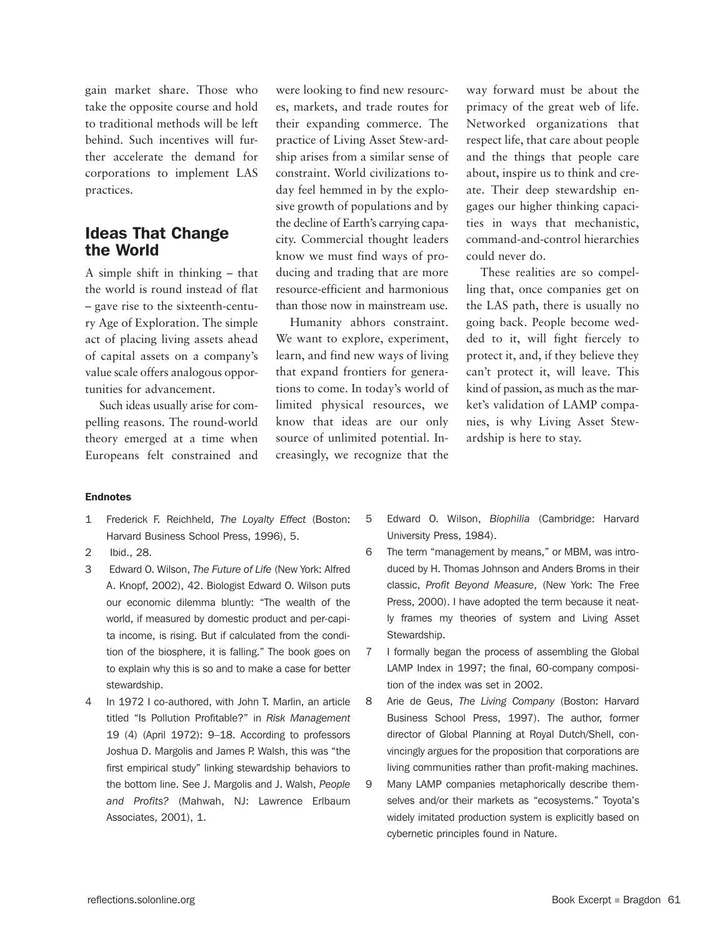gain market share. Those who take the opposite course and hold to traditional methods will be left behind. Such incentives will further accelerate the demand for corporations to implement LAS practices.

### Ideas That Change the World

A simple shift in thinking – that the world is round instead of flat – gave rise to the sixteenth-century Age of Exploration. The simple act of placing living assets ahead of capital assets on a company's value scale offers analogous opportunities for advancement.

Such ideas usually arise for compelling reasons. The round-world theory emerged at a time when Europeans felt constrained and

were looking to find new resources, markets, and trade routes for their expanding commerce. The practice of Living Asset Stew-ardship arises from a similar sense of constraint. World civilizations today feel hemmed in by the explosive growth of populations and by the decline of Earth's carrying capacity. Commercial thought leaders know we must find ways of producing and trading that are more resource-efficient and harmonious than those now in mainstream use.

Humanity abhors constraint. We want to explore, experiment, learn, and find new ways of living that expand frontiers for generations to come. In today's world of limited physical resources, we know that ideas are our only source of unlimited potential. Increasingly, we recognize that the

way forward must be about the primacy of the great web of life. Networked organizations that respect life, that care about people and the things that people care about, inspire us to think and create. Their deep stewardship engages our higher thinking capacities in ways that mechanistic, command-and-control hierarchies could never do.

These realities are so compelling that, once companies get on the LAS path, there is usually no going back. People become wedded to it, will fight fiercely to protect it, and, if they believe they can't protect it, will leave. This kind of passion, as much as the market's validation of LAMP companies, is why Living Asset Stewardship is here to stay.

### Endnotes

- 1 Frederick F. Reichheld, *The Loyalty Effect* (Boston: Harvard Business School Press, 1996), 5.
- 2 Ibid., 28.
- 3 Edward O. Wilson, *The Future of Life* (New York: Alfred A. Knopf, 2002), 42. Biologist Edward O. Wilson puts our economic dilemma bluntly: "The wealth of the world, if measured by domestic product and per-capita income, is rising. But if calculated from the condition of the biosphere, it is falling." The book goes on to explain why this is so and to make a case for better stewardship.
- 4 In 1972 I co-authored, with John T. Marlin, an article titled "Is Pollution Profitable?" in *Risk Management* 19 (4) (April 1972): 9–18. According to professors Joshua D. Margolis and James P. Walsh, this was "the first empirical study" linking stewardship behaviors to the bottom line. See J. Margolis and J. Walsh, *People and Profits?* (Mahwah, NJ: Lawrence Erlbaum Associates, 2001), 1.
- 5 Edward O. Wilson, *Biophilia* (Cambridge: Harvard University Press, 1984).
- 6 The term "management by means," or MBM, was introduced by H. Thomas Johnson and Anders Broms in their classic, *Profit Beyond Measure*, (New York: The Free Press, 2000). I have adopted the term because it neatly frames my theories of system and Living Asset Stewardship.
- 7 I formally began the process of assembling the Global LAMP Index in 1997; the final, 60-company composition of the index was set in 2002.
- 8 Arie de Geus, *The Living Company* (Boston: Harvard Business School Press, 1997). The author, former director of Global Planning at Royal Dutch/Shell, convincingly argues for the proposition that corporations are living communities rather than profit-making machines.
- 9 Many LAMP companies metaphorically describe themselves and/or their markets as "ecosystems." Toyota's widely imitated production system is explicitly based on cybernetic principles found in Nature.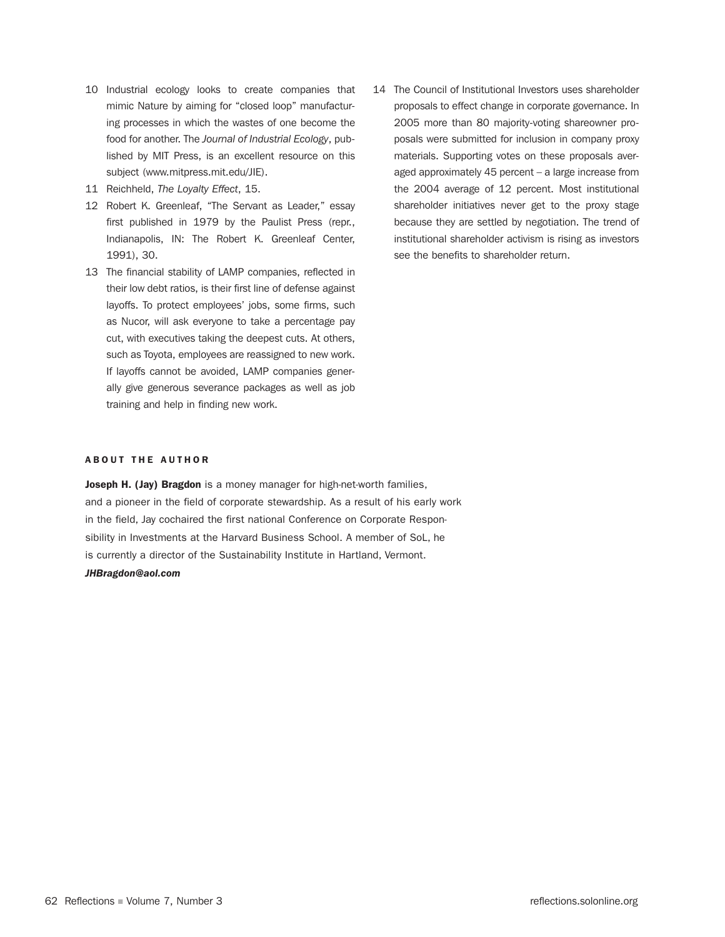- 10 Industrial ecology looks to create companies that mimic Nature by aiming for "closed loop" manufacturing processes in which the wastes of one become the food for another. The *Journal of Industrial Ecology*, published by MIT Press, is an excellent resource on this subject (www.mitpress.mit.edu/JIE).
- 11 Reichheld, *The Loyalty Effect*, 15.
- 12 Robert K. Greenleaf, "The Servant as Leader," essay first published in 1979 by the Paulist Press (repr., Indianapolis, IN: The Robert K. Greenleaf Center, 1991), 30.
- 13 The financial stability of LAMP companies, reflected in their low debt ratios, is their first line of defense against layoffs. To protect employees' jobs, some firms, such as Nucor, will ask everyone to take a percentage pay cut, with executives taking the deepest cuts. At others, such as Toyota, employees are reassigned to new work. If layoffs cannot be avoided, LAMP companies generally give generous severance packages as well as job training and help in finding new work.
- 14 The Council of Institutional Investors uses shareholder proposals to effect change in corporate governance. In 2005 more than 80 majority-voting shareowner proposals were submitted for inclusion in company proxy materials. Supporting votes on these proposals averaged approximately 45 percent – a large increase from the 2004 average of 12 percent. Most institutional shareholder initiatives never get to the proxy stage because they are settled by negotiation. The trend of institutional shareholder activism is rising as investors see the benefits to shareholder return.

### **ABOUT THE AUTHOR**

Joseph H. (Jay) Bragdon is a money manager for high-net-worth families, and a pioneer in the field of corporate stewardship. As a result of his early work in the field, Jay cochaired the first national Conference on Corporate Responsibility in Investments at the Harvard Business School. A member of SoL, he is currently a director of the Sustainability Institute in Hartland, Vermont. *JHBragdon@aol.com*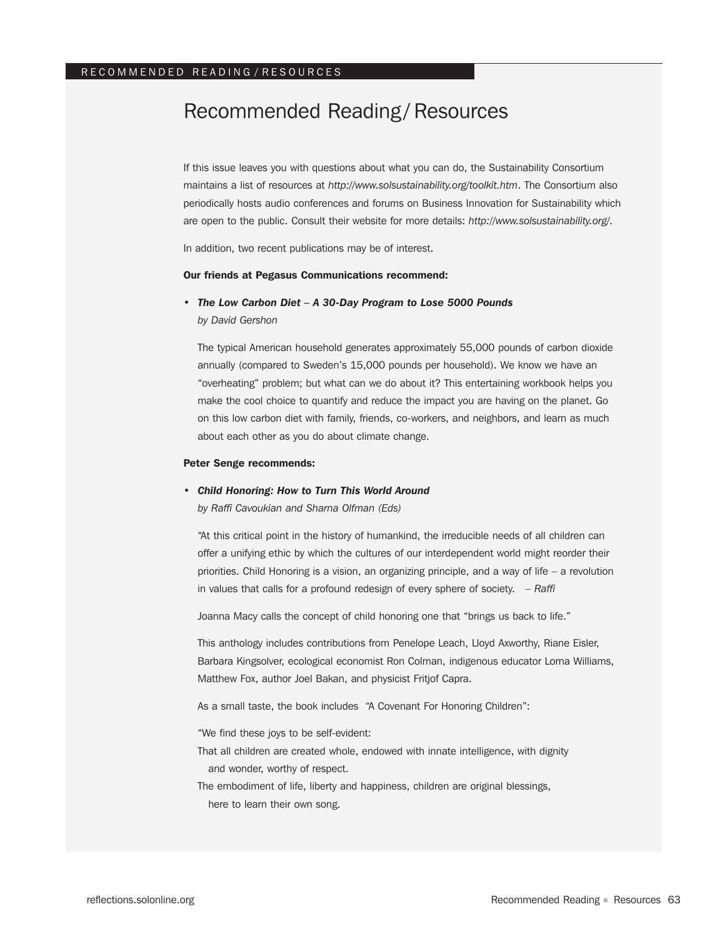### R ecommended R eadin g / resources

### Recommended Reading/Resources

If this issue leaves you with questions about what you can do, the Sustainability Consortium maintains a list of resources at *http://www.solsustainability.org/toolkit.htm*. The Consortium also periodically hosts audio conferences and forums on Business Innovation for Sustainability which are open to the public. Consult their website for more details: *http://www.solsustainability.org/.*

In addition, two recent publications may be of interest.

#### Our friends at Pegasus Communications recommend:

*• The Low Carbon Diet – A 30-Day Program to Lose 5000 Pounds by David Gershon*

The typical American household generates approximately 55,000 pounds of carbon dioxide annually (compared to Sweden's 15,000 pounds per household). We know we have an "overheating" problem; but what can we do about it? This entertaining workbook helps you make the cool choice to quantify and reduce the impact you are having on the planet. Go on this low carbon diet with family, friends, co-workers, and neighbors, and learn as much about each other as you do about climate change.

#### Peter Senge recommends:

*• Child Honoring: How to Turn This World Around* 

*by Raffi Cavoukian and Sharna Olfman (Eds)*

"At this critical point in the history of humankind, the irreducible needs of all children can offer a unifying ethic by which the cultures of our interdependent world might reorder their priorities. Child Honoring is a vision, an organizing principle, and a way of life – a revolution in values that calls for a profound redesign of every sphere of society. *– Raffi*

Joanna Macy calls the concept of child honoring one that "brings us back to life."

This anthology includes contributions from Penelope Leach, Lloyd Axworthy, Riane Eisler, Barbara Kingsolver, ecological economist Ron Colman, indigenous educator Lorna Williams, Matthew Fox, author Joel Bakan, and physicist Fritjof Capra.

As a small taste, the book includes "A Covenant For Honoring Children":

"We find these joys to be self-evident:

That all children are created whole, endowed with innate intelligence, with dignity and wonder, worthy of respect.

The embodiment of life, liberty and happiness, children are original blessings, here to learn their own song.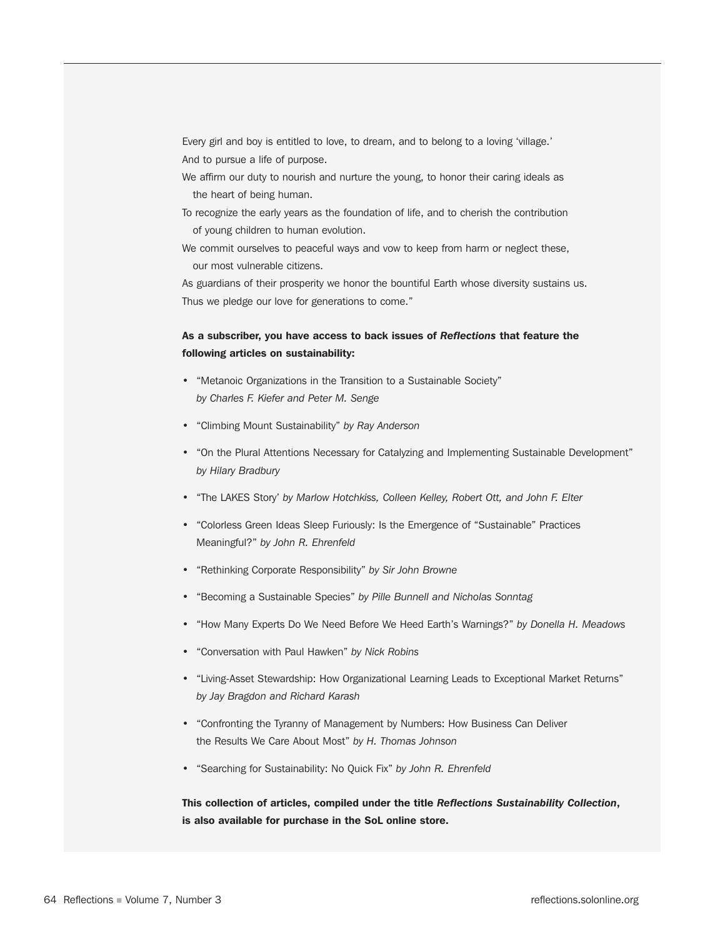Every girl and boy is entitled to love, to dream, and to belong to a loving 'village.' And to pursue a life of purpose.

We affirm our duty to nourish and nurture the young, to honor their caring ideals as the heart of being human.

To recognize the early years as the foundation of life, and to cherish the contribution of young children to human evolution.

We commit ourselves to peaceful ways and vow to keep from harm or neglect these, our most vulnerable citizens.

As guardians of their prosperity we honor the bountiful Earth whose diversity sustains us. Thus we pledge our love for generations to come."

### As a subscriber, you have access to back issues of *Reflections* that feature the following articles on sustainability:

- "Metanoic Organizations in the Transition to a Sustainable Society" *by Charles F. Kiefer and Peter M. Senge*
- "Climbing Mount Sustainability" *by Ray Anderson*
- "On the Plural Attentions Necessary for Catalyzing and Implementing Sustainable Development" *by Hilary Bradbury*
- "The LAKES Story' *by Marlow Hotchkiss, Colleen Kelley, Robert Ott, and John F. Elter*
- "Colorless Green Ideas Sleep Furiously: Is the Emergence of "Sustainable" Practices Meaningful?" *by John R. Ehrenfeld*
- "Rethinking Corporate Responsibility" *by Sir John Browne*
- "Becoming a Sustainable Species" *by Pille Bunnell and Nicholas Sonntag*
- "How Many Experts Do We Need Before We Heed Earth's Warnings?" *by Donella H. Meadows*
- "Conversation with Paul Hawken" *by Nick Robins*
- "Living-Asset Stewardship: How Organizational Learning Leads to Exceptional Market Returns" *by Jay Bragdon and Richard Karash*
- "Confronting the Tyranny of Management by Numbers: How Business Can Deliver the Results We Care About Most" *by H. Thomas Johnson*
- "Searching for Sustainability: No Quick Fix" *by John R. Ehrenfeld*

This collection of articles, compiled under the title *Reflections Sustainability Collection*, is also available for purchase in the SoL online store.